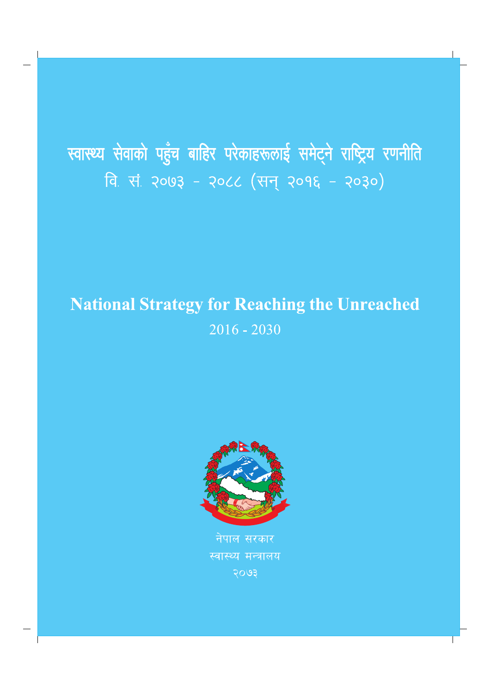स्वास्थ्य सेवाको पहुँच बाहिर परेकाहरूलाई समेट्ने राष्ट्रिय रणनीति वि. सं. २०७३ - २०८८ (सन् २०१६ - २०३०)

## **National Strategy for Reaching the Unreached**  $2016 - 2030$



नेपाल सरकार स्वास्थ्य मन्त्रालय  $2003$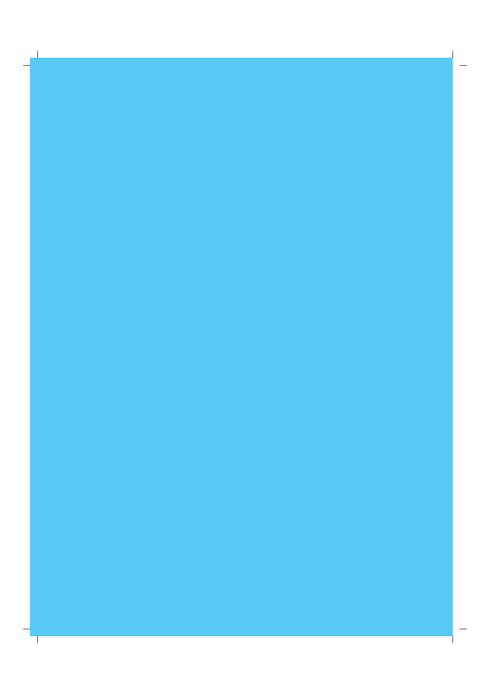

 $\mathbf{I}$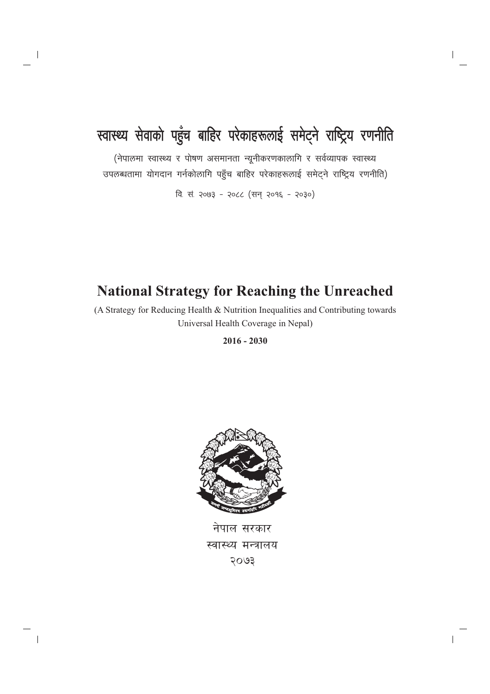## स्वास्थ्य सेवाको पहुँच बाहिर परेकाहरूलाई समेट्ने राष्ट्रिय रणनीति

 $\overline{\phantom{a}}$ 

 $\overline{\phantom{a}}$ 

(नेपालमा स्वास्थ्य र पोषण असमानता न्यूनीकरणकालागि र सर्वव्यापक स्वास्थ्य उपलब्धतामा योगदान गर्नकोलागि पहुँच बाहिर परेकाहरूलाई समेट्ने राष्ट्रिय रणनीति)

वि. सं. २०७३ - २०८८ (सन् २०१६ - २०३०)

## **National Strategy for Reaching the Unreached**

(A Strategy for Reducing Health & Nutrition Inequalities and Contributing towards Universal Health Coverage in Nepal)

 $2016 - 2030$ 



नेपाल सरकार स्वास्थ्य मन्त्रालय २०७३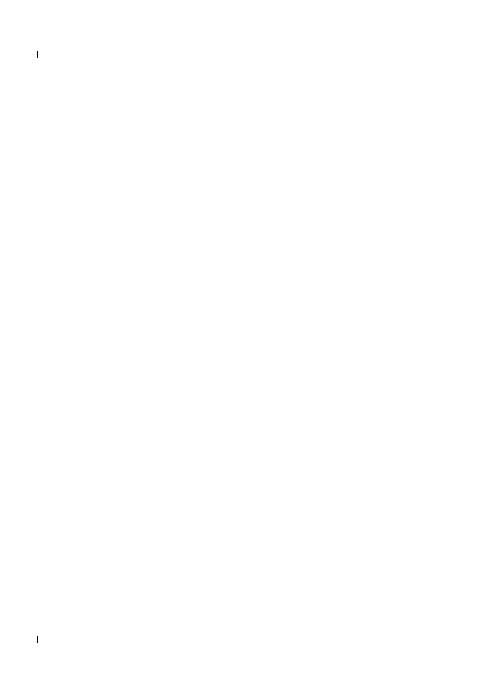$\frac{1}{2}$  $\frac{1}{\sqrt{2}}$ 

 $\begin{array}{c} - \ \end{array}$ 

 $\frac{1}{\sqrt{2}}$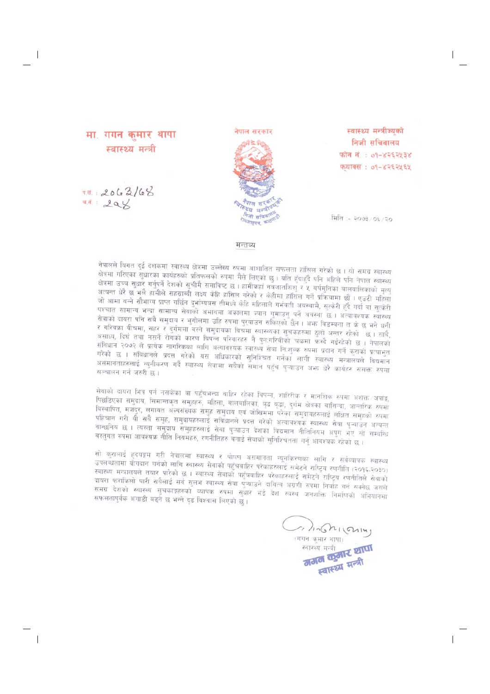मा. गगन कमार थापा स्वास्थ्य मन्त्री

明. 2063/68  $77.129$ 

 $\overline{\phantom{a}}$ 



स्वास्थ्य मन्त्रीज्यको निजी सचिवालय फोन नं.: ०१-४२६२५३४ फयाक्स: ०१-४२६२५६५

 $\overline{\phantom{a}}$ 

मिति :- २०७३/०६/२०

#### मन्तव्य

नेपालले विगत दुई दशकमा स्वास्थ्य क्षेत्रमा उल्लेख्य रुपमा आशातित सफलता हाँसिल गरेको छ । यो समग्र स्वास्थ्य क्षेत्रमा गरिएका सुधारका कार्यहरुको प्रतिफलको रुपमा मैले लिएको छु। यति हुँदाहुँदै पनि अहिले पनि नेपाल स्वास्थ्य क्षेत्रमा उच्च सुधार गर्नुपर्ने देशको सुचीमै समाविष्ट छ । हामीकहाँ नवजातशिशु र ५ वर्षमुनिका वालवालिकाको मृत्यु अत्यन्त धेरै छ भलै हामीले सहस्राब्दी लक्ष्य केहि हॉसिल गरेको र केहीमा हॉसिल गर्ने प्रक्रियामा छौ । एउटी महिला जाने में पत्र<br>जो आमा बन्ने सौभाग्य प्राप्त गर्छिन दुर्भाग्यवस तीमध्ये केहि महिलाले गर्भवती अवस्थामै, सुत्केरी हुँदै गर्दा वा सुत्केरी सेवाको दायरा पनि सबै समुदाय र भुगोलमा उहि रुपमा पुरुयाउन सकिएको छैन । अफ विडम्बना त के छ भने धनी र गरिवका वीचमा, सहर र दुर्गममा वस्ने समुदायका विचमा स्वास्थ्यका सुचकहरुमा ठुलो अन्तर रहेको छ । साथै, असाध्य, दिर्घ तथा नसर्ने रोगको कारण विपन्न परिवारहरु नै पुनःगरिवीको चकमा फरदै गईरहेको छ । नेपालको संविधान २०७२ ले प्रत्येक नागरिकका लागि अत्यावश्यक स्वास्थ्य सेवा निःशुल्क रुपमा प्रदान गर्ने कुराको प्रत्याभुत गरेको छ । संविधानले प्रदत्त गरेको यस अधिकारको सुनिश्चित गर्नका लागी स्वास्थ्य मन्त्रालयले विद्यमान असमानताहरुलाई न्युनीकरण गर्दै स्वास्थ्य सेवामा सबैको समान पहुँच पुऱ्याउन अफ धेरै कार्यहरु ससक्त रुपमा सञ्चालन गर्न जरुरी छ ।

सेवाको दायरा भित्र पर्न नसकेका वा पहुँचभन्दा वाहिर रहेका विपन्न, शारिरीक र मानशिक रुपमा अशक्त /अपांड़, पिछडिएका समुदाय, सिमान्तकृत समुहहरु, महिला, वालबालिका, वृद्ध बृद्धा, दुर्गम क्षेत्रका बासिन्दा, आन्तरिक रुपमा विस्थापित, मजदूर, लगायत अल्पसंख्यक समुह समुदाय एवं जोखिममा परेका समुदायहरुलाई लक्षित समुहको रुपमा बान्छनिय छ । त्यस्ता समुदाय समुहहरुलाई सेवा पुऱ्याउन देशका विद्यमान नीतिनियम अपुग भए सो सम्बन्धि वस्तुगत रुपमा आवश्यक नीति नियमहरु, रणनीतिहरु बनाई सेवाको सुनिश्चितता गर्नु आवश्यक रहेको छ ।

सो करालाई हृदयङ्गम गरी नेपालमा स्वास्थ्य र पोषण असमानता न्यूनकिरणका लागि र सर्वव्यापक स्वास्थ्य उपलब्धतामा योगदान गर्नको लागि स्वास्थ्य सेवाको पहुँचवाहिर परेकाहरुलाई समेटने राष्ट्रिय रणनीति (२०१६-२०३०) .<br>स्वास्थ्य मन्त्रालयले तयार पारेको छ । स्वास्थ्य सेवाको पहुँचवाहिर परेकाहरुलाई समेट्ने राष्ट्रिय रणनीतिले सेवाको दायरा फराकिलो पारी सबैलाई सर्व सुलभ स्वास्थ्य सेवा पुऱ्याउने दायित्व अग्रणी रुपमा निर्वाह गर्न सक्नेछ जसले समग्र देशको स्वास्थ्य सुचकाङ्गहरुको व्यापक रुपमा सुधार भई देश स्वस्थ जनशक्ति निर्माणको अभियानमा सफलतापुर्वक अगाडी बढ्ने छ भन्ने दृढ विश्वास लिएको छ।

A A CA (CAIN)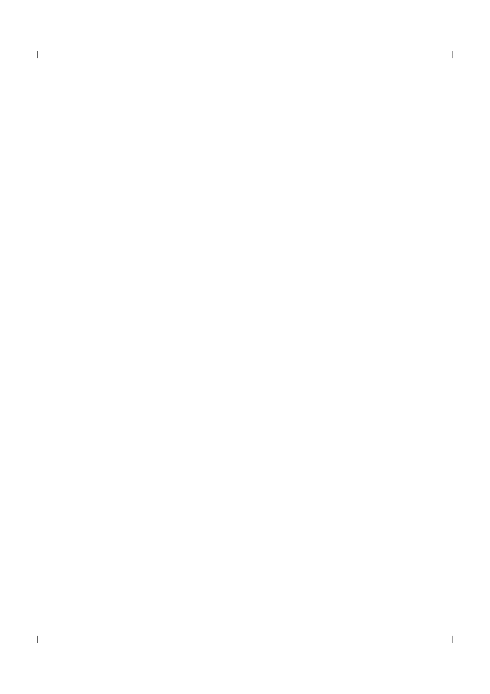$\frac{1}{2}$  $\frac{1}{\sqrt{2}}$ 

 $\begin{array}{c} - \ \end{array}$ 

 $\frac{1}{\sqrt{2}}$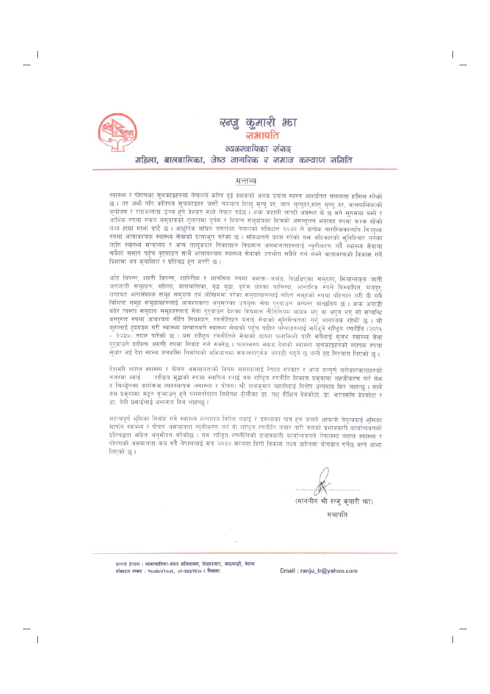

#### मन्तव्य

स्वास्थ्य र पोषणका सूचकाङ्कहरुमा नेपालले करिव दुई दशकको अथक प्रयास स्वरुप आशातित सफलता हाँसिल गरेको छ। तर अफ्नै पनि कतिपय सुचकाइहरु जस्तै नवजात शिशु मृत्यु दर, बाल मृत्युदर,मातृ मृत्यु दर, बालबालिकाको कपोषण र रक्तअल्पता उच्च हुने देशहरु मध्ये नेपाल पर्दछ । अभा कहाली लाग्दो अवस्था के छ भने सुगममा बस्ने र .<br>आर्थिक रुपमा सबल समुदायको तुलनामा दुर्गम र विपन्न समुदायका विचको असन्तुलन भयावह रुपमा फरक रहेको तथ्य हाम्रा मार्फ प्रष्टै छ । आधुनिक संघिय गणराज्य नेपालको संविधान २०७२ ले प्रत्येक नागरिककालागि नि:शल्क रुपमा अत्यावश्यक स्वास्थ्य सेवाको प्रत्याभुत गरेको छ । संविधानले प्रदत्त गरेको यस अधिकारको सुनिश्चित गर्नका लागि स्वास्थ्य मन्त्रालय र अन्य तालुकदार निकायहरु विद्यमान असमानताहरुलाई न्यनीकरण गर्दै स्वास्थ्य सेवामा सबैको समान पहुँच पुरुयाउन साथै अत्यावश्यक स्वास्थ्य सेवाको उपभोग सबैले गर्न सक्ने वातावरणको विकास गर्ने दिशामा थप क्याशिल र प्रतिबद्ध हन जरुरी छ।

अति विपन्न, शहरी विपन्न, शारिरीक र मानसिक रुपमा अशक्त/अपांङ्ग, पिछडिएका समुदाय, सिमान्तकृत जाती जनजाती समुहहरु, महिला, बालबालिका, वृद्ध वृद्धा, दुर्गम क्षेत्रका वासिन्दा, आन्तरिक रुपले बिस्थापित, मजदुर, लगायत अल्पसँख्यक समह समदाय एवं जोखिममा परेका समुदायहरुलाई लक्ष्ति समुहको रुपमा पहिचान गरी यी सबै विशिष्ट समूह समुदायहरुलाई आवश्यकता अनुसारका उपयक्त सेवा परयाउन अत्यन्त वान्छनिय छ । अफ अगाडी बढेर त्यस्ता समुदाय समुहहरुलाई सेवा पुरुयाउन देशका विद्यमान नीतिनियम वाधक भए वा अपुग भए सो सम्बन्धि बस्तगत रुपमा आवश्यक नीति नियमहरु, रणनीतिहरु बनाई सेवाको सुनिश्चितता गर्नु आवश्यक रहेको छ । सो करालाई हदयङ्गम गरी स्वास्थ्य मन्त्रालयले स्वास्थ्य सेवाको पहुँच वाहिर परेकाहरुलाई समेट्ने राष्ट्रिय रणनीति (२०१६ - २०३०) तयार पारेको छ । यस राष्ट्रिय रणनीतिले सेवाको दायरा फराकिलो पारी सबैलाई सुलभ स्वास्थ्य सेवा पुरुयाउने दायित्व अग्रणी रुपमा निर्वाह गर्न सक्नेछ । फलस्वरुप समग्र देशको स्वास्थ्य सुचकाङ्गहरुको व्यापक रुपमा उ्<br>सधार भई देश स्वस्थ जनशक्ति निर्माणको अभियानमा सफलतापुर्वक अगाडी वढ्ने छ भन्ने दृढ विश्वास लिएको छु।

देशभरि व्याप्त स्वास्थ्य र पोषण असमानताको विषम समस्यालाई नेपाल सरकार र अन्य सम्पूर्ण सरोकारवालाहरुको राष्ट्रिय मुद्धाको रुपमा स्थापित गराई यस राष्ट्रिय रणनीति विकास प्रकुयामा सहजीकरण गर्ने सेभ नजरमा ल्याई द चिल्ड्रेनका कार्यक्रम व्यवस्थापक (स्वास्थ्य र पोषण) श्री राजकुमार महतोलाई विशेष धन्यवाद दिन चाहन्छ । साथै यस प्रक्रमामा मद्दत प्ऱ्याउन् हुने परामर्शदाता विशेषज्ञ टोलीका डा. मधु दीक्षित देवकोटा, डा. भरतमणि देवकोटा र डा. देवी प्रसाईलाई धन्यवाद दिन चाहन्छ।

महत्वपूर्ण भूमिका निर्वाह गर्ने स्वास्थ्य मन्त्रालय विषेश वधाई र प्रसंशाका पात्र हुन जसले आफनो नेतत्वदाई भूमिका मार्फत स्वास्थ्य र पोषण असमानता न्यूनीकरण गर्न यो राष्ट्रिय रणनीति तयार पारी यसको प्रभावकारी कार्यान्वयनको प्रतिबद्धता सहित अनुमोदन गरेकोछ । यस राष्ट्रिय रणनीतिको प्रभावकारी कार्यान्वयनले नेपालमा व्याप्त स्वास्थ्य र पोषणको असमानता कम गर्दै नेपाललाई सन २०३० सम्ममा दिगो विकास लक्ष्य प्राप्तिमा योगदान गर्नेछ भन्ने आशा लिएको छ।

(माननीय श्री रन्ज् कुमारी फा)

सभापति

सम्पर्क ठेगाना : व्यवस्थापिका-संसद सचिवालय, सिंहदरवार, काठमाडौं, नेपाल मोबाइल नम्बर: ९८०३०४९८०६, ०१-५५५२६१० ( निवास)

Email: ranju\_lr@yahoo.com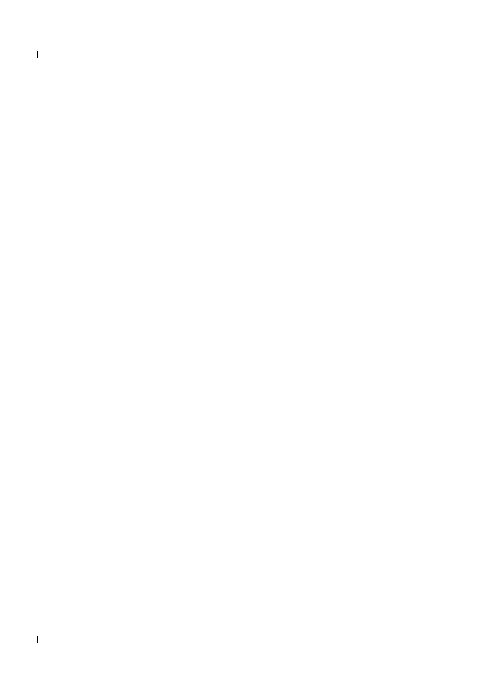$\frac{1}{2}$  $\frac{1}{\sqrt{2}}$ 

 $\begin{array}{c} - \ \end{array}$ 

 $\frac{1}{\sqrt{2}}$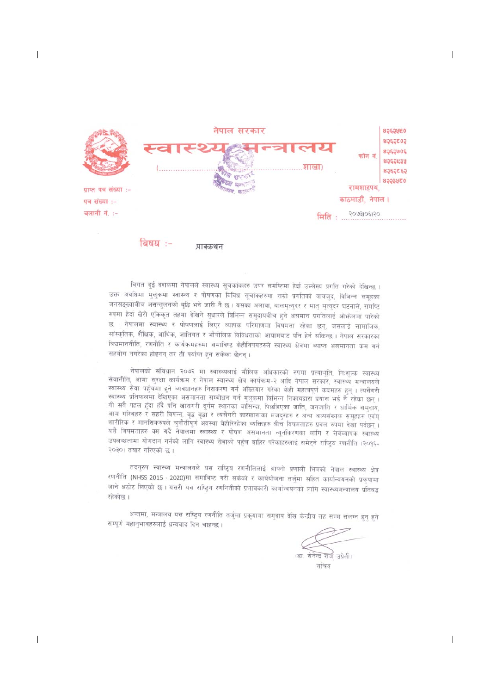

विषय :-प्राक्कथन

विगत दुई दशकमा नेपालले स्वास्थ्य सूचकांकहरु उपर समष्टिमा हेर्दा उल्लेख्य प्रगति गरेको देखिन्छ । उक्त अवधिमा मुलुकमा स्वास्थ्य र पोषणका विविध सूचांकहरुमा राम्रो प्रगतिको वाबजुद, विभिन्न समूहका जनसङ्ख्यावीच असन्तुलनको बृद्धि भने जारी नै छ । यसका अलावा, वालमृत्युदर र मातृ मृत्युदर घटनाले, समष्टि रुपमा हेर्दा खेरी एकिकृत तहमा देखिने सुधारले विभिन्न समुदायबीच हुने असमान प्रगतिलाई ओफोलमा पारेको छ । नेपालमा स्वास्थ्य र पोषणलाई लिएर व्यापक परिमाणमा विषमता रहेका छन्, जसलाई सामाजिक, सांस्कृतिक, शैक्षिक, आर्थिक, जातिगत र भौगोलिक विविधताको आयामबाट पनि हेर्न सकिन्छ । नेपाल सरकारका विद्यमाननीति, रणनीति र कार्यक्रमहरुमा समाविष्ट केहीविषयहरुले स्वास्थ्य क्षेत्रमा व्याप्त असमानता कम गर्न सहयोग नगरेका होइनन् तर ती पर्याप्त हन सकेका छैनन् ।

नेपालको संविधान २०७२ मा स्वास्थ्यलाई मौलिक अधिकारको रुपमा प्रत्याभूति, नि:शुल्क स्वास्थ्य सेवानीति, आमा सुरक्षा कार्यक्रम र नेपाल स्वास्थ्य क्षेत्र कार्यक्रम-२ आदि नेपाल सरकार, स्वास्थ्य मन्त्रालयले स्वास्थ्य सेवा पहुँचमा हुने व्यवधानहरु निराकरण गर्न अख्तियार गरेका केही महत्वपूर्ण कदमहरु हुन् । त्यसैगरी स्वास्थ्य प्रतिफलमा देखिएका असमानता सम्बोधन गर्न मुलुकमा विभिन्न निकायद्वारा प्रयास भई नै रहेका छन्। यी सबै पहल हुँदा हँदै पनि खासगरी दुर्गम स्थानका वासिन्दा, पिछडिएका जाति, जनजाति र धार्मिक समुदाय, आम गरिबहरु र सहरी बिपन्न, बृद्ध बृद्धा र त्यसैगरी कारखानाका मजदुरहरु र अन्य अल्पसंख्यक समूहहरु एवंम् शारीरिक र मानसिकरुपले चुनौतीपुर्ण अवस्था बेहोरिरहेका व्यक्तिहरु बीच विषमताहरु प्रवल रुपमा देखा पर्दछन्। यसै विषमताहरु क्म गर्दै नेपालमा स्वास्थ्य र पोषण असमानता न्यूनकिरणका लागि र सर्वव्यापक स्वास्थ्य उपलब्धतामा योगदान गर्नको लागि स्वास्थ्य सेवाको पहुँच बाहिर परेकाहरुलाई समेट्ने राष्ट्रिय रणनीति (२०१६-२०३०) तयार गरिएको छ।

तदनुरुप स्वास्थ्य मन्त्रालयले यस राष्ट्रिय रणनीतिलाई आफ्नो प्रणाली भित्रको नेपाल स्वास्थ्य क्षेत्र रणनीति (NHSS 2015 - 2020)मा समाविष्ट गरी सकेको र कार्ययोजना तर्जुमा सहित कार्यान्वयनको प्रकृयामा जाने अठोट लिएको छ । यसरी यस राष्ट्रिय रणनितीको प्रभावकारी कार्यान्वयनको लागि स्वास्थ्यमन्त्रालय प्रतिबद्ध रहेकोछ ।

अन्तमा, मन्त्रालय यस राष्ट्रिय रणनीति तर्जुमा प्रकृयामा समुदाय देखि केन्द्रीय तह सम्म संलग्न हुन् हुने सम्पूर्ण महानुभावहरुलाई धन्यवाद दिन चाहन्छ ।

(डा. सेनेन्द्र राज उप्रेती) सचिव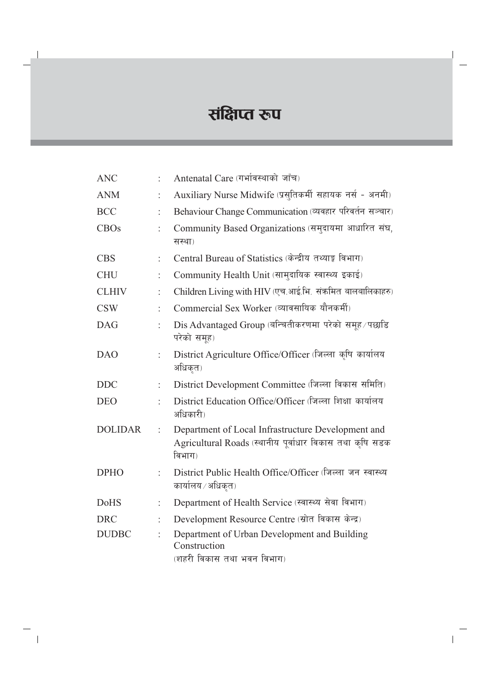## संक्षिप्त रूप

| <b>ANC</b>     | $\ddot{\cdot}$ | Antenatal Care (गर्भावस्थाको जाँच)                                                                                       |  |  |
|----------------|----------------|--------------------------------------------------------------------------------------------------------------------------|--|--|
| <b>ANM</b>     |                | Auxiliary Nurse Midwife (प्रसुतिकर्मी सहायक नर्स - अनमी)                                                                 |  |  |
| <b>BCC</b>     |                | Behaviour Change Communication (व्यवहार परिवर्तन सञ्चार)                                                                 |  |  |
| <b>CBOs</b>    |                | Community Based Organizations (समुदायमा आधारित संघ,<br>सस्था)                                                            |  |  |
| <b>CBS</b>     | ÷              | Central Bureau of Statistics (केन्द्रीय तथ्याङ्क विभाग)                                                                  |  |  |
| <b>CHU</b>     |                | Community Health Unit (सामुदायिक स्वास्थ्य इकाई)                                                                         |  |  |
| <b>CLHIV</b>   |                | Children Living with HIV (एच.आई.भि. संक्रमित बालबालिकाहरु)                                                               |  |  |
| <b>CSW</b>     |                | Commercial Sex Worker (व्यावसायिक यौनकर्मी)                                                                              |  |  |
| <b>DAG</b>     |                | Dis Advantaged Group (बन्चितीकरणमा परेको समूह / पछाडि<br>परेको समूह)                                                     |  |  |
| <b>DAO</b>     |                | District Agriculture Office/Officer (जिल्ला कृषि कार्यालय<br>अधिकृत)                                                     |  |  |
| <b>DDC</b>     |                | District Development Committee (जिल्ला विकास समिति)                                                                      |  |  |
| <b>DEO</b>     |                | District Education Office/Officer (जिल्ला शिक्षा कार्यालय<br>अधिकारी)                                                    |  |  |
| <b>DOLIDAR</b> | t              | Department of Local Infrastructure Development and<br>Agricultural Roads (स्थानीय पूर्वाधार विकास तथा कृषि सडक<br>विभाग) |  |  |
| <b>DPHO</b>    | ÷              | District Public Health Office/Officer (जिल्ला जन स्वास्थ्य<br>कार्यालय ⁄ अधिकृत)                                         |  |  |
| <b>DoHS</b>    | ÷              | Department of Health Service (स्वास्थ्य सेवा विभाग)                                                                      |  |  |
| <b>DRC</b>     |                | Development Resource Centre (स्रोत विकास केन्द्र)                                                                        |  |  |
| <b>DUDBC</b>   |                | Department of Urban Development and Building<br>Construction<br>(शहरी विकास तथा भवन विभाग)                               |  |  |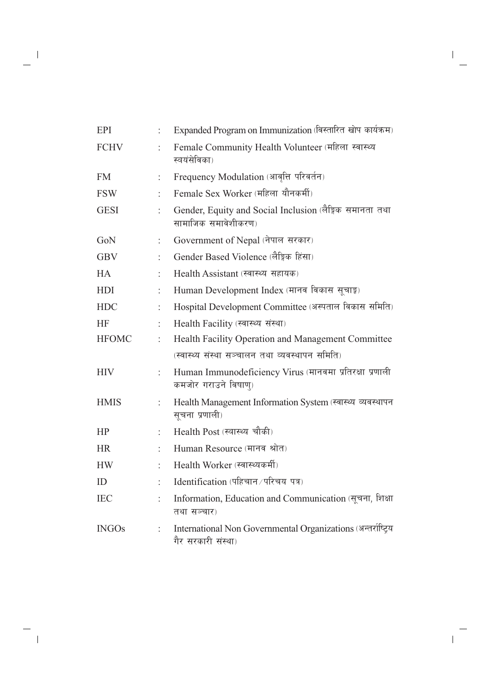| EPI          | ÷                    | Expanded Program on Immunization (विस्तारित खोप कार्यक्रम)                          |
|--------------|----------------------|-------------------------------------------------------------------------------------|
| <b>FCHV</b>  |                      | Female Community Health Volunteer (महिला स्वास्थ्य<br>स्वयंसेविका)                  |
| <b>FM</b>    | $\ddot{\cdot}$       | Frequency Modulation (आवृत्ति परिवर्तन)                                             |
| <b>FSW</b>   |                      | Female Sex Worker (महिला यौनकर्मी)                                                  |
| <b>GESI</b>  |                      | Gender, Equity and Social Inclusion (लैङ्गिक समानता तथा<br>सामाजिक समावेशीकरण)      |
| GoN          | $\ddot{\cdot}$       | Government of Nepal (नेपाल सरकार)                                                   |
| <b>GBV</b>   |                      | Gender Based Violence (लैङ्गिक हिंसा)                                               |
| <b>HA</b>    |                      | Health Assistant (स्वास्थ्य सहायक)                                                  |
| <b>HDI</b>   |                      | Human Development Index (मानव विकास सूचाङ्क)                                        |
| <b>HDC</b>   | $\ddot{\cdot}$       | Hospital Development Committee (अस्पताल विकास समिति)                                |
| HF           |                      | Health Facility (स्वास्थ्य संस्था)                                                  |
| <b>HFOMC</b> | ÷                    | Health Facility Operation and Management Committee                                  |
|              |                      | (स्वास्थ्य संस्था सञ्चालन तथा व्यवस्थापन समिति)                                     |
| <b>HIV</b>   | ÷                    | Human Immunodeficiency Virus (मानवमा प्रतिरक्षा प्रणाली<br>कमजोर गराउने विषाण्)     |
| <b>HMIS</b>  | $\ddot{\phantom{a}}$ | Health Management Information System (स्वास्थ्य व्यवस्थापन<br>सूचना प्रणाली)        |
| HP           | ÷                    | Health Post (स्वास्थ्य चौकी)                                                        |
| <b>HR</b>    |                      | Human Resource (मानव श्रोत)                                                         |
| <b>HW</b>    |                      | Health Worker (स्वास्थ्यकर्मी)                                                      |
| ID           |                      | Identification (पहिचान / परिचय पत्र)                                                |
| <b>IEC</b>   |                      | Information, Education and Communication (सूचना, शिक्षा<br>तथा सञ्चार)              |
| <b>INGOs</b> | ÷                    | International Non Governmental Organizations (अन्तर्राष्ट्रिय<br>गैर सरकारी संस्था) |

 $\begin{array}{c} \hline \end{array}$ 

 $\overline{1}$ 

 $\bar{\mathcal{A}}$ 

 $\begin{array}{c} - \\ \hline \end{array}$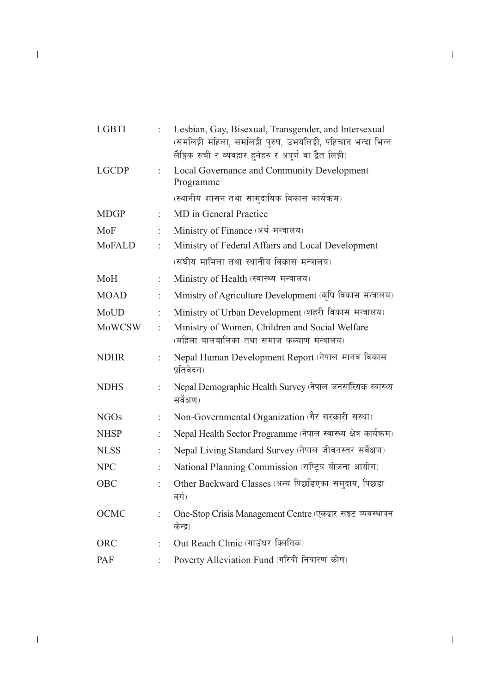| <b>LGBTI</b>  |                | Lesbian, Gay, Bisexual, Transgender, and Intersexual<br>(समलिङ्गी महिला, समलिङ्गी पुरुष, उभयलिङ्गी, पहिचान भन्दा भिन्न<br>लैङ्गिक रुची र व्यवहार हुनेहरु र अपूर्ण वा द्वैत लिङ्गी) |
|---------------|----------------|------------------------------------------------------------------------------------------------------------------------------------------------------------------------------------|
| <b>LGCDP</b>  | ÷              | Local Governance and Community Development<br>Programme                                                                                                                            |
|               |                | (स्थानीय शासन तथा सामुदायिक विकास कार्यक्रम)                                                                                                                                       |
| <b>MDGP</b>   | ÷              | <b>MD</b> in General Practice                                                                                                                                                      |
| MoF           |                | Ministry of Finance (अर्थ मन्त्रालय)                                                                                                                                               |
| <b>MoFALD</b> |                | Ministry of Federal Affairs and Local Development                                                                                                                                  |
|               |                | (संघीय मामिला तथा स्थानीय विकास मन्त्रालय)                                                                                                                                         |
| MoH           | ÷              | Ministry of Health (स्वास्थ्य मन्त्रालय)                                                                                                                                           |
| <b>MOAD</b>   | t              | Ministry of Agriculture Development (कृषि विकास मन्त्रालय)                                                                                                                         |
| MoUD          |                | Ministry of Urban Development (शहरी विकास मन्त्रालय)                                                                                                                               |
| <b>MoWCSW</b> |                | Ministry of Women, Children and Social Welfare<br>(महिला बालबालिका तथा समाज कल्याण मन्त्रालय)                                                                                      |
| <b>NDHR</b>   |                | Nepal Human Development Report (नेपाल मानव विकास<br>प्रतिवेदन)                                                                                                                     |
| <b>NDHS</b>   | ÷.             | Nepal Demographic Health Survey (नेपाल) जनसाँख्यिक स्वास्थ्य<br>सर्वेक्षण)                                                                                                         |
| <b>NGOs</b>   | t              | Non-Governmental Organization (गैर सरकारी संस्था)                                                                                                                                  |
| <b>NHSP</b>   |                | Nepal Health Sector Programme (नेपाल स्वास्थ्य क्षेत्र कार्यक्रम)                                                                                                                  |
| <b>NLSS</b>   |                | Nepal Living Standard Survey (नेपाल जीवनस्तर सर्वेक्षण)                                                                                                                            |
| <b>NPC</b>    | $\ddot{\cdot}$ | National Planning Commission (राष्ट्रिय योजना आयोग)                                                                                                                                |
| <b>OBC</b>    |                | Other Backward Classes (अन्य पिछडिएका समुदाय, पिछडा<br>वग)                                                                                                                         |
| <b>OCMC</b>   |                | One-Stop Crisis Management Centre (एकद्वार सङ्कट व्यवस्थापन<br>केन्द्र)                                                                                                            |
| <b>ORC</b>    |                | Out Reach Clinic (गाउँघर क्लिनिक)                                                                                                                                                  |
| PAF           |                | Poverty Alleviation Fund (गरिवी निवारण कोष)                                                                                                                                        |
|               |                |                                                                                                                                                                                    |

 $\frac{1}{2} \int_{-\infty}^{\infty} \frac{1}{2} \, dx$ 

 $\frac{1}{\sqrt{2}}$ 

 $\sim 1$ 

 $\begin{array}{c} - \\ 1 \end{array}$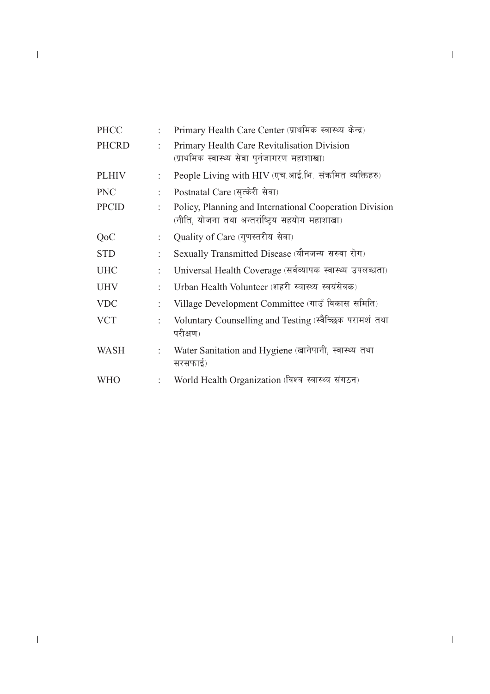| <b>PHCC</b>  | ÷. | Primary Health Care Center (प्राथमिक स्वास्थ्य केन्द्र)                                                   |
|--------------|----|-----------------------------------------------------------------------------------------------------------|
| <b>PHCRD</b> | ۰  | Primary Health Care Revitalisation Division<br>(प्राथमिक स्वास्थ्य सेवा पुर्नजागरण महाशाखा)               |
| <b>PLHIV</b> |    | People Living with HIV (एच.आई.भि. संक्रमित व्यक्तिहरु)                                                    |
| <b>PNC</b>   |    | Postnatal Care (सुत्केरी सेवा)                                                                            |
| <b>PPCID</b> |    | Policy, Planning and International Cooperation Division<br>(नीति, योजना तथा अन्तर्राष्ट्यि सहयोग महाशाखा) |
| QoC          |    | Quality of Care (गुणस्तरीय सेवा)                                                                          |
| <b>STD</b>   |    | Sexually Transmitted Disease (यौनजन्य सरुवा रोग)                                                          |
| <b>UHC</b>   |    | Universal Health Coverage (सर्वव्यापक स्वास्थ्य उपलब्धता)                                                 |
| <b>UHV</b>   |    | Urban Health Volunteer (शहरी स्वास्थ्य स्वयंसेवक)                                                         |
| <b>VDC</b>   |    | Village Development Committee (गाउँ विकास समिति)                                                          |
| <b>VCT</b>   | t  | Voluntary Counselling and Testing (स्वैच्छिक परामर्श तथा<br>परीक्षण)                                      |
| <b>WASH</b>  |    | Water Sanitation and Hygiene (खानेपानी, स्वास्थ्य तथा<br>सरसफाई)                                          |
| <b>WHO</b>   |    | World Health Organization (विश्व स्वास्थ्य संगठन)                                                         |

 $\frac{1}{\sqrt{2}}$ 

 $\begin{array}{c} - \ \end{array}$ 

 $\frac{1}{2}$ 

 $\frac{1}{\sqrt{2}}$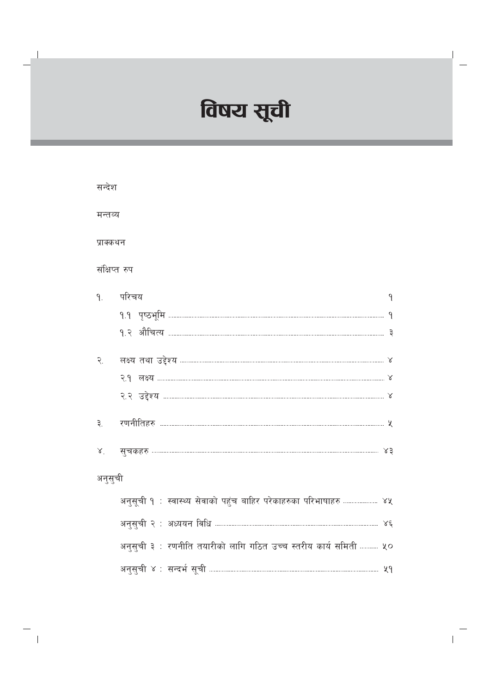# विषय सूची

| सन्देश    |                                                                    |   |  |  |
|-----------|--------------------------------------------------------------------|---|--|--|
| मन्तव्य   |                                                                    |   |  |  |
| प्राक्कथन |                                                                    |   |  |  |
|           | संक्षिप्त रुप                                                      |   |  |  |
| 9.        | परिचय                                                              | ۹ |  |  |
|           |                                                                    |   |  |  |
|           |                                                                    |   |  |  |
| २.        |                                                                    |   |  |  |
|           |                                                                    |   |  |  |
|           |                                                                    |   |  |  |
| ३.        |                                                                    |   |  |  |
| $\chi$    |                                                                    |   |  |  |
| अनुसुची   |                                                                    |   |  |  |
|           | अनुसूची १ : स्वास्थ्य सेवाको पहुंच बाहिर परेकाहरुका परिभाषाहरु  ४५ |   |  |  |
|           |                                                                    |   |  |  |
|           | अनुसुची ३ : रणनीति तयारीको लागि गठित उच्च स्तरीय कार्य समिती  ५०   |   |  |  |
|           |                                                                    |   |  |  |

 $\overline{1}$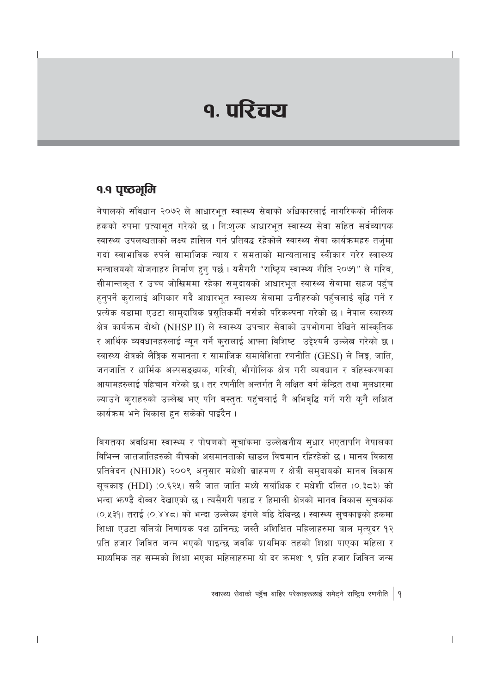## १. परिचय

### १.१ पुष्ठभूमि

नेपालको संविधान २०७२ ले आधारभूत स्वास्थ्य सेवाको अधिकारलाई नागरिकको मौलिक हकको रुपमा प्रत्याभूत गरेको छ । निःशुल्क आधारभूत स्वास्थ्य सेवा सहित सर्वव्यापक स्वास्थ्य उपलब्धताको लक्ष्य हासिल गर्न प्रतिबद्ध रहेकोले स्वास्थ्य सेवा कार्यक्रमहरु तर्जुमा गर्दा स्वाभाविक रुपले सामाजिक न्याय र समताको मान्यतालाइ स्वीकार गरेर स्वास्थ्य मन्त्रालयको योजनाहरु निर्माण हन पर्छ। यसैगरी "राष्टिय स्वास्थ्य नीति २०७१" ले गरिब, सीमान्तकत र उच्च जोखिममा रहेका समुदायको आधारभुत स्वास्थ्य सेवामा सहज पहुँच हनुपर्ने कुरालाई अंगिकार गर्दै आधारभूत स्वास्थ्य सेवामा उनीहरुको पहुँचलाई वृद्धि गर्ने र प्रत्येक वडामा एउटा सामदायिक प्रसुतिकर्मी नर्सको परिकल्पना गरेको छ । नेपाल स्वास्थ्य क्षेत्र कार्यक्रम दोश्रो (NHSP II) ले स्वास्थ्य उपचार सेवाको उपभोगमा देखिने सांस्कृतिक र आर्थिक व्यवधानहरुलाई न्यून गर्ने कुरालाई आफ्ना विशिष्ट उद्देश्यमै उल्लेख गरेको छ । स्वास्थ्य क्षेत्रको लैंङ्गिक समानता र सामाजिक समावेशिता रणनीति (GESI) ले लिङ्ग, जाति, जनजाति र धार्मिक अल्पसङ्ख्यक, गरिबी, भौगोलिक क्षेत्र गरी व्यवधान र वहिस्करणका आयामहरुलाई पहिचान गरेको छ । तर रणनीति अन्तर्गत नै लक्षित वर्ग केन्द्रित तथा मलधारमा ल्याउने कराहरुको उल्लेख भए पनि वस्तुतः पहुंचलाई नै अभिवृद्धि गर्ने गरी कुनै लक्षित कार्यक्रम भने विकास हन सकेको पाइंदैन।

बिगतका अवधिमा स्वास्थ्य र पोषणको सुचांकमा उल्लेखनीय सुधार भएतापनि नेपालका विभिन्न जातजातिहरुको बीचको असमानताको खाडल विद्यमान रहिरहेको छ । मानव विकास प्रतिवेदन (NHDR) २००९ अनुसार मधेशी ब्राहमण र क्षेत्री समुदायको मानव विकास सुचकाङ्क (HDI) (०.६२५) सबै जात जाति मध्ये सर्वाधिक र मधेशी दलित (०.३८३) को भन्दा भाण्डै दोब्बर देखाएको छ । त्यसैगरी पहाड र हिमाली क्षेत्रको मानव विकास सचकांक (0.५३१) तराई (0.४४८) को भन्दा उल्लेख्य ढंगले बढि देखिन्छ । स्वास्थ्य सुचकाङ्गको हकमा शिक्षा एउटा बलियो निर्णायक पक्ष ठानिन्छ: जस्तै अशिक्षित महिलाहरुमा बाल मत्यदर १२ प्रति हजार जिवित जन्म भएको पाइन्छ जबकि प्राथमिक तहको शिक्षा पाएका महिला र माध्यमिक तह सम्मको शिक्षा भएका महिलाहरुमा यो दर कमश: ९ प्रति हजार जिवित जन्म

स्वास्थ्य सेवाको पहुँच बाहिर परेकाहरूलाई समेट्ने राष्ट्रिय रणनीति | १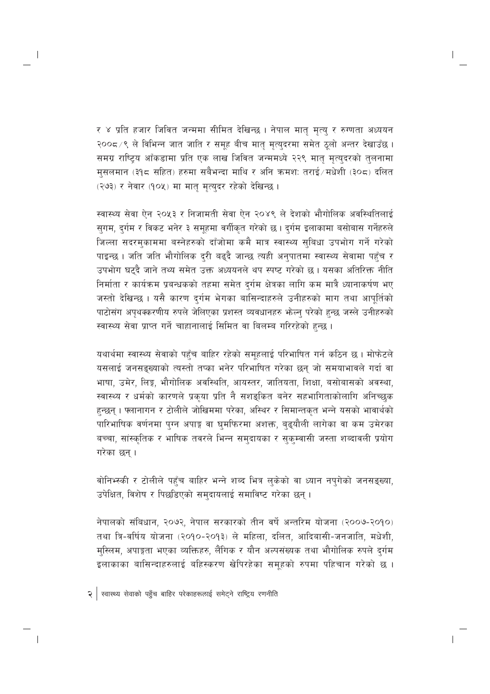र ४ प्रति हजार जिवित जन्ममा सीमित देखिन्छ । नेपाल मातृ मृत्यु र रुग्णता अध्ययन २००८ /९ ले विभिन्न जात जाति र समूह बीच मातृ मृत्युदरमा समेत ठूलो अन्तर देखाउँछ । समग्र राष्ट्रिय आँकडामा प्रति एक लाख जिवित जन्ममध्ये २२९ मातृ मृत्युदरको तुलनामा मुसलमान (३१८ सहित) हरुमा सबैभन्दा माथि र अनि क्रमशः तराई ⁄ मधेशी (३०८) दलित (२७३) र नेवार (१०५) मा मात मत्यदर रहेको देखिन्छ ।

स्वास्थ्य सेवा ऐन २०५३ र निजामती सेवा ऐन २०४९ ले देशको भौगोलिक अवस्थितिलाई सुगम, दुर्गम र विकट भनेर ३ समूहमा वर्गीकृत गरेको छ। दुर्गम इलाकामा बसोबास गर्नेहरुले जिल्ला सदरमुकाममा बस्नेहरुको दाँजोमा कमै मात्र स्वास्थ्य सुबिधा उपभोग गर्ने गरेको पाइन्छ । जति जति भौगोलिक दरी बढ्दै जान्छ त्यही अनुपातमा स्वास्थ्य सेवामा पहुँच र उपभोग घटदै जाने तथ्य समेत उक्त अध्ययनले थप स्पष्ट गरेको छ। यसका अतिरिक्त नीति निर्माता र कार्यक्रम प्रबन्धकको तहमा समेत दर्गम क्षेत्रका लागि कम मात्रै ध्यानाकर्षण भए जस्तो देखिन्छ । यसै कारण दर्गम भेगका बासिन्दाहरुले उनीहरुको माग तथा आपुर्तिको पाटोसंग अपथक्करणीय रुपले जेलिएका प्रशस्त व्यवधानहरु भोल्न परेको हुन्छ जस्ले उनीहरुको स्वास्थ्य सेवा प्राप्त गर्ने चाहानालाई सिमित वा बिलम्ब गरिरहेको हुन्छ।

यथार्थमा स्वास्थ्य सेवाको पहुँच बाहिर रहेको समूहलाई परिभाषित गर्न कठिन छ। मोफेटले यसलाई जनसङ्ख्याको त्यस्तो तप्का भनेर परिभाषित गरेका छन् जो समयाभावले गर्दा वा भाषा, उमेर, लिङ्ग, भौगोलिक अवस्थिति, आयस्तर, जातियता, शिक्षा, बसोबासको अवस्था, स्वास्थ्य र धर्मको कारणले प्रकृया प्रति नै सशङ्कित बनेर सहभागिताकोलागि अनिच्छुक हन्छन् । फ्लानागन् र टोलीले जोखिममा परेका, अस्थिर र सिमान्तकत भन्ने यसको भावार्थको पारिभाषिक वर्णनमा पुग्न अपाङ्ग वा घुमफिरमा अशक्त, बुढुयौली लागेका वा कम उमेरका बच्चा, सांस्कतिक र भाषिक तवरले भिन्न समदायका र सकम्वासी जस्ता शब्दावली प्रयोग गरेका छन ।

वोनिभ्स्की र टोलीले पहुँच बाहिर भन्ने शब्द भित्र लुकेको वा ध्यान नपुगेको जनसङ्ख्या, उपेक्षित, विशेष र पिछडिएको समदायलाई समाविष्ट गरेका छन।

नेपालको संबिधान, २०७२, नेपाल सरकारको तीन वर्षे अन्तरिम योजना (२००७-२०१०) तथा त्रि-वर्षिय योजना (२०१०-२०१३) ले महिला, दलित, आदिबासी-जनजाति, मधेशी, मुस्लिम, अपाङ्गता भएका व्यक्तिहरु, लैंगिक र यौन अल्पसंख्यक तथा भौगोलिक रुपले दुर्गम इलाकाका बासिन्दाहरुलाई बहिस्करण खेपिरहेका समहको रुपमा पहिचान गरेको छ ।

२ | स्वास्थ्य सेवाको पहुँच बाहिर परेकाहरूलाई समेट्ने राष्ट्रिय रणनीति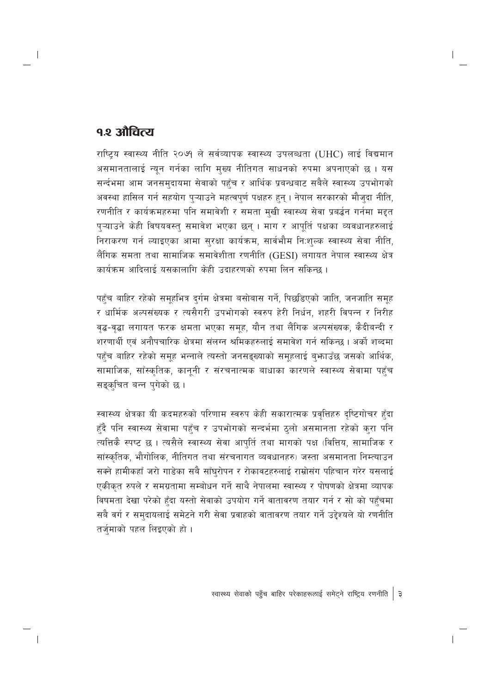### १.२ औचित्य

राष्ट्रिय स्वास्थ्य नीति २०७१ ले सर्वव्यापक स्वास्थ्य उपलब्धता (UHC) लाई विद्यमान असमानतालाई न्युन गर्नका लागि मुख्य नीतिगत साधनको रुपमा अपनाएको छ । यस सर्न्दभमा आम जनसमुदायमा सेवाको पहुँच र आर्थिक प्रबन्धबाट सबैले स्वास्थ्य उपभोगको अवस्था हासिल गर्न सहयोग पुऱ्याउने महत्वपुर्ण पक्षहरु हुन्। नेपाल सरकारको मौजुदा नीति, रणनीति र कार्यक्रमहरुमा पनि समावेशी र समता मुखी स्वास्थ्य सेवा प्रबर्द्धन गर्नमा मद्दत प्ऱ्याउने केही विषयवस्त् समावेश भएका छन् । माग र आपूर्ति पक्षका व्यवधानहरुलाई निराकरण गर्न ल्याइएका आमा सुरक्षा कार्यक्रम, सार्वभौम निःशुल्क स्वास्थ्य सेवा नीति, लैंगिक समता तथा सामाजिक समावेशीता रणनीति (GESI) लगायत नेपाल स्वास्थ्य क्षेत्र कार्यक्रम आदिलाई यसकालागि केही उदाहरणको रुपमा लिन सकिन्छ ।

पहुँच बाहिर रहेको समूहभित्र दुर्गम क्षेत्रमा बसोबास गर्ने, पिछडिएको जाति, जनजाति समूह र धार्मिक अल्पसंख्यक र त्यसैगरी उपभोगको स्वरुप हेरी निर्धन, शहरी विपन्न र निरीह वद्घ-वद्धा लगायत फरक क्षमता भएका समूह, यौन तथा लैंगिक अल्पसंख्यक, कैदीबन्दी र शरणार्थी एवं अनौपचारिक क्षेत्रमा संलग्न श्रमिकहरुलाई समावेश गर्न सकिन्छ । अर्को शब्दमा पहुँच बाहिर रहेको समह भन्नाले त्यस्तो जनसङ्ख्याको समहलाई बभ्जाउँछ जसको आर्थिक, सामाजिक, साँस्कृतिक, कानृनी र संरचनात्मक बाधाका कारणले स्वास्थ्य सेवामा पहुँच सङ्कृचित बन्न पुगेको छ ।

स्वास्थ्य क्षेत्रका यी कदमहरुको परिणाम स्वरुप केही सकारात्मक प्रवृत्तिहरु दृष्टिगोचर हुँदा हुँदै पनि स्वास्थ्य सेवामा पहुँच र उपभोगको सन्दर्भमा ठुलो असमानता रहेको कुरा पनि त्यत्तिकै स्पष्ट छ । त्यसैले स्वास्थ्य सेवा आपुर्ति तथा मागको पक्ष (वित्तिय, सामाजिक र सांस्कतिक, भौगोलिक, नीतिगत तथा संरचनागत व्यवधानहरु) जस्ता असमानता निम्त्याउन सक्ने हामीकहाँ जरो गाडेका सबै साँघुरोपन र रोकावटहरुलाई राम्रोसंग पहिचान गरेर यसलाई एकीकत रुपले र समग्रतामा सम्बोधन गर्ने साथै नेपालमा स्वास्थ्य र पोषणको क्षेत्रमा व्यापक विषमता देखा परेको हँदा यस्तो सेवाको उपयोग गर्ने वातावरण तयार गर्न र सो को पहँचमा सबै वर्ग र समुदायलाई समेटने गरी सेवा प्रवाहको वातावरण तयार गर्ने उद्देश्यले यो रणनीति तर्जमाको पहल लिइएको हो।

स्वास्थ्य सेवाको पहुँच बाहिर परेकाहरूलाई समेट्ने राष्ट्रिय रणनीति | ३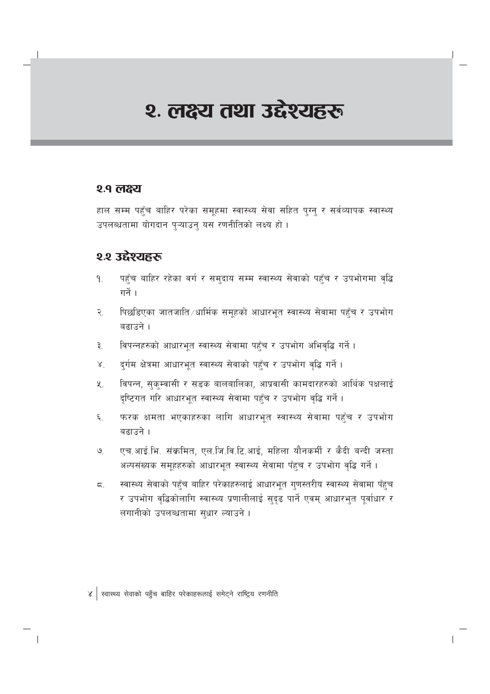## २. लक्ष्य तथा उद्देश्यहरू

### २.१ लक्ष्य

हाल सम्म पहुँच बाहिर परेका समूहमा स्वास्थ्य सेवा सहित पुग्न् र सर्वव्यापक स्वास्थ्य उपलब्धतामा योगदान पुऱ्याउन् यस रणनीतिको लक्ष्य हो।

### २.२ उद्देश्यहरू

- पहुँच बाहिर रहेका वर्ग र समुदाय सम्म स्वास्थ्य सेवाको पहुँच र उपभोगमा वृद्धि 9. गर्ने ।
- पिछडिएका जातजाति ⁄धार्मिक समूहको आधारभूत स्वास्थ्य सेवामा पहुँच र उपभोग २ बढाउने ।
- विपन्नहरुको आधारभूत स्वास्थ्य सेवामा पहुँच र उपभोग अभिवृद्धि गर्ने ।  $\mathcal{R}$ .
- $X_{1}$ दुर्गम क्षेत्रमा आधारभूत स्वास्थ्य सेवाको पहुँच र उपभोग वृद्धि गर्ने ।
- विपन्न, सुकुम्वासी र सडक बालबालिका, आप्रवासी कामदारहरुको आर्थिक पक्षलाई  $x_{1}$ दृष्टिगत गरि आधारभूत स्वास्थ्य सेवामा पहुँच र उपभोग वृद्धि गर्ने ।
- फरक क्षमता भएकाहरुका लागि आधारभूत स्वास्थ्य सेवामा पहुँच र उपभोग ६. बढाउने ।
- एच.आई.भि. संक्रमित, एल.जि.वि.टि.आई, महिला यौनकर्मी र कैदी बन्दी जस्ता  $\mathcal{O}_1$ अल्पसंख्यक समूहहरुको आधारभूत स्वास्थ्य सेवामा पँहच र उपभोग वृद्धि गर्ने।
- स्वास्थ्य सेवाको पहुँच बाहिर परेकाहरुलाई आधारभुत गुणस्तरीय स्वास्थ्य सेवामा पहुच  $5<sup>1</sup>$ र उपभोग वृद्धिकोलागि स्वास्थ्य प्रणालीलाई सुदृढ पार्ने एवम् आधारभुत पूर्वाधार र लगानीको उपलब्धतामा सुधार ल्याउने ।

४ | स्वास्थ्य सेवाको पहुँच बाहिर परेकाहरूलाई समेट्ने राष्ट्रिय रणनीति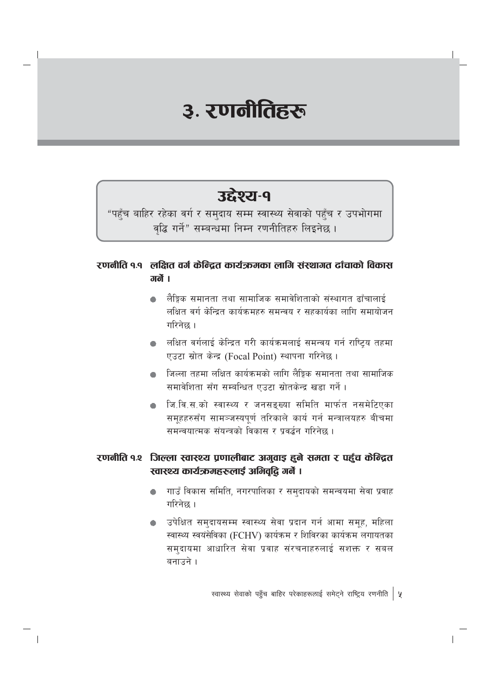## ३. रणनीतिहरू

## उद्देश्य-१

"पहुँच बाहिर रहेका वर्ग र समुदाय सम्म स्वास्थ्य सेवाको पहुँच र उपभोगमा वद्धि गर्ने" सम्बन्धमा निम्न रणनीतिहरु लिइनेछ ।

### रणनीति १.१ लक्षित वर्ग केन्द्रित कार्यऋमका लागि संस्थागत ढाँचाको विकास गर्ने ।

- लैङ्गिक समानता तथा सामाजिक समावेशिताको संस्थागत ढाँचालाई लक्षित वर्ग केन्द्रित कार्यक्रमहरु समन्वय र सहकार्यका लागि समायोजन गरिनेछ ।
- लक्षित वर्गलाई केन्द्रित गरी कार्यक्रमलाई समन्वय गर्न राष्ट्यि तहमा एउटा स्रोत केन्द्र (Focal Point) स्थापना गरिनेछ।
- जिल्ला तहमा लक्षित कार्यक्रमको लागि लैङ्गिक समानता तथा सामाजिक समावेशिता सँग सम्बन्धित एउटा स्रोतकेन्द्र खडा गर्ने।
- जि.वि.स.को स्वास्थ्य र जनसङख्या समिति मार्फत नसमेटिएका  $\bullet$ समहहरुसँग सामञ्जस्यपर्ण तरिकाले कार्य गर्न मन्त्रालयहरु बीचमा समन्वयात्मक संयन्त्रको विकास र प्रवर्द्धन गरिनेछ ।

### रणनीति १.२ जिल्ला स्वास्थ्य प्रणालीबाट अगुवाइ हुने समता र पहुँच केन्द्रित स्वास्थ्य कार्यजनमहरूलाई अभिवृद्धि गर्ने ।

- गाउँ विकास समिति, नगरपालिका र समुदायको समन्वयमा सेवा प्रवाह गरिनेछ ।
- उपेक्षित समुदायसम्म स्वास्थ्य सेवा प्रदान गर्न आमा समूह, महिला स्वास्थ्य स्वयंसेविका (FCHV) कार्यक्रम र शिविरका कार्यक्रम लगायतका समदायमा आधारित सेवा प्रवाह संरचनाहरुलाई सशक्त र सबल बनाउने ।

रवास्थ्य सेवाको पहुँच बाहिर परेकाहरूलाई समेट्ने राष्ट्रिय रणनीति | ५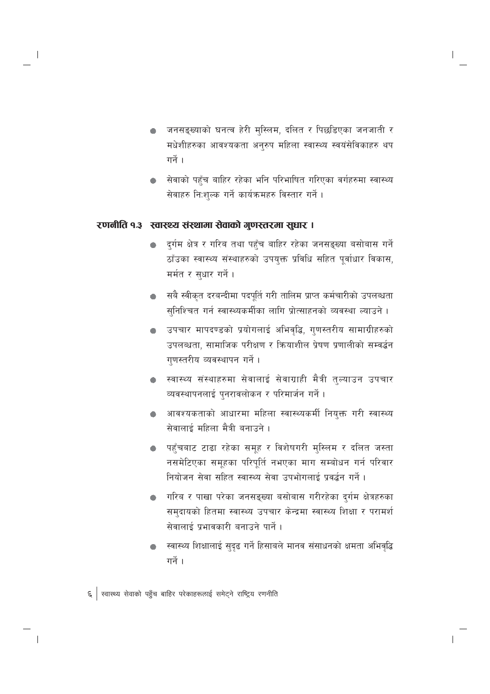- जनसङ्ख्याको घनत्व हेरी मुस्लिम, दलित र पिछडिएका जनजाती र मधेशीहरुका आवश्यकता अनुरुप महिला स्वास्थ्य स्वयंसेविकाहरु थप गर्ने ।
- सेवाको पहुँच बाहिर रहेका भनि परिभाषित गरिएका वर्गहरुमा स्वास्थ्य सेवाहरु निःशल्क गर्ने कार्यक्रमहरु विस्तार गर्ने।

### रणनीति १.३ स्वास्थ्य संस्थामा सेवाको गुणस्तरमा सुधार ।

 $\overline{\phantom{a}}$ 

 $\overline{\phantom{a}}$ 

- दुर्गम क्षेत्र र गरिब तथा पहुँच बाहिर रहेका जनसङ्ख्या बसोबास गर्ने ठाँउका स्वास्थ्य संस्थाहरुको उपयुक्त प्रविधि सहित पूर्वाधार विकास, मर्मत र सुधार गर्ने।
- सबै स्वीकृत दरबन्दीमा पदपुर्ति गरी तालिम प्राप्त कर्मचारीको उपलब्धता  $\bullet$ सुनिश्चित गर्न स्वास्थ्यकर्मीका लागि प्रोत्साहनको व्यवस्था ल्याउने ।
- उपचार मापदण्डको प्रयोगलाई अभिवृद्धि, गुणस्तरीय सामाग्रीहरुको उपलब्धता. सामाजिक परीक्षण र कियाशील प्रेषण प्रणालीको सम्वर्द्धन गणस्तरीय व्यवस्थापन गर्ने।
- स्वास्थ्य संस्थाहरुमा सेवालाई सेवाग्राही मैत्री तल्याउन उपचार व्यवस्थापनलाई पुनरावलोकन र परिमार्जन गर्ने ।
- आवश्यकताको आधारमा महिला स्वास्थ्यकर्मी नियुक्त गरी स्वास्थ्य सेवालाई महिला मैत्री बनाउने ।
- पहँचबाट टाढा रहेका समूह र विशेषगरी मुस्लिम र दलित जस्ता नसमेटिएका समुहका परिपुर्ति नभएका माग सम्बोधन गर्न परिवार नियोजन सेवा सहित स्वास्थ्य सेवा उपभोगलाई प्रवर्द्धन गर्ने।
- गरिब र पाखा परेका जनसङ्ख्या बसोबास गरीरहेका दुर्गम क्षेत्रहरुका समदायको हितमा स्वास्थ्य उपचार केन्द्रमा स्वास्थ्य शिक्षा र परामर्श सेवालाई प्रभावकारी बनाउने पार्ने।
- स्वास्थ्य शिक्षालाई सुदृढ गर्ने हिसाबले मानव संसाधनको क्षमता अभिवृद्धि गर्ने ।

६ स्वास्थ्य सेवाको पहुँच बाहिर परेकाहरूलाई समेट्ने राष्ट्रिय रणनीति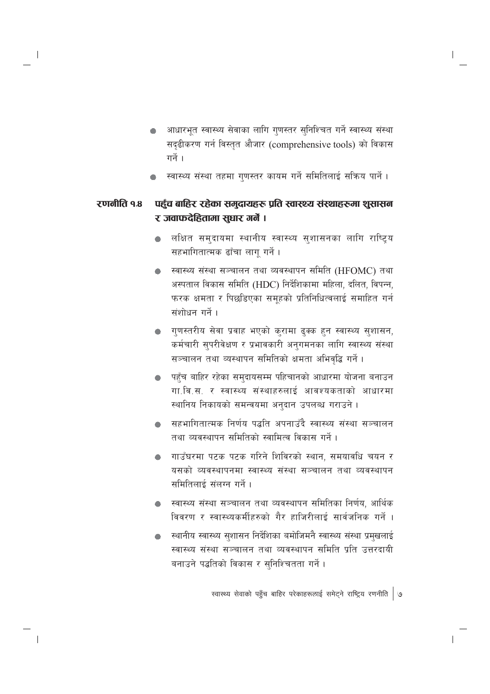- आधारभूत स्वास्थ्य सेवाका लागि गुणस्तर सुनिश्चित गर्ने स्वास्थ्य संस्था सदृढीकरण गर्न विस्तृत औजार (comprehensive tools) को विकास गर्ने ।
- स्वास्थ्य संस्था तहमा गणस्तर कायम गर्ने समितिलाई सक्रिय पार्ने ।

#### रणनीति १.८ पहुँच बाहिर रहेका समुदायहरू प्रति स्वास्थ्य संस्थाहरूमा शुसासन र जवाफदेहितामा सुधार गर्ने ।

- लक्षित समुदायमा स्थानीय स्वास्थ्य सुशासनका लागि राष्ट्रिय सहभागितात्मक ढाँचा लागू गर्ने।
- स्वास्थ्य संस्था सञ्चालन तथा व्यवस्थापन समिति (HFOMC) तथा अस्पताल विकास समिति (HDC) निर्देशिकामा महिला, दलित, विपन्न, फरक क्षमता र पिछडिएका समूहको प्रतिनिधित्वलाई समाहित गर्न संशोधन गर्ने ।
- गुणस्तरीय सेवा प्रवाह भएको कुरामा ढ्क्क हुन स्वास्थ्य सुशासन,  $\bullet$ कर्मचारी सुपरीवेक्षण र प्रभावकारी अनुगमनका लागि स्वास्थ्य संस्था सञ्चालन तथा व्यस्थापन समितिको क्षमता अभिवृद्धि गर्ने ।
- पहुँच बाहिर रहेका समुदायसम्म पहिचानको आधारमा योजना बनाउन  $\bullet$ गा वि.स. र स्वास्थ्य संस्थाहरुलाई आवश्यकताको आधारमा स्थानिय निकायको समन्वयमा अनुदान उपलब्ध गराउने।
- सहभागितात्मक निर्णय पद्धति अपनाउँदै स्वास्थ्य संस्था सञ्चालन तथा व्यवस्थापन समितिको स्वामित्व विकास गर्ने।
- गाउँघरमा पटक पटक गरिने शिविरको स्थान, समयावधि चयन र  $\bullet$ यसको व्यवस्थापनमा स्वास्थ्य संस्था सञ्चालन तथा व्यवस्थापन समितिलाई संलग्न गर्ने ।
- स्वास्थ्य संस्था सञ्चालन तथा व्यवस्थापन समितिका निर्णय, आर्थिक विवरण र स्वास्थ्यकर्मीहरुको गैर हाजिरीलाई सार्वजनिक गर्ने ।
- स्थानीय स्वास्थ्य सुशासन निर्देशिका बमोजिमनै स्वास्थ्य संस्था प्रमुखलाई स्वास्थ्य संस्था सञ्चालन तथा व्यवस्थापन समिति प्रति उत्तरदायी बनाउने पद्धतिको विकास र सनिश्चितता गर्ने।

 $\overline{\phantom{a}}$ 

रवास्थ्य सेवाको पहुँच बाहिर परेकाहरूलाई समेट्ने राष्ट्रिय रणनीति | ७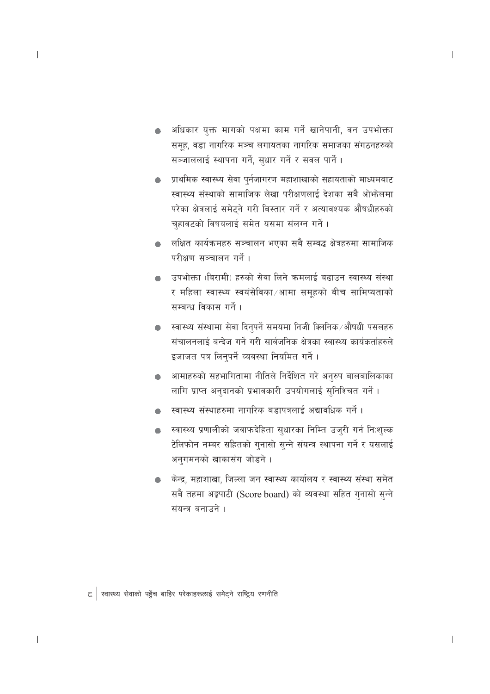- अधिकार युक्त मागको पक्षमा काम गर्ने खानेपानी, वन उपभोक्ता समूह, वडा नागरिक मञ्च लगायतका नागरिक समाजका संगठनहरुको सञ्जाललाई स्थापना गर्ने, सुधार गर्ने र सवल पार्ने ।
- प्राथमिक स्वास्थ्य सेवा पुर्नजागरण महाशाखाको सहायताको माध्यमबाट स्वास्थ्य संस्थाको सामाजिक लेखा परीक्षणलाई देशका सबै ओफेलमा परेका क्षेत्रलाई समेटने गरी बिस्तार गर्ने र अत्यावश्यक औषधीहरुको चुहावटको विषयलाई समेत यसमा संलग्न गर्ने ।
- लक्षित कार्यक्रमहरु सञ्चालन भएका सबै सम्बद्ध क्षेत्रहरुमा सामाजिक  $\bullet$ परीक्षण सञ्चालन गर्ने ।
- उपभोक्ता (बिरामी) हरुको सेवा लिने कमलाई बढाउन स्वास्थ्य संस्था र महिला स्वास्थ्य स्वयंसेविका आमा समूहको बीच सामिप्यताको सम्बन्ध विकास गर्ने।
- स्वास्थ्य संस्थामा सेवा दिनुपर्ने समयमा निजी क्लिनिक⁄औषधी पसलहरु  $\bullet$ संचालनलाई बन्देज गर्ने गरी सार्वजनिक क्षेत्रका स्वास्थ्य कार्यकर्ताहरुले इजाजत पत्र लिनुपर्ने व्यवस्था नियमित गर्ने।
- आमाहरुको सहभागितामा नीतिले निर्देशित गरे अनुरुप बालबालिकाका लागि प्राप्त अनुदानको प्रभावकारी उपयोगलाई सुनिश्चित गर्ने।
- स्वास्थ्य संस्थाहरुमा नागरिक बडापत्रलाई अद्यावधिक गर्ने ।
- स्वास्थ्य प्रणालीको जवाफदेहिता सुधारका निम्ति उजुरी गर्न निःशुल्क टेलिफोन नम्बर सहितको गुनासो सुन्ने संयन्त्र स्थापना गर्ने र यसलाई अनुगमनको खाकासँग जोडने ।
- केन्द्र, महाशाखा, जिल्ला जन स्वास्थ्य कार्यालय र स्वास्थ्य संस्था समेत सबै तहमा अङ्कपाटी (Score board) को व्यवस्था सहित गुनासो सुन्ने संयन्त्र बनाउने ।

 $\mathsf{c}$  | स्वास्थ्य सेवाको पहुँच बाहिर परेकाहरूलाई समेट्ने राष्ट्रिय रणनीति

 $\overline{\phantom{a}}$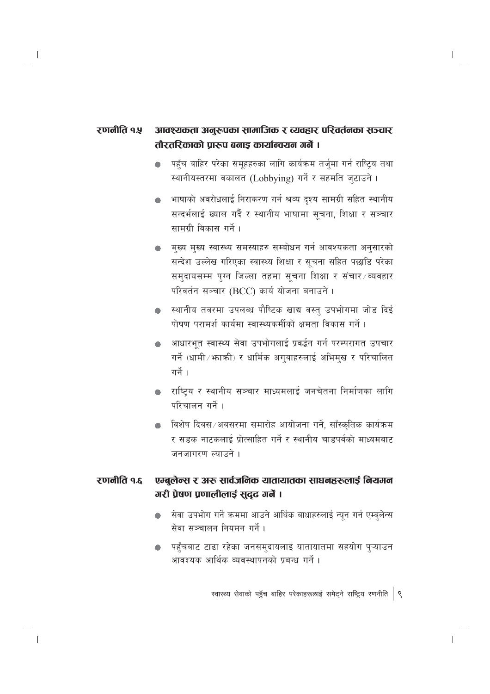#### रणनीति १.५ आवश्यकता अनुरूपका सामाजिक र व्यवहार परिवर्तनका सञ्चार तौरतरिकाको प्रारूप बनाइ कार्यान्वयन गर्ने ।

 $\overline{\phantom{a}}$ 

 $\overline{\phantom{a}}$ 

- पहुँच बाहिर परेका समूहहरुका लागि कार्यक्रम तर्जुमा गर्न राष्ट्रिय तथा स्थानीयस्तरमा वकालत (Lobbying) गर्ने र सहमति जुटाउने।
- भाषाको अवरोधलाई निराकरण गर्न श्रव्य दृश्य सामग्री सहित स्थानीय  $\bullet$ सन्दर्भलाई ख्याल गर्दै र स्थानीय भाषामा सचना, शिक्षा र सञ्चार सामग्री विकास गर्ने ।
- मुख्य मुख्य स्वास्थ्य समस्याहरु सम्बोधन गर्न आवश्यकता अनुसारको  $\bullet$ सन्देश उल्लेख गरिएका स्वास्थ्य शिक्षा र सूचना सहित पछाडि परेका समुदायसम्म पुग्न जिल्ला तहमा सूचना शिक्षा र संचार व्यवहार परिवर्तन सञ्चार (BCC) कार्य योजना बनाउने ।
- स्थानीय तवरमा उपलब्ध पौष्टिक खाद्य वस्त् उपभोगमा जोड दिई पोषण परामर्श कार्यमा स्वास्थ्यकर्मीको क्षमता विकास गर्ने ।
- आधारभूत स्वास्थ्य सेवा उपभोगलाई प्रवर्द्धन गर्न परम्परागत उपचार गर्ने (धामी / फाकी) र धार्मिक अगवाहरुलाई अभिमुख र परिचालित गर्ने ।
- राष्ट्रिय र स्थानीय सञ्चार माध्यमलाई जनचेतना निर्माणका लागि परिचालन गर्ने ।
- विशेष दिवस ∕ अवसरमा समारोह आयोजना गर्ने, साँस्कृतिक कार्यक्रम र सडक नाटकलाई प्रोत्साहित गर्ने र स्थानीय चाडपर्वको माध्यमबाट जनजागरण ल्याउने ।

#### रणनीति १.६ एम्बुलेन्स र अरू सार्वजनिक यातायातका साधनहरूलाई नियमन गरी प्रेषण प्रणालीलाई सुदुट गर्ने ।

- सेवा उपभोग गर्ने क्रममा आउने आर्थिक बाधाहरुलाई न्यून गर्न एम्बुलेन्स सेवा सञ्चालन नियमन गर्ने।
- पहँचबाट टाढा रहेका जनसमुदायलाई यातायातमा सहयोग पुऱ्याउन आवश्यक आर्थिक व्यवस्थापनको प्रबन्ध गर्ने ।

रवास्थ्य सेवाको पहुँच बाहिर परेकाहरूलाई समेट्ने राष्ट्रिय रणनीति | ९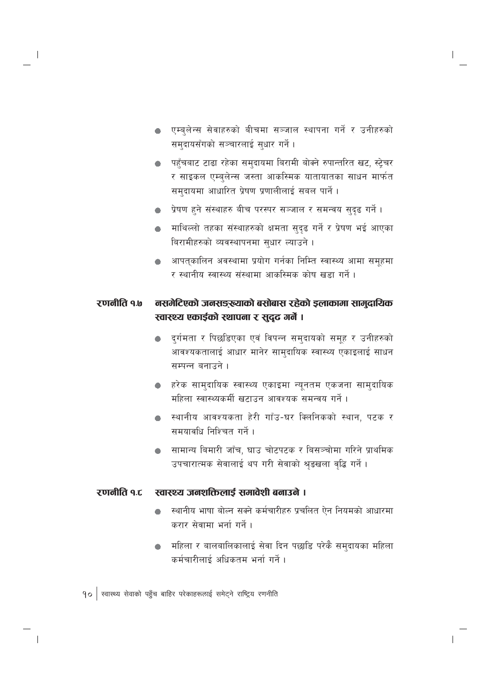- एम्ब्लेन्स सेवाहरुको बीचमा सञ्जाल स्थापना गर्ने र उनीहरुको समुदायसँगको सञ्चारलाई सुधार गर्ने।
- पहँचबाट टाढा रहेका समुदायमा बिरामी बोक्ने रुपान्तरित खट, स्ट्रेचर र साइकल एम्बुलेन्स जस्ता आकस्मिक यातायातका साधन मार्फत समदायमा आधारित प्रेषण प्रणालीलाई सबल पार्ने।
- ्प्रेषण हने संस्थाहरु बीच परस्पर सञ्जाल र समन्वय सुदृढ गर्ने ।
- माथिल्लो तहका संस्थाहरुको क्षमता सुदृढ गर्ने र प्रेषण भई आएका बिरामीहरुको व्यवस्थापनमा सुधार ल्याउने।
- आपत्कालिन अवस्थामा प्रयोग गर्नका निम्ति स्वास्थ्य आमा समूहमा र स्थानीय स्वास्थ्य संस्थामा आकस्मिक कोष खड़ा गर्ने ।

#### रणनीति १.७ नसमेटिएको जनसङ्ख्याको बसोबास रहेको इलाकामा सामुदायिक स्वास्थ्य एकाईको स्थापना र सुदृढ गर्ने ।

- दुर्गमता र पिछडिएका एवं विपन्न समुदायको समूह र उनीहरुको आवश्यकतालाई आधार मानेर सामुदायिक स्वास्थ्य एकाइलाई साधन सम्पन्न बनाउने ।
- हरेक सामदायिक स्वास्थ्य एकाइमा न्युनतम एकजना सामुदायिक महिला स्वास्थ्यकर्मी खटाउन आवश्यक समन्वय गर्ने।
- स्थानीय आवश्यकता हेरी गाँउ-घर क्लिनिकको स्थान, पटक र समयावधि निश्चित गर्ने ।
- सामान्य बिमारी जाँच, घाउ चोटपटक र बिसञ्चोमा गरिने प्राथमिक उपचारात्मक सेवालाई थप गरी सेवाको श्रुडखला वृद्धि गर्ने।

#### रणनीति १.८ स्वास्थ्य जनशक्तिलाई समावेशी बनाउने ।

- स्थानीय भाषा बोल्न सक्ने कर्मचारीहरु प्रचलित ऐन नियमको आधारमा करार सेवामा भर्ना गर्ने।
- महिला र बालबालिकालाई सेवा दिन पछाडि परेकै समुदायका महिला कर्मचारीलाई अधिकतम भर्ना गर्ने।

90 स्वास्थ्य सेवाको पहुँच बाहिर परेकाहरूलाई समेट्ने राष्ट्रिय रणनीति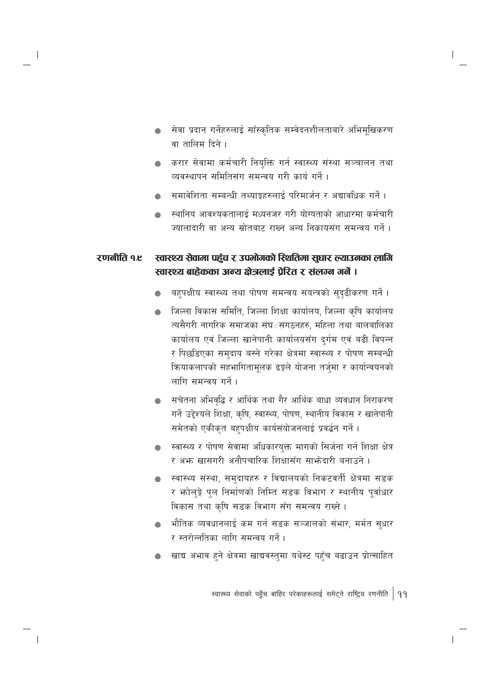- सेवा प्रदान गर्नेहरुलाई साँस्कृतिक सम्वेदनशीलताबारे अभिमुखिकरण वा तालिम दिने ।
- करार सेवामा कर्मचारी नियक्ति गर्न स्वास्थ्य संस्था सञ्चालन तथा व्यवस्थापन समितिसंग समन्वय गरी कार्य गर्ने।
- समावेशिता सम्बन्धी तथ्याइहरुलाई परिमार्जन र अद्यावधिक गर्ने ।
- स्थानिय आवश्यकतालाई मध्यनजर गरी योग्यताको आधारमा कर्मचारी ज्यालादारी वा अन्य स्रोतबाट राख्न अन्य निकायसंग समन्वय गर्ने।

#### रणनीति १.९ स्वास्थ्य सेवामा पहुँच र उपभोगको स्थितिमा सुधार ल्याउनका लागि स्वास्थ्य बाहेकका अन्य क्षेत्रलाई प्रेरित र संलग्न गर्ने ।

 $\overline{\phantom{a}}$ 

 $\overline{\phantom{a}}$ 

- बहुपक्षीय स्वास्थ्य तथा पोषण समन्वय संयन्त्रको सुदुढीकरण गर्ने ।
- जिल्ला विकास समिति, जिल्ला शिक्षा कार्यालय, जिल्ला कृषि कार्यालय  $\bullet$ त्यसैगरी नागरिक समाजका संघ⁄संगठनहरु, महिला तथा बालबालिका कार्यालय एवं जिल्ला खानेपानी कार्यालयसँग दर्गम एवं बढी विपन्न र पिछडिएका समुदाय बस्ने गरेका क्षेत्रमा स्वास्थ्य र पोषण सम्बन्धी कियाकलापको सहभागितामुलक ढङ्गले योजना तर्जुमा र कार्यान्वयनको लागि समन्वय गर्ने ।
- सचेतना अभिवद्धि र आर्थिक तथा गैर आर्थिक बाधा व्यवधान निराकरण  $\bullet$ गर्ने उद्देश्यले शिक्षा, कृषि, स्वास्थ्य, पोषण, स्थानीय विकास र खानेपानी समेतको एकीकृत बहुपक्षीय कार्यसंयोजनलाई प्रवर्द्धन गर्ने ।
- स्वास्थ्य र पोषण सेवामा अधिकारयुक्त मागको सिर्जना गर्न शिक्षा क्षेत्र  $\bullet$ र अफ्र खासगरी अनौपचारिक शिक्षासँग साफ़ेदारी बनाउने ।
- स्वास्थ्य संस्था, समुदायहरु र विद्यालयको निकटवर्ती क्षेत्रमा सडक र भोलुङ्गे पुल निर्माणको निम्ति सडक विभाग र स्थानीय पुर्वाधार विकास तथा कृषि सडक विभाग सँग समन्वय राख्ने।
- भौतिक व्यवधानलाई कम गर्न सडक सञ्जालको संभार, मर्मत सुधार र स्तरोन्नतिका लागि समन्वय गर्ने ।
- खाद्य अभाव हने क्षेत्रमा खाद्यवस्तुमा यथेस्ट पहुँच बढाउन प्रोत्साहित

स्वास्थ्य सेवाको पहुँच बाहिर परेकाहरूलाई समेट्ने राष्ट्रिय रणनीति | 99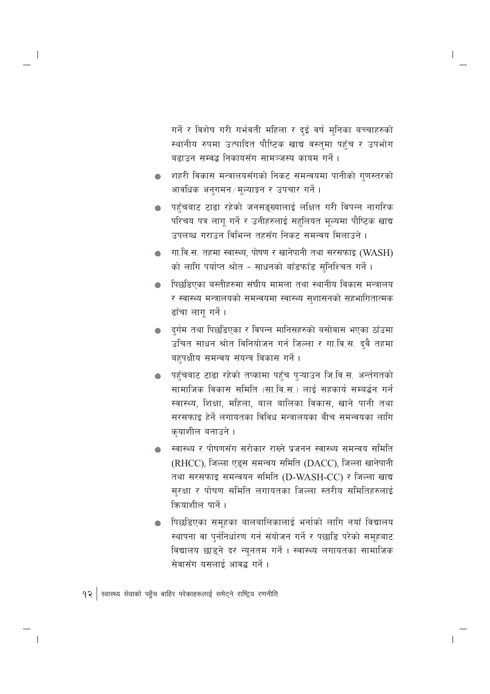गर्ने र विशेष गरी गर्भवती महिला र दुई वर्ष मुनिका बच्चाहरुको स्थानीय रुपमा उत्पादित पौष्टिक खाद्य वस्तुमा पहुँच र उपभोग बढाउन सम्बद्ध निकायसँग सामञ्जस्य कायम गर्ने ।

- शहरी विकास मन्त्रालयसँगको निकट समन्वयमा पानीको गुणस्तरको आवधिक अनुगमन ∕ मूल्याङ्कन र उपचार गर्ने ।
- पहँचबाट टाढा रहेको जनसङ्ख्यालाई लक्षित गरी विपन्न नागरिक परिचय पत्र लागू गर्ने र उनीहरुलाई सहलियत मूल्यमा पौष्टिक खाद्य उपलब्ध गराउन विभिन्न तहसँग निकट समन्वय मिलाउने ।
- गा.वि.स. तहमा स्वास्थ्य, पोषण र खानेपानी तथा सरसफाइ (WASH) को लागि पर्याप्त श्रोत - साधनको बाँडफाँड सनिश्चित गर्ने ।
- पिछडिएका बस्तीहरुमा संघीय मामला तथा स्थानीय विकास मन्त्रालय र स्वास्थ्य मन्त्रालयको समन्वयमा स्वास्थ्य सुशासनको सहभागितात्मक ढाँचा लाग गर्ने।
- दर्गम तथा पिछडिएका र विपन्न मानिसहरुको बसोबास भएका ठाँउमा उचित साधन श्रोत विनियोजन गर्न जिल्ला र गा.वि.स. दुवै तहमा बहपक्षीय समन्वय संयन्त्र विकास गर्ने।
- पहुँचबाट टाढा रहेको तप्कामा पहुँच प्ऱ्याउन जि.वि.स. अर्न्तगतको सामाजिक विकास समिति (सा.वि.स.) लाई सहकार्य सम्बर्द्धन गर्न स्वास्थ्य. शिक्षा. महिला. बाल बालिका विकास. खाने पानी तथा सरसफाइ हेर्ने लगायतका विविध मन्त्रालयका बीच समन्वयका लागि क्याशील बनाउने ।
- स्वास्थ्य र पोषणसँग सरोकार राख्ने प्रजनन स्वास्थ्य समन्वय समिति (RHCC), जिल्ला एड्स समन्वय समिति (DACC), जिल्ला खानेपानी तथा सरसफाइ समन्वयन समिति (D-WASH-CC) र जिल्ला खाद्य सुरक्षा र पोषण समिति लगायतका जिल्ला स्तरीय समितिहरुलाई कियाशील पार्ने ।
- पिछडिएका समूहका बालबालिकालाई भर्नाको लागि नयाँ विद्यालय स्थापना वा पुर्ननिर्धारण गर्न संयोजन गर्ने र पछाडि परेको समूहबाट विद्यालय छाड्ने दर न्यूनतम गर्ने । स्वास्थ्य लगायतका सामाजिक सेवासँग यसलाई आवद्व गर्ने ।

9२ स्वास्थ्य सेवाको पहुँच बाहिर परेकाहरूलाई समेट्ने राष्ट्रिय रणनीति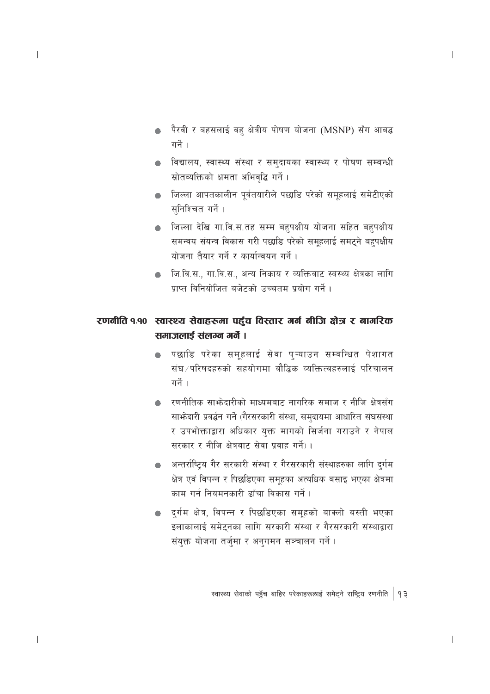पैरवी र बहसलाई बह क्षेत्रीय पोषण योजना (MSNP) सँग आबद्ध गर्ने ।

 $\overline{\phantom{a}}$ 

 $\overline{\phantom{a}}$ 

- विद्यालय, स्वास्थ्य संस्था र समुदायका स्वास्थ्य र पोषण सम्बन्धी  $\bullet$ स्रोतव्यक्तिको क्षमता अभिवद्धि गर्ने ।
- जिल्ला आपतकालीन पूर्वतयारीले पछाडि परेको समूहलाई समेटीएको सुनिश्चित गर्ने ।
- जिल्ला देखि गा.वि.स.तह सम्म बहपक्षीय योजना सहित बहपक्षीय  $\bullet$ समन्वय संयन्त्र विकास गरी पछाडि परेको समूहलाई समट्ने बहुपक्षीय योजना तैयार गर्ने र कार्यान्वयन गर्ने ।
- जि.वि.स., गा.वि.स., अन्य निकाय र व्यक्तिबाट स्वस्थ्य क्षेत्रका लागि प्राप्त विनियोजित बजेटको उच्चतम प्रयोग गर्ने ।

### रणनीति १.१० स्वास्थ्य सेवाहरूमा पहुँच विस्तार गर्न नीजि क्षेत्र र नागरिक समाजलार्ड संलग्न गर्ने ।

- पछाडि परेका समूहलाई सेवा पुऱ्याउन सम्बन्धित पेशागत संघ⁄परिषदहरुको सहयोगमा बौद्धिक व्यक्तित्वहरुलाई परिचालन गर्ने ।
- रणनीतिक साभ्रेदारीको माध्यमबाट नागरिक समाज र नीजि क्षेत्रसँग  $\bullet$ साभ्रेदारी प्रवर्द्धन गर्ने (गैरसरकारी संस्था, समुदायमा आधारित संघसंस्था र उपभोक्ताद्वारा अधिकार युक्त मागको सिर्जना गराउने र नेपाल सरकार र नीजि क्षेत्रबाट सेवा प्रवाह गर्ने)।
- अन्तर्राष्ट्रिय गैर सरकारी संस्था र गैरसरकारी संस्थाहरुका लागि दुर्गम क्षेत्र एवं विपन्न र पिछडिएका समूहका अत्यधिक बसाइ भएका क्षेत्रमा काम गर्न नियमनकारी ढाँचा विकास गर्ने ।
- दर्गम क्षेत्र, विपन्न र पिछडिएका समूहको बाक्लो बस्ती भएका  $\bullet$ इलाकालाई समेटनका लागि सरकारी संस्था र गैरसरकारी संस्थाद्वारा संयुक्त योजना तर्जुमा र अनुगमन सञ्चालन गर्ने ।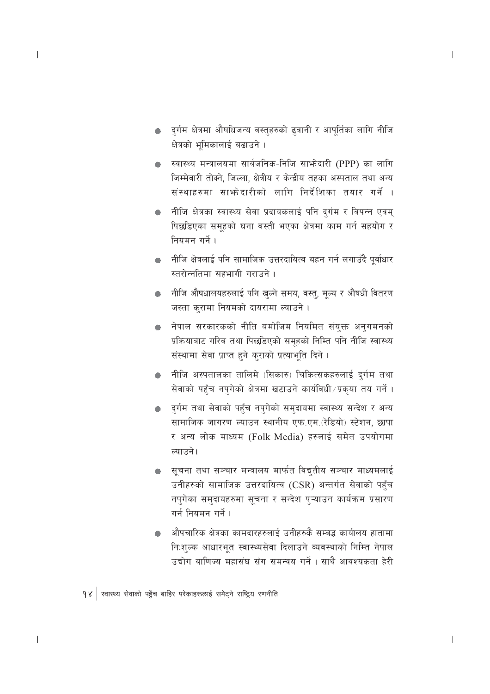- दुर्गम क्षेत्रमा औषधिजन्य वस्तुहरुको ढुवानी र आपूर्तिका लागि नीजि क्षेत्रको भूमिकालाई बढाउने ।
- स्वास्थ्य मन्त्रालयमा सार्वजनिक-निजि साभ्रेदारी (PPP) का लागि जिम्मेवारी तोक्ने, जिल्ला, क्षेत्रीय र केन्द्रीय तहका अस्पताल तथा अन्य संस्थाहरुमा साभ्रुदारीको लागि निर्देशिका तयार गर्ने ।
- नीजि क्षेत्रका स्वास्थ्य सेवा प्रदायकलाई पनि दर्गम र विपन्न एवम् पिछडिएका समूहको घना बस्ती भएका क्षेत्रमा काम गर्न सहयोग र नियमन गर्ने ।
- नीजि क्षेत्रलाई पनि सामाजिक उत्तरदायित्व बहन गर्न लगाउँदै पूर्वाधार स्तरोन्नतिमा सहभागी गराउने ।
- नीजि औषधालयहरुलाई पनि खल्ने समय, वस्त, मल्य र औषधी वितरण जस्ता करामा नियमको दायरामा ल्याउने।
- नेपाल सरकारकको नीति बमोजिम नियमित संयुक्त अनुगमनको प्रक्रियाबाट गरिब तथा पिछडिएको समुहको निम्ति पनि नीजि स्वास्थ्य संस्थामा सेवा प्राप्त हुने कुराको प्रत्याभूति दिने।
- नीजि अस्पतालका तालिमे (सिकारु) चिकित्सकहरुलाई दर्गम तथा सेवाको पहुँच नपुगेको क्षेत्रमा खटाउने कार्यविधी/प्रकृया तय गर्ने ।
- दुर्गम तथा सेवाको पहुँच नपुगेको समुदायमा स्वास्थ्य सन्देश र अन्य सामाजिक जागरण ल्याउन स्थानीय एफ.एम.(रेडियो) स्टेशन, छापा र अन्य लोक माध्यम (Folk Media) हरुलाई समेत उपयोगमा <u>ल्याउने।</u>
- सूचना तथा सञ्चार मन्त्रालय मार्फत विद्युतीय सञ्चार माध्यमलाई  $\bullet$ उनीहरुको सामाजिक उत्तरदायित्व (CSR) अन्तर्गत सेवाको पहँच नपुगेका समुदायहरुमा सूचना र सन्देश प्ऱ्याउन कार्यक्रम प्रसारण गर्न नियमन गर्ने ।
- औपचारिक क्षेत्रका कामदारहरुलाई उनीहरुकै सम्बद्ध कार्यालय हातामा  $\blacksquare$ निःशल्क आधारभत स्वास्थ्यसेवा दिलाउने व्यवस्थाको निम्ति नेपाल उद्योग वाणिज्य महासंघ सँग समन्वय गर्ने । साथै आवश्यकता हेरी

 $\overline{\phantom{a}}$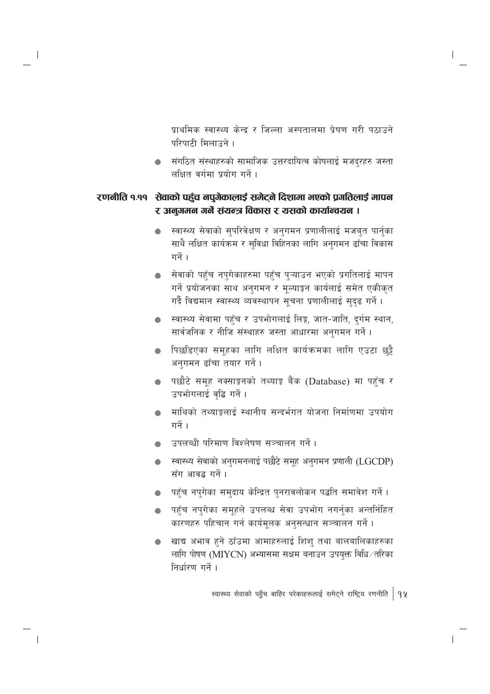प्राथमिक स्वास्थ्य केन्द्र र जिल्ला अस्पतालमा प्रेषण गरी पठाउने परिपाटी मिलाउने ।

संगठित संस्थाहरुको सामाजिक उत्तरदायित्व कोषलाई मजद्रहरु जस्ता लक्षित वर्गमा प्रयोग गर्ने ।

### रणनीति १.११ सेवाको पहुँच नपुगेकालाई समेटने दिशामा भएको प्रगतिलाई मापन र अनुगमन गर्ने संयन्त्र विकास र यसको कार्यान्वयन ।

 $\overline{\phantom{a}}$ 

- स्वास्थ्य सेवाको सुपरिवेक्षण र अनुगमन प्रणालीलाई मजबुत पार्नुका साथै लक्षित कार्यक्रम र सुविधा विहिनका लागि अनुगमन ढाँचा विकास गर्ने ।
- सेवाको पहुँच नपुगेकाहरुमा पहुँच प्ऱ्याउन भएको प्रगतिलाई मापन गर्ने प्रयोजनका साथ अनुगमन र मूल्याङ्कन कार्यलाई समेत एकीकृत गर्दै विद्यमान स्वास्थ्य व्यवस्थापन सूचना प्रणालीलाई सुदृढ गर्ने ।
- स्वास्थ्य सेवामा पहुँच र उपभोगलाई लिङ्ग, जात-जाति, दुर्गम स्थान, सार्वजनिक र नीजि संस्थाहरु जस्ता आधारमा अनुगमन गर्ने।
- पिछडिएका समूहका लागि लक्षित कार्यक्रमका लागि एउटा छुट्टै  $\bullet$ अनुगमन ढाँचा तयार गर्ने ।
- पछौटे समूह नक्साङ्गनको तथ्याङ्ग बैंक (Database) मा पहुँच र उपभोगलाई वृद्धि गर्ने ।
- माथिको तथ्याङ्कलाई स्थानीय सन्दर्भगत योजना निर्माणमा उपयोग गर्ने ।
- उपलब्धी परिमाण विश्लेषण सञ्चालन गर्ने ।
- स्वास्थ्य सेवाको अनुगमनलाई पछौटे समूह अनुगमन प्रणाली (LGCDP)  $\bullet$ सँग आवद्व गर्ने ।
- पहुँच नपुगेका समुदाय केन्द्रित पुनरावलोकन पद्धति समावेश गर्ने ।
- पहँच नपुगेका समूहले उपलब्ध सेवा उपभोग नगर्नुका अन्तर्निहित कारणहरु पहिचान गर्न कार्यमुलक अनुसन्धान सञ्चालन गर्ने ।
- खाद्य अभाव हुने ठाँउमा आमाहरुलाई शिश् तथा बालबालिकाहरुका लागि पोषण (MIYCN) अभ्यासमा सक्षम बनाउन उपयुक्त विधि ⁄ तरिका निर्धारण गर्ने।

रवास्थ्य सेवाको पहुँच बाहिर परेकाहरूलाई समेट्ने राष्ट्रिय रणनीति | १५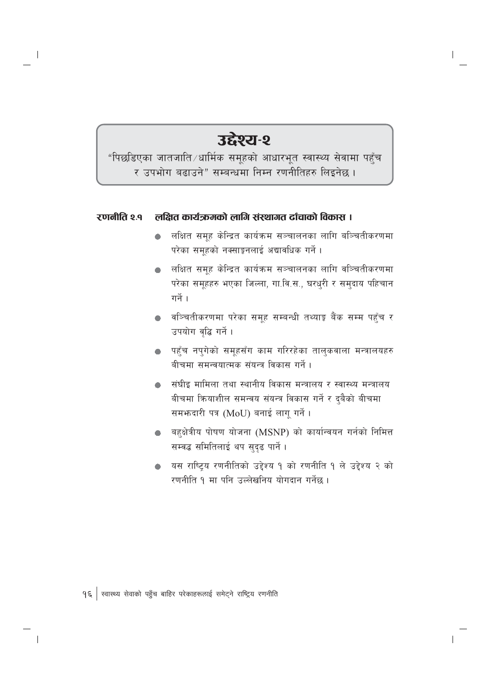## उद्देश्य-२

"पिछडिएका जातजाति ⁄धार्मिक समूहको आधारभूत स्वास्थ्य सेवामा पहुँच र उपभोग बढाउने" सम्बन्धमा निम्न रणनीतिहरु लिइनेछ ।

#### रणनीति २.१ लक्षित कार्यऊमको लागि संस्थागत ढाँचाको विकास ।

 $\overline{\phantom{a}}$ 

 $\overline{\phantom{a}}$ 

- लक्षित समह केन्द्रित कार्यक्रम सञ्चालनका लागि बञ्चितीकरणमा परेका समूहको नक्साङ्कनलाई अद्यावधिक गर्ने।
- लक्षित समुह केन्द्रित कार्यक्रम सञ्चालनका लागि वञ्चितीकरणमा परेका समुहहरु भएका जिल्ला, गा.वि.स., घरधुरी र समुदाय पहिचान गर्ने ।
- वञ्चितीकरणमा परेका समूह सम्बन्धी तथ्याङ्ग बैंक सम्म पहुँच र उपयोग वृद्धि गर्ने ।
- पहुँच नपुगेको समुहसँग काम गरिरहेका तालुकवाला मन्त्रालयहरु बीचमा समन्वयात्मक संयन्त्र विकास गर्ने।
- संघीइ मामिला तथा स्थानीय विकास मन्त्रालय र स्वास्थ्य मन्त्रालय  $\bullet$ बीचमा कियाशील समन्वय संयन्त्र विकास गर्ने र दुबैको बीचमा समफदारी पत्र (MoU) बनाई लाग गर्ने।
- बहुक्षेत्रीय पोषण योजना (MSNP) को कार्यान्वयन गर्नको निमित्त सम्बद्ध समितिलाई थप सुदृढ पार्ने।
- यस राष्टिय रणनीतिको उद्देश्य १ को रणनीति १ ले उद्देश्य २ को  $\bullet$ रणनीति १ मा पनि उल्लेखनिय योगदान गर्नेछ ।

9६ | स्वास्थ्य सेवाको पहुँच बाहिर परेकाहरूलाई समेट्ने राष्ट्रिय रणनीति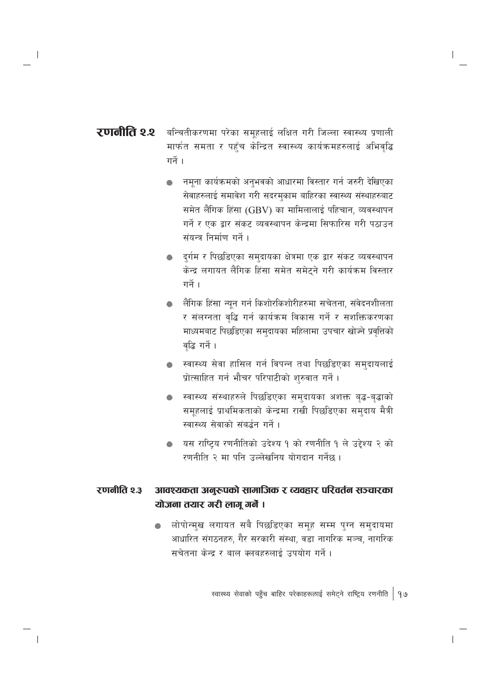रणनीति १.२ बन्चितीकरणमा परेका समूहलाई लक्षित गरी जिल्ला स्वास्थ्य प्रणाली मार्फत समता र पहुँच केन्द्रित स्वास्थ्य कार्यक्रमहरुलाई अभिवुद्धि गर्ने।

 $\overline{\phantom{a}}$ 

 $\overline{\phantom{a}}$ 

- नमूना कार्यक्रमको अनुभवको आधारमा विस्तार गर्न जरुरी देखिएका  $\bullet$ सेवाहरुलाई समावेश गरी सदरमुकाम बाहिरका स्वास्थ्य संस्थाहरुबाट समेत लैंगिक हिंसा (GBV) का मामिलालाई पहिचान, व्यवस्थापन गर्ने र एक द्वार संकट व्यवस्थापन केन्द्रमा सिफारिस गरी पठाउन संयन्त्र निर्माण गर्ने ।
- दर्गम र पिछडिएका समुदायका क्षेत्रमा एक द्वार संकट व्यवस्थापन  $\bullet$ केन्द्र लगायत लैंगिक हिंसा समेत समेटने गरी कार्यक्रम विस्तार गर्ने ।
- लैंगिक हिंसा न्यून गर्न किशोरकिशोरीहरुमा सचेतना, संवेदनशीलता  $\bullet$ र संलग्नता वृद्धि गर्न कार्यक्रम विकास गर्ने र सशक्तिकरणका माध्यमबाट पिछडिएका समुदायका महिलामा उपचार खोज्ने प्रवृत्तिको वद्धि गर्ने ।
- स्वास्थ्य सेवा हासिल गर्न विपन्न तथा पिछडिएका समुदायलाई  $\bullet$ प्रोत्साहित गर्न भौचर परिपाटीको शुरुवात गर्ने।
- स्वास्थ्य संस्थाहरुले पिछडिएका समुदायका अशक्त बृद्ध-बृद्धाको समूहलाई प्राथमिकताको केन्द्रमा राखी पिछडिएका समुदाय मैत्री स्वास्थ्य सेवाको संबर्द्धन गर्ने ।
- यस राष्ट्रिय रणनीतिको उदेश्य १ को रणनीति १ ले उद्देश्य २ को  $\bullet$ रणनीति २ मा पनि उल्लेखनिय योगदान गर्नेछ ।

#### रणनीति २.३ आवश्यकता अनुरूपको सामाजिक र व्यवहार परिवर्तन सञ्चारका योजना तयार गरी लाग गर्ने ।

लोपोन्मुख लगायत सबै पिछडिएका समूह सम्म पुग्न समुदायमा  $\bullet$ आधारित संगठनहरु, गैर सरकारी संस्था, वडा नागरिक मञ्च, नागरिक सचेतना केन्द्र र बाल क्लबहरुलाई उपयोग गर्ने ।

रवास्थ्य सेवाको पहुँच बाहिर परेकाहरूलाई समेट्ने राष्ट्रिय रणनीति | १७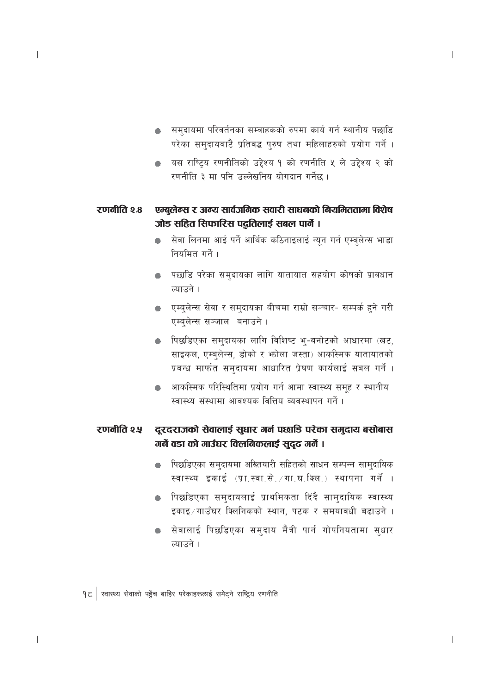- समुदायमा परिवर्तनका सम्वाहकको रुपमा कार्य गर्न स्थानीय पछाडि परेका समुदायबाटै प्रतिवद्ध पुरुष तथा महिलाहरुको प्रयोग गर्ने ।
- यस राष्ट्रिय रणनीतिको उद्देश्य १ को रणनीति ५ ले उद्देश्य २ को रणनीति ३ मा पनि उल्लेखनिय योगदान गर्नेछ ।

#### रणनीति २.८ एम्बुलेन्स र अन्य सार्वजनिक सवारी साधनको नियमिततामा विशेष जोड सहित सिफारिस पढुतिलाई सबल पार्ने ।

 $\overline{\phantom{a}}$ 

 $\overline{\phantom{a}}$ 

- सेवा लिनमा आई पर्ने आर्थिक कठिनाइलाई न्यून गर्न एम्बुलेन्स भाडा नियमित गर्ने ।
- पछाडि परेका समुदायका लागि यातायात सहयोग कोषको प्रावधान ल्याउने ।
- एम्बुलेन्स सेवा र समुदायका बीचमा राम्रो सञ्चार- सम्पर्क हुने गरी एम्बलेन्स सञ्जाल बनाउने।
- पिछडिएका समदायका लागि विशिष्ट भ-बनोटको आधारमा (खट,  $\bullet$ साइकल, एम्ब्लेन्स, डोको र भोला जस्ता) आकस्मिक यातायातको प्रबन्ध मार्फत समुदायमा आधारित प्रेषण कार्यलाई सबल गर्ने ।
- आकस्मिक परिस्थितिमा प्रयोग गर्न आमा स्वास्थ्य समूह र स्थानीय  $\bullet$ स्वास्थ्य संस्थामा आवश्यक वित्तिय व्यवस्थापन गर्ने ।

#### रणनीति २.५ दूरदराजको सेवालाई सुधार गर्न पछाडि परेका समुदाय बसोबास गर्ने वडा को गाउँघर क्लिनिकलाई सुदुढ गर्ने ।

- पिछडिएका समदायमा अख्तियारी सहितको साधन सम्पन्न सामदायिक स्वास्थ्य इकाई (प्रा.स्वा.से. ⁄गा.घ.क्लि.) स्थापना गर्ने ।
- पिछडिएका समदायलाई प्राथमिकता दिंदै सामदायिक स्वास्थ्य इकाइ /गाउँघर क्लिनिकको स्थान, पटक र समयावधी बढाउने ।
- सेवालाई पिछडिएका समुदाय मैत्री पार्न गोपनियतामा सुधार त्याउने ।

9८ | स्वास्थ्य सेवाको पहुँच बाहिर परेकाहरूलाई समेट्ने राष्ट्रिय रणनीति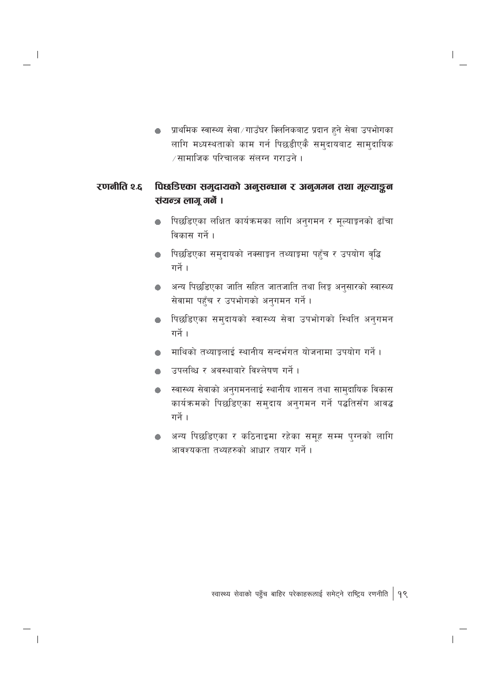प्राथमिक स्वास्थ्य सेवा⁄गाउँघर क्लिनिकबाट प्रदान हुने सेवा उपभोगका  $\bullet$ लागि मध्यस्थताको काम गर्न पिछडीएकै समुदायबाट सामुदायिक ∕सामाजिक परिचालक संलग्न गराउने ।

#### रणनीति २.६ पिछडिएका समुदायको अनुसन्धान र अनुगमन तथा मूल्याङ्गन संयन्त्र लागू गर्ने ।

 $\overline{\phantom{a}}$ 

 $\overline{\phantom{a}}$ 

- पिछडिएका लक्षित कार्यक्रमका लागि अनुगमन र मूल्याङ्कनको ढाँचा विकास गर्ने।
- पिछडिएका समुदायको नक्साङ्गन तथ्याङ्गमा पहुँच र उपयोग वृद्धि गर्ने ।
- अन्य पिछडिएका जाति सहित जातजाति तथा लिङ्ग अनुसारको स्वास्थ्य  $\bullet$ सेवामा पहुँच र उपभोगको अनुगमन गर्ने ।
- पिछडिएका समुदायको स्वास्थ्य सेवा उपभोगको स्थिति अनुगमन गर्ने ।
- माथिको तथ्याङ्लाई स्थानीय सन्दर्भगत योजनामा उपयोग गर्ने ।
- उपलब्धि र अवस्थाबारे विश्लेषण गर्ने ।  $\blacksquare$
- स्वास्थ्य सेवाको अनुगमनलाई स्थानीय शासन तथा सामुदायिक विकास  $\bullet$ कार्यक्रमको पिछडिएका समुदाय अनुगमन गर्ने पद्धतिसँग आवद्ध गर्ने ।
- अन्य पिछडिएका र कठिनाइमा रहेका समूह सम्म पुग्नको लागि आवश्यकता तथ्यहरुको आधार तयार गर्ने।

स्वास्थ्य सेवाको पहुँच बाहिर परेकाहरूलाई समेट्ने राष्ट्रिय रणनीति | १९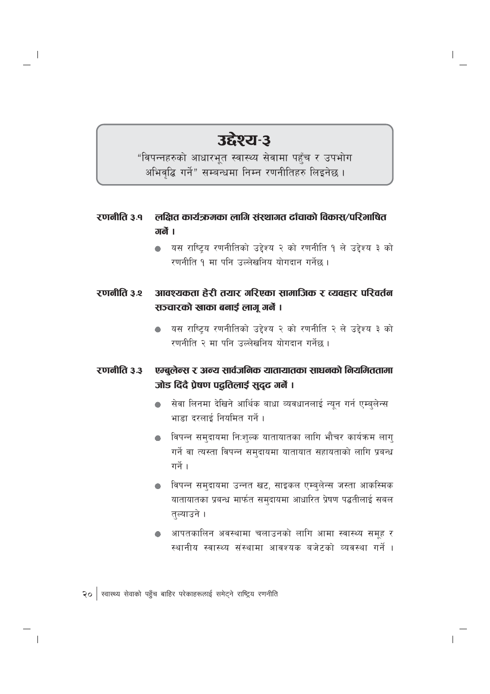## उद्देश्य-३

"विपन्नहरुको आधारभूत स्वास्थ्य सेवामा पहुँच र उपभोग अभिवद्धि गर्ने" सम्बन्धमा निम्न रणनीतिहरु लिइनेछ ।

#### रणनीति ३.१ लक्षित कार्यज्ञमका लागि संस्थागत ढाँचाको विकास/परिभाषित गर्ने ।

● यस राष्ट्रिय रणनीतिको उद्देश्य २ को रणनीति १ ले उद्देश्य ३ को रणनीति १ मा पनि उल्लेखनिय योगदान गर्नेछ ।

#### रणनीति ३.२ आवश्यकता हेरी तयार गरिएका सामाजिक र व्यवहार परिवर्तन सञ्चारको खाका बनाई लाग गर्ने ।

● यस राष्ट्रिय रणनीतिको उद्देश्य २ को रणनीति २ ले उद्देश्य ३ को रणनीति २ मा पनि उल्लेखनिय योगदान गर्नेछ ।

#### रणनीति ३.३ एम्बुलेन्स र अन्य सार्वजनिक यातायातका साधनको नियमिततामा जोड दिंदै प्रेषण पद्धतिलाई सुदृढ गर्ने ।

- सेवा लिनमा देखिने आर्थिक बाधा व्यवधानलाई न्यून गर्न एम्ब्लेन्स भाडा दरलाई नियमित गर्ने।
- विपन्न समुदायमा निःशुल्क यातायातका लागि भौचर कार्यक्रम लाग  $\bullet$ गर्ने वा त्यस्ता विपन्न समुदायमा यातायात सहायताको लागि प्रबन्ध गर्ने।
- विपन्न समुदायमा उन्नत खट, साइकल एम्बुलेन्स जस्ता आकस्मिक यातायातका प्रबन्ध मार्फत समुदायमा आधारित प्रेषण पद्धतीलाई सबल तुल्याउने ।
- ् आपतकालिन अवस्थामा चलाउनको लागि आमा स्वास्थ्य समूह र स्थानीय स्वास्थ्य संस्थामा आवश्यक बजेटको व्यवस्था गर्ने ।

२० स्वास्थ्य सेवाको पहुँच बाहिर परेकाहरूलाई समेट्ने राष्ट्रिय रणनीति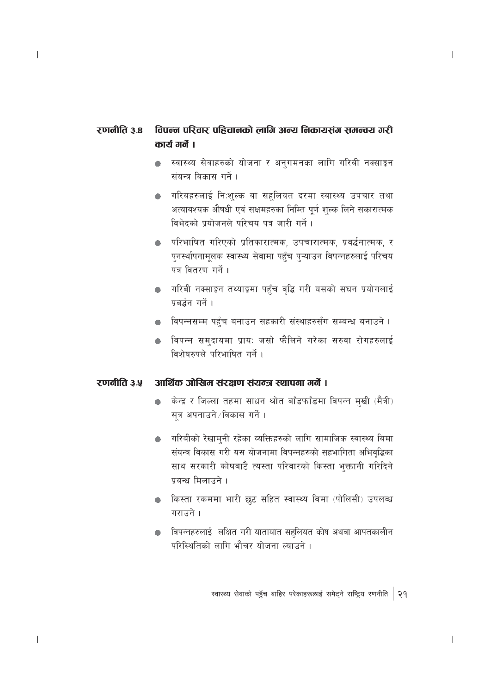#### रणनीति ३.८ विपन्न परिवार पहिचानको लागि अन्य निकायसंग समन्वय गरी कार्य गर्ने ।

 $\overline{\phantom{a}}$ 

 $\overline{\phantom{a}}$ 

- स्वास्थ्य सेवाहरुको योजना र अनुगमनका लागि गरिबी नक्साङून संयन्त्र विकास गर्ने ।
- गरिबहरुलाई निःशुल्क वा सहलियत दरमा स्वास्थ्य उपचार तथा अत्यावश्यक औषधी एवं सक्षमहरुका निम्ति पूर्ण शुल्क लिने सकारात्मक विभेदको प्रयोजनले परिचय पत्र जारी गर्ने ।
- परिभाषित गरिएको प्रतिकारात्मक, उपचारात्मक, प्रवर्द्धनात्मक, र  $\bullet$ पुनर्स्थापनामुलक स्वास्थ्य सेवामा पहुँच पुऱ्याउन विपन्नहरुलाई परिचय पत्र वितरण गर्ने ।
- गरिबी नक्साङ्कन तथ्याङ्कमा पहँच वृद्धि गरी यसको सघन प्रयोगलाई प्रबर्द्धन गर्ने ।
- विपन्नसम्म पहुँच बनाउन सहकारी संस्थाहरुसँग सम्बन्ध बनाउने ।
- विपन्न समुदायमा प्रायः जसो फैलिने गरेका सरुवा रोगहरुलाई विशेषरुपले परिभाषित गर्ने ।

#### रणनीति ३.५ आर्थिक जोखिम संरक्षण संयन्त्र स्थापना गर्ने ।

- केन्द्र र जिल्ला तहमा साधन श्रोत बाँडफाँडमा विपन्न मुखी (मैत्री) सूत्र अपनाउने ∕विकास गर्ने ।
- गरिबीको रेखामुनी रहेका व्यक्तिहरुको लागि सामाजिक स्वास्थ्य बिमा  $\bullet$ संयन्त्र विकास गरी यस योजनामा विपन्नहरुको सहभागिता अभिवृद्धिका साथ सरकारी कोषबाटै त्यस्ता परिवारको किस्ता भुक्तानी गरिदिने प्रबन्ध मिलाउने ।
- किस्ता रकममा भारी छट सहित स्वास्थ्य बिमा (पोलिसी) उपलब्ध गराउने ।
- विपन्नहरुलाई लक्षित गरी यातायात सहलियत कोष अथवा आपतकालीन परिस्थितिको लागि भौचर योजना ल्याउने ।

स्वास्थ्य सेवाको पहुँच बाहिर परेकाहरूलाई समेट्ने राष्ट्रिय रणनीति | २१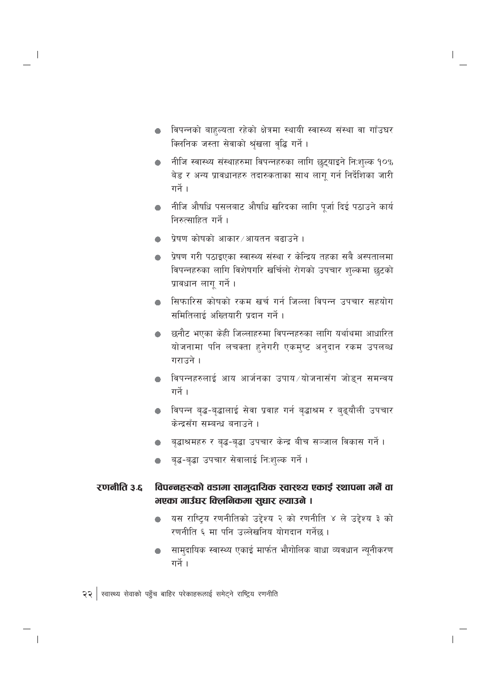- विपन्नको बाहल्यता रहेको क्षेत्रमा स्थायी स्वास्थ्य संस्था वा गाँउघर  $\bullet$ क्लिनिक जस्ता सेवाको श्रृंखला वृद्धि गर्ने।
- नीजि स्वास्थ्य संस्थाहरुमा विपन्नहरुका लागि छुट्याइने निःशुल्क १०% बेड र अन्य प्रावधानहरु तदारुकताका साथ लागु गर्न निर्देशिका जारी गर्ने ।
- नीजि औषधि पसलबाट औषधि खरिदका लागि पूर्जा दिई पठाउने कार्य  $\bullet$ निरुत्साहित गर्ने ।
- प्रेषण कोषको आकार ⁄आयतन बढाउने ।

 $\overline{\phantom{a}}$ 

 $\overline{\phantom{a}}$ 

- प्रेषण गरी पठाइएका स्वास्थ्य संस्था र केन्द्रिय तहका सबै अस्पतालमा  $\bullet$ विपन्नहरुका लागि विशेषगरि खर्चिलो रोगको उपचार शल्कमा छटको प्रावधान लागु गर्ने ।
- सिफारिस कोषको रकम खर्च गर्न जिल्ला विपन्न उपचार सहयोग समितिलाई अख्तियारी प्रदान गर्ने ।
- छनौट भएका केही जिल्लाहरुमा विपन्नहरुका लागि यर्थाथमा आधारित योजनामा पनि लचक्ता हुनेगरी एकमुष्ट अनुदान रकम उपलब्ध गराउने ।
- विपन्नहरुलाई आय आर्जनका उपाय ∕योजनासँग जोड्न समन्वय गर्ने ।
- ्विपन्न बद्ध-बद्धालाई सेवा प्रवाह गर्न बद्धाश्रम र बढयौली उपचार  $\bullet$ केन्द्रसँग सम्बन्ध बनाउने ।
- बृद्धाश्रमहरु र बृद्ध-बृद्धा उपचार केन्द्र बीच सञ्जाल विकास गर्ने ।
- बृद्ध-बृद्धा उपचार सेवालाई निःशुल्क गर्ने।

#### रणनीति ३.६ विपन्नहरूको वडामा सामुदायिक स्वास्थ्य एकाई स्थापना गर्ने वा भएका गाउँघर क्लिनिकमा सधार ल्याउने ।

- यस राष्टिय रणनीतिको उद्देश्य २ को रणनीति ४ ले उद्देश्य ३ को  $\bullet$ रणनीति ६ मा पनि उल्लेखनिय योगदान गर्नेछ ।
- सामुदायिक स्वास्थ्य एकाई मार्फत भौगोलिक बाधा व्यवधान न्यूनीकरण गर्ने ।

२२ स्वास्थ्य सेवाको पहुँच बाहिर परेकाहरूलाई समेट्ने राष्ट्रिय रणनीति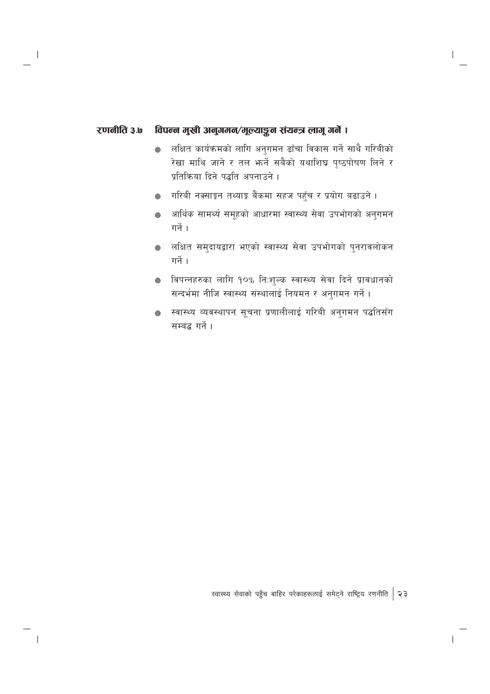#### विपन्न मुखी अनुगमन/मूल्याङ्कन संयन्त्र लागू गर्ने । रणनीति ३.७

 $\overline{\phantom{a}}$ 

 $\overline{\phantom{a}}$ 

- लक्षित कार्यक्रमको लागि अनुगमन ढाँचा विकास गर्ने साथै गरिबीको  $\bullet$ रेखा माथि जाने र तल भन्नें सबैको यथाशिघ्र पृष्ठपोषण लिने र प्रतिक्रिया दिने पद्धति अपनाउने ।
- गरिबी नक्साङ्गन तथ्याङ्ग बैंकमा सहज पहुँच र प्रयोग बढाउने ।  $\bullet$
- आर्थिक सामर्थ्य समुहको आधारमा स्वास्थ्य सेवा उपभोगको अनुगमन गर्ने ।
- लक्षित समुदायद्वारा भएको स्वास्थ्य सेवा उपभोगको पुनरावलोकन  $\bullet$ गर्ने ।
- विपन्नहरुका लागि १०% निःशुल्क स्वास्थ्य सेवा दिने प्रावधानको  $\bullet$ सन्दर्भमा नीजि स्वास्थ्य संस्थालाई नियमन र अनुगमन गर्ने।
- स्वास्थ्य व्यवस्थापन सूचना प्रणालीलाई गरिबी अनुगमन पद्बतिसँग  $\bullet$ सम्बद्ध गर्ने ।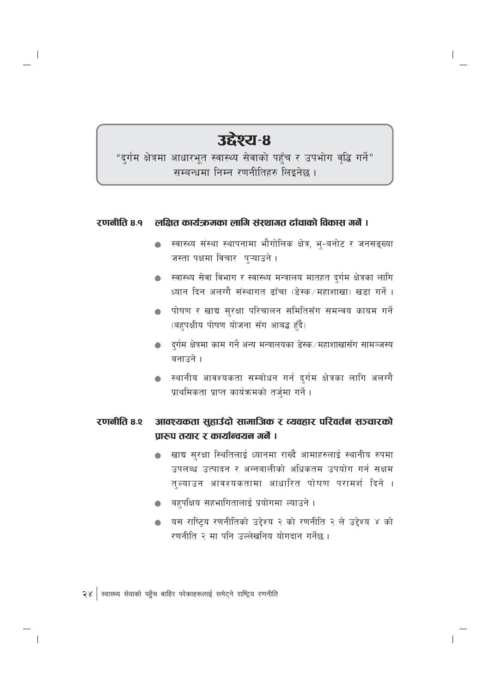# उद्देश्य-8

"दुर्गम क्षेत्रमा आधारभूत स्वास्थ्य सेवाको पहुँच र उपभोग वृद्धि गर्ने" सम्बन्धमा निम्न रणनीतिहरु लिइनेछ ।

#### रणनीति ८.१ लक्षित कार्यजनका लागि संस्थागत ढाँचाको विकास गर्ने ।

- स्वास्थ्य संस्था स्थापनामा भौगोलिक क्षेत्र, भू-बनोट र जनसङ्ख्या जस्ता पक्षमा विचार प्ऱ्याउने ।
- स्वास्थ्य सेवा विभाग र स्वास्थ्य मन्त्रालय मातहत दुर्गम क्षेत्रका लागि  $\bullet$ ध्यान दिन अलग्गै संस्थागत ढाँचा (डेस्क / महाशाखा) खडा गर्ने ।
- पोषण र खाद्य सरक्षा परिचालन समितिसँग समन्वय कायम गर्ने  $\bullet$ (बहुपक्षीय पोषण योजना सँग आबद्ध हुँदै)
- दुर्गम क्षेत्रमा काम गर्ने अन्य मन्त्रालयका डेस्क⁄महाशाखासँग सामञ्जस्य बनाउने ।
- स्थानीय आवश्यकता सम्बोधन गर्न दर्गम क्षेत्रका लागि अलग्गै प्राथमिकता प्राप्त कार्यक्रमको तर्जुमा गर्ने ।

## रणनीति ८.२ आवश्यकता सहाउँदो सामाजिक र व्यवहार परिवर्तन सञ्चारको प्रारूप तयार र कार्यान्वयन गर्ने ।

- खाद्य सुरक्षा स्थितिलाई ध्यानमा राख्दै आमाहरुलाई स्थानीय रुपमा उपलब्ध उत्पादन र अन्नबालीको अधिकतम उपयोग गर्न सक्षम तल्याउन आवश्यकतामा आधारित पोषण परामर्श दिने ।
- बहपक्षिय सहभागितालाई प्रयोगमा ल्याउने ।
- यस राष्ट्रिय रणनीतिको उद्देश्य २ को रणनीति २ ले उद्देश्य ४ को रणनीति २ मा पनि उल्लेखनिय योगदान गर्नेछ ।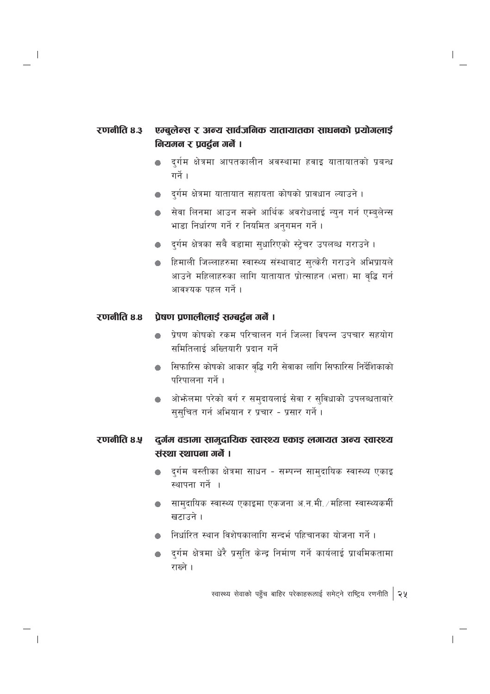## एम्बुलेन्स र अन्य सार्वजनिक यातायातका साधनको प्रयोगलाई रणनीति ८.३ नियमन र प्रवर्द्वन गर्ने ।

- दुर्गम क्षेत्रमा आपतकालीन अवस्थामा हवाइ यातायातको प्रबन्ध गर्ने ।
- दुर्गम क्षेत्रमा यातायात सहायता कोषको प्रावधान ल्याउने ।
- सेवा लिनमा आउन सक्ने आर्थिक अवरोधलाई न्यन गर्न एम्बलेन्स भाडा निर्धारण गर्ने र नियमित अनुगमन गर्ने।
- दुर्गम क्षेत्रका सबै वडामा सुधारिएको स्ट्रेचर उपलब्ध गराउने ।
- हिमाली जिल्लाहरुमा स्वास्थ्य संस्थाबाट सुत्केरी गराउने अभिप्रायले आउने महिलाहरुका लागि यातायात प्रोत्साहन (भत्ता) मा वृद्धि गर्न आवश्यक पहल गर्ने ।

#### रणनीति ८.८ प्रेषण प्रणालीलाई सम्बर्द्धन गर्ने ।

 $\overline{\phantom{a}}$ 

 $\overline{\phantom{a}}$ 

- प्रेषण कोषको रकम परिचालन गर्न जिल्ला विपन्न उपचार सहयोग समितिलाई अख्तियारी प्रदान गर्ने
- सिफारिस कोषको आकार वृद्धि गरी सेवाका लागि सिफारिस निर्देशिकाको परिपालना गर्ने ।
- ओभोलमा परेको वर्ग र समुदायलाई सेवा र सुविधाको उपलब्धताबारे सुसुचित गर्न अभियान र प्रचार - प्रसार गर्ने।

## रणनीति ८.५ दुर्गम वडामा सामुदायिक स्वास्थ्य एकाइ लगायत अन्य स्वास्थ्य संस्था स्थापना गर्ने ।

- दुर्गम बस्तीका क्षेत्रमा साधन सम्पन्न सामुदायिक स्वास्थ्य एकाइ स्थापना गर्ने ।
- सामुदायिक स्वास्थ्य एकाइमा एकजना अ.न.मी. ⁄ महिला स्वास्थ्यकर्मी खटाउने ।
- निर्धारित स्थान विशेषकालागि सन्दर्भ पहिचानका योजना गर्ने ।  $\blacksquare$
- दुर्गम क्षेत्रमा धेरै प्रसुति केन्द्र निर्माण गर्ने कार्यलाई प्राथमिकतामा  $\bullet$ राख्ने ।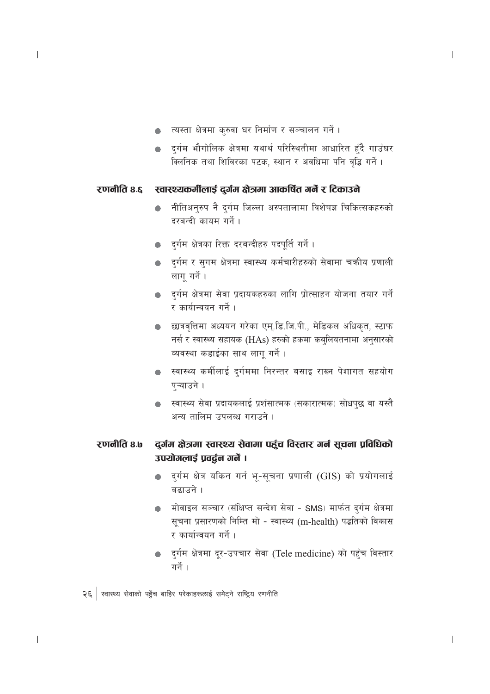- त्यस्ता क्षेत्रमा कुरुवा घर निर्माण र सञ्चालन गर्ने ।
- दर्गम भौगोलिक क्षेत्रमा यथार्थ परिस्थितीमा आधारित हँदै गाउँघर  $\bullet$ क्लिनिक तथा शिविरका पटक, स्थान र अवधिमा पनि वृद्धि गर्ने ।

#### रणनीति ८.६ स्वास्थ्यकर्मीलाई दुर्गम क्षेत्रमा आकर्षित गर्ने र टिकाउने

 $\overline{\phantom{a}}$ 

 $\overline{\phantom{a}}$ 

- नीतिअनुरुप नै दुर्गम जिल्ला अस्पतालामा विशेषज्ञ चिकित्सकहरुको दरबन्दी कायम गर्ने ।
- दुर्गम क्षेत्रका रिक्त दरबन्दीहरु पदपूर्ति गर्ने ।
- दुर्गम र सुगम क्षेत्रमा स्वास्थ्य कर्मचारीहरुको सेवामा चक्रीय प्रणाली लाग गर्ने ।
- दुर्गम क्षेत्रमा सेवा प्रदायकहरुका लागि प्रोत्साहन योजना तयार गर्ने  $\bullet$ र कार्यान्वयन गर्ने ।
- छात्रवृत्तिमा अध्ययन गरेका एम्.डि.जि.पी., मेडिकल अधिकृत, स्टाफ नर्स र स्वास्थ्य सहायक (HAs) हरुको हकमा कबुलियतनामा अनुसारको व्यवस्था कडाईका साथ लागु गर्ने।
- स्वास्थ्य कर्मीलाई दुर्गममा निरन्तर बसाइ राख्न पेशागत सहयोग प्ऱ्याउने ।
- स्वास्थ्य सेवा प्रदायकलाई प्रशंसात्मक (सकारात्मक) सोधपूछ वा यस्तै अन्य तालिम उपलब्ध गराउने ।

### रणनीति ८.७ दुर्गम क्षेत्रमा स्वास्थ्य सेवामा पहुँच विस्तार गर्न सूचना प्रविधिको उपयोगलाई प्रवर्द्धन गर्ने ।

- दुर्गम क्षेत्र यकिन गर्न भू-सूचना प्रणाली (GIS) को प्रयोगलाई बढाउने ।
- मोवाइल सञ्चार (संक्षिप्त सन्देश सेवा SMS) मार्फत दुर्गम क्षेत्रमा सूचना प्रसारणको निम्ति मो - स्वास्थ्य (m-health) पद्धतिको विकास र कार्यान्वयन गर्ने ।
- दुर्गम क्षेत्रमा दूर-उपचार सेवा (Tele medicine) को पहुँच विस्तार  $\bullet$ गर्ने ।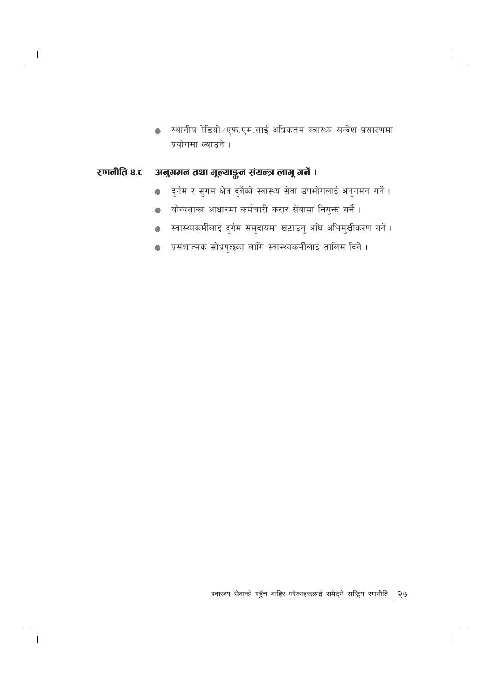स्थानीय रेडियो / एफ.एम.लाई अधिकतम स्वास्थ्य सन्देश प्रसारणमा  $\bullet$ प्रयोगमा ल्याउने ।

 $\overline{\phantom{a}}$ 

#### अनुगमन तथा मूल्याङ्गन संयन्त्र लागू गर्ने । रणनीति 8.ट

 $\overline{\phantom{a}}$ 

 $\overline{\phantom{a}}$ 

- दुर्गम र सुगम क्षेत्र दुबैको स्वास्थ्य सेवा उपभोगलाई अनुगमन गर्ने ।  $\bullet$
- योग्यताका आधारमा कर्मचारी करार सेवामा नियुक्त गर्ने।  $\bullet$
- स्वास्थ्यकर्मीलाई दुर्गम समुदायमा खटाउनु अघि अभिमुखीकरण गर्ने ।
- प्रसंशात्मक सोधपुछका लागि स्वास्थ्यकर्मीलाई तालिम दिने ।

स्वास्थ्य सेवाको पहुँच बाहिर परेकाहरूलाई समेट्ने राष्ट्रिय रणनीति <mark>| २</mark>७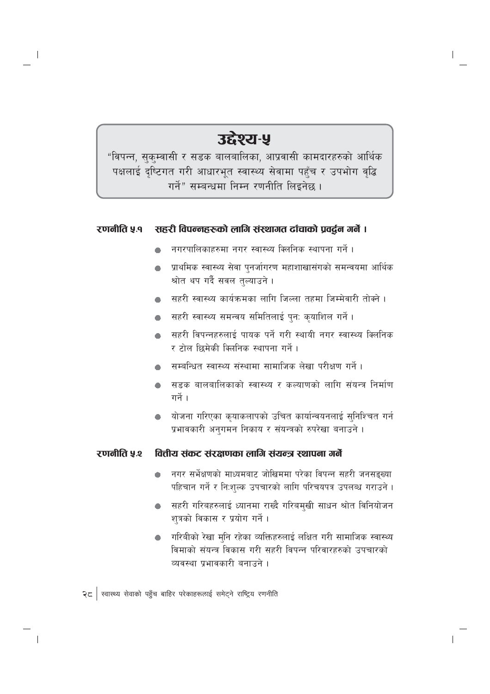# उद्देश्य-५

"विपन्न, सुकुम्वासी र सडक बालबालिका, आप्रवासी कामदारहरुको आर्थिक पक्षलाई दृष्टिगत गरी आधारभूत स्वास्थ्य सेवामा पहुँच र उपभोग वृद्धि गर्ने" सम्बन्धमा निम्न रणनीति लिइनेछ ।

#### रणनीति ५.१ सहरी विपन्नहरूको लागि संस्थागत ढाँचाको प्रवर्द्वन गर्ने ।

- नगरपालिकाहरुमा नगर स्वास्थ्य क्लिनिक स्थापना गर्ने।
- प्राथमिक स्वास्थ्य सेवा पुनर्जागरण महाशाखासंगको समन्वयमा आर्थिक श्रोत थप गर्दै सवल तल्याउने ।
- सहरी स्वास्थ्य कार्यक्रमका लागि जिल्ला तहमा जिम्मेवारी तोक्ने ।  $\blacksquare$
- सहरी स्वास्थ्य समन्वय समितिलाई पुनः कृयाशिल गर्ने।
- सहरी विपन्नहरुलाई पायक पर्ने गरी स्थायी नगर स्वास्थ्य क्लिनिक र टोल छिमेकी क्लिनिक स्थापना गर्ने।
- सम्बन्धित स्वास्थ्य संस्थामा सामाजिक लेखा परीक्षण गर्ने ।
- सडक बालबालिकाको स्वास्थ्य र कल्याणको लागि संयन्त्र निर्माण गर्ने ।
- योजना गरिएका कृयाकलापको उचित कार्यान्वयनलाई सुनिश्चित गर्न प्रभावकारी अनुगमन निकाय र संयन्त्रको रुपरेखा बनाउने ।

#### रणनीति ५.२ वितीय संकट संरक्षणका लागि संयन्त्र स्थापना गर्ने

- नगर सर्भेक्षणको माध्यमबाट जोखिममा परेका विपन्न सहरी जनसङ्ख्या पहिचान गर्ने र निःशुल्क उपचारको लागि परिचयपत्र उपलब्ध गराउने ।
- सहरी गरिबहरुलाई ध्यानमा राख्दै गरिबमुखी साधन श्रोत विनियोजन शत्रको विकास र प्रयोग गर्ने ।
- गरिबीको रेखा मुनि रहेका व्यक्तिहरुलाई लक्षित गरी सामाजिक स्वास्थ्य विमाको संयन्त्र विकास गरी सहरी विपन्न परिवारहरुको उपचारको व्यवस्था प्रभावकारी बनाउने ।

२८ | स्वास्थ्य सेवाको पहुँच बाहिर परेकाहरूलाई समेट्ने राष्ट्रिय रणनीति

 $\overline{\phantom{a}}$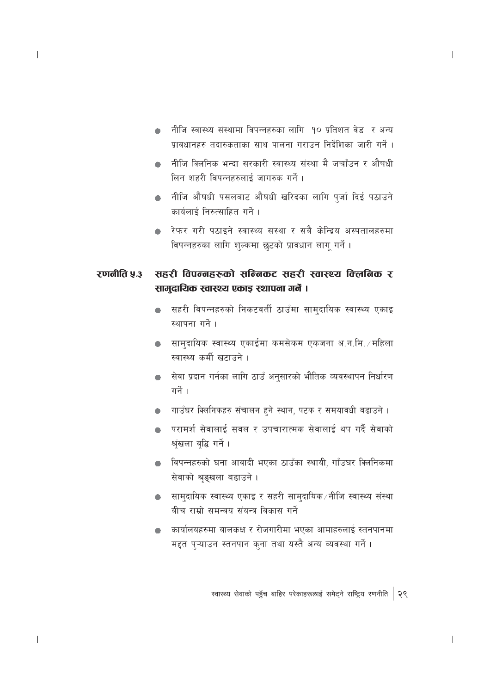- नीजि स्वास्थ्य संस्थामा विपन्नहरुका लागि 90 प्रतिशत वेड र अन्य प्रावधानहरु तदारुकताका साथ पालना गराउन निर्देशिका जारी गर्ने ।
- नीजि क्लिनिक भन्दा सरकारी स्वास्थ्य संस्था मै जचाँउन र औषधी लिन शहरी विपन्नहरुलाई जागरुक गर्ने ।
- नीजि औषधी पसलबाट औषधी खरिदका लागि पूर्जा दिई पठाउने कार्यलाई निरुत्साहित गर्ने।
- रेफर गरी पठाइने स्वास्थ्य संस्था र सबै केन्द्रिय अस्पतालहरुमा विपन्नहरुका लागि शुल्कमा छुटको प्रावधान लागू गर्ने ।

## रणनीति ५.३ सहरी विपन्नहरूको सन्निकट सहरी स्वास्थ्य क्लिनिक र सामदायिक स्वास्थ्य एकाइ स्थापना गर्ने ।

 $\overline{\phantom{a}}$ 

 $\overline{\phantom{a}}$ 

- सहरी विपन्नहरुको निकटवर्ती ठाउँमा सामुदायिक स्वास्थ्य एकाइ स्थापना गर्ने ।
- सामुदायिक स्वास्थ्य एकाईमा कमसेकम एकजना अ.न.मि. ∕महिला स्वास्थ्य कर्मी खटाउने ।
- सेवा प्रदान गर्नका लागि ठाउँ अनुसारको भौतिक व्यवस्थापन निर्धारण गर्ने ।
- गाउँघर क्लिनिकहरु संचालन हुने स्थान, पटक र समयावधी बढाउने।  $\bullet$
- परामर्श सेवालाई सवल र उपचारात्मक सेवालाई थप गर्दै सेवाको श्रृंखला वृद्धि गर्ने ।
- विपन्नहरुको घना आवादी भएका ठाउँका स्थायी, गाँउघर क्लिनिकमा सेवाको श्रृङ्खला बढाउने ।
- सामुदायिक स्वास्थ्य एकाइ र सहरी सामुदायिक ⁄नीजि स्वास्थ्य संस्था बीच राम्रो समन्वय संयन्त्र विकास गर्ने
- कार्यालयहरुमा बालकक्ष र रोजगारीमा भएका आमाहरुलाई स्तनपानमा मद्दत प्ऱ्याउन स्तनपान कुना तथा यस्तै अन्य व्यवस्था गर्ने ।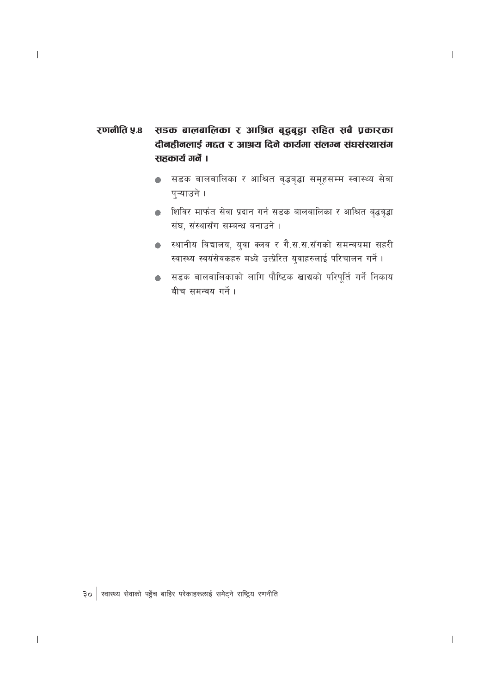## सडक बालबालिका र आश्रित बृद्धबृद्धा सहित सबै प्रकारका रणनीति ५.८ दीनहीनलाई मद्दत र आश्रय दिने कार्यमा संलग्न संघसंस्थासंग सहकार्य गर्ने ।

 $\overline{\phantom{a}}$ 

 $\overline{\phantom{a}}$ 

- सडक बालबालिका र आश्रित बृद्धबृद्धा समूहसम्म स्वास्थ्य सेवा प्ऱ्याउने ।
- शिविर मार्फत सेवा प्रदान गर्न सडक बालबालिका र आश्रित बृद्धबृद्धा संघ, संस्थासँग सम्बन्ध बनाउने।
- स्थानीय विद्यालय, युवा क्लव र गै.स.स.सँगको समन्वयमा सहरी स्वास्थ्य स्वयंसेवकहरु मध्ये उत्प्रेरित युवाहरुलाई परिचालन गर्ने ।
- सडक बालबालिकाको लागि पौष्टिक खाद्यको परिपूर्ति गर्ने निकाय  $\bullet$ बीच समन्वय गर्ने।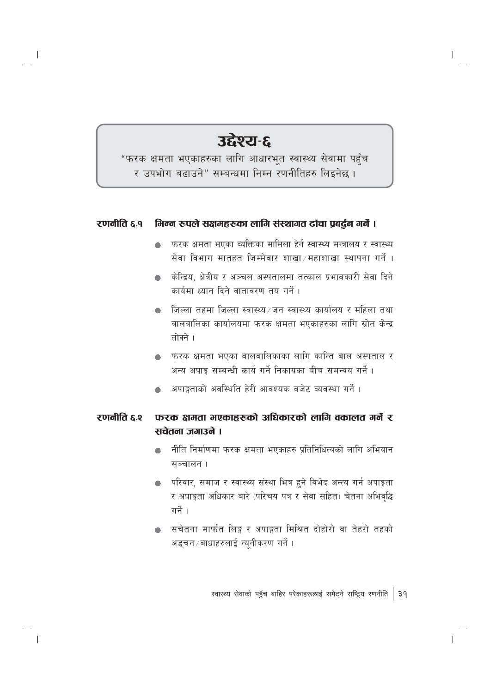# उद्देश्य-६

 $\overline{\phantom{a}}$ 

 $\overline{\phantom{a}}$ 

"फरक क्षमता भएकाहरुका लागि आधारभूत स्वास्थ्य सेवामा पहुँच र उपभोग बढाउने" सम्बन्धमा निम्न रणनीतिहरु लिइनेछ ।

#### रणनीति ६.१ भिन्न रूपले सक्षमहरूका लागि संस्थागत दाँचा प्रबर्द्धन गर्ने ।

- फरक क्षमता भएका व्यक्तिका मामिला हेर्न स्वास्थ्य मन्त्रालय र स्वास्थ्य सेवा विभाग मातहत जिम्मेवार शाखा / महाशाखा स्थापना गर्ने ।
- केन्द्रिय, क्षेत्रीय र अञ्चल अस्पतालमा तत्काल प्रभाबकारी सेवा दिने कार्यमा ध्यान दिने वातावरण तय गर्ने।
- ीजल्ला तहमा जिल्ला स्वास्थ्य ∕ जन स्वास्थ्य कार्यालय र महिला तथा बालबालिका कार्यालयमा फरक क्षमता भएकाहरुका लागि स्रोत केन्द्र तोक्ने ।
- फरक क्षमता भएका बालबालिकाका लागि कान्ति बाल अस्पताल र अन्य अपाङ्ग सम्बन्धी कार्य गर्ने निकायका बीच समन्वय गर्ने ।
- अपाइताको अवस्थिति हेरी आवश्यक बजेट व्यवस्था गर्ने ।

## रणनीति ६.२ फरक क्षमता भएकाहरूको अधिकारको लागि वकालत गर्ने र सचेतना जगाउने ।

- नीति निर्माणमा फरक क्षमता भएकाहरु प्रतिनिधित्वको लागि अभियान सञ्चालन ।
- परिवार, समाज र स्वास्थ्य संस्था भित्र हने विभेद अन्त्य गर्न अपाङ्गता र अपाङ्गता अधिकार बारे (परिचय पत्र र सेवा सहित) चेतना अभिवृद्धि गर्ने ।
- सचेतना मार्फत लिङ्ग र अपाङ्गता मिश्रित दोहोरो वा तेहरो तहको अड्चन / बाधाहरुलाई न्यूनीकरण गर्ने ।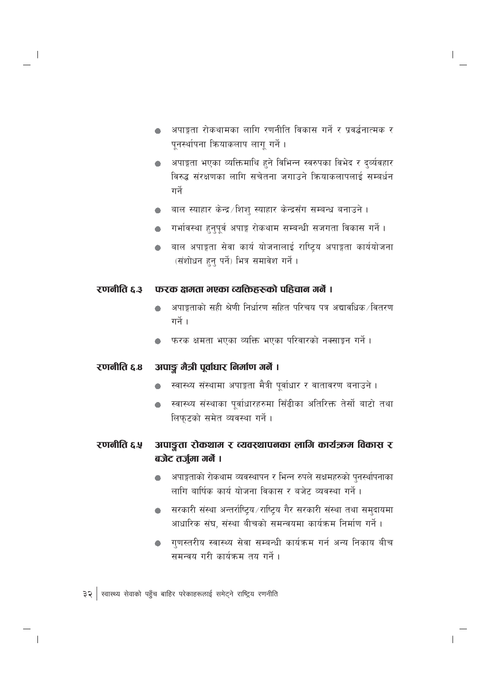- अपाङ्गता रोकथामका लागि रणनीति विकास गर्ने र प्रवर्द्धनात्मक र  $\bullet$ पूनर्स्थापना क्रियाकलाप लागू गर्ने ।
- अपाङ्गता भएका व्यक्तिमाथि हुने विभिन्न स्वरुपका विभेद र दुर्व्यवहार विरुद्ध संरक्षणका लागि सचेतना जगाउने कियाकलापलाई सम्बर्धन गर्ने
- बाल स्याहार केन्द्र ∕शिश् स्याहार केन्द्रसँग सम्बन्ध बनाउने ।
- गर्भावस्था हुनुपूर्व अपाङ्ग रोकथाम सम्बन्धी सजगता विकास गर्ने ।
- बाल अपाङ्गता सेवा कार्य योजनालाई राष्ट्यि अपाङ्गता कार्ययोजना (संशोधन हुन् पर्ने) भित्र समावेश गर्ने ।

#### रणनीति ६.३ फरक क्षमता भएका व्यक्तिहरूको पहिचान गर्ने ।

- अपाङ्गताको सही श्रेणी निर्धारण सहित परिचय पत्र अद्यावधिक /वितरण गर्ने ।
- फरक क्षमता भएका व्यक्ति भएका परिवारको नक्साइन गर्ने ।

#### अपाङ्ग मैत्री पूर्वाधार निर्माण गर्ने । रणनीति ६.८

 $\overline{\phantom{a}}$ 

 $\overline{\phantom{a}}$ 

- स्वास्थ्य संस्थामा अपाङ्गता मैत्री पुर्वाधार र वातावरण बनाउने ।
- स्वास्थ्य संस्थाका पूर्वाधारहरुमा सिँढीका अतिरिक्त तेर्सो बाटो तथा लिफटको समेत व्यवस्था गर्ने।

## अपाङ्गता रोकथाम र व्यवस्थापनका लागि कार्यजनम विकास र रणनीति ६.५ बजेट तर्जुमा गर्ने ।

- अपाङ्गताको रोकथाम व्यवस्थापन र भिन्न रुपले सक्षमहरुको पुनर्स्थापनाका  $\blacksquare$ लागि बार्षिक कार्य योजना विकास र बजेट व्यवस्था गर्ने।
- सरकारी संस्था अन्तर्राष्ट्रिय राष्ट्रिय गैर सरकारी संस्था तथा समुदायमा आधारिक संघ, संस्था बीचको समन्वयमा कार्यक्रम निर्माण गर्ने ।
- गुणस्तरीय स्वास्थ्य सेवा सम्बन्धी कार्यक्रम गर्न अन्य निकाय बीच समन्वय गरी कार्यक्रम तय गर्ने।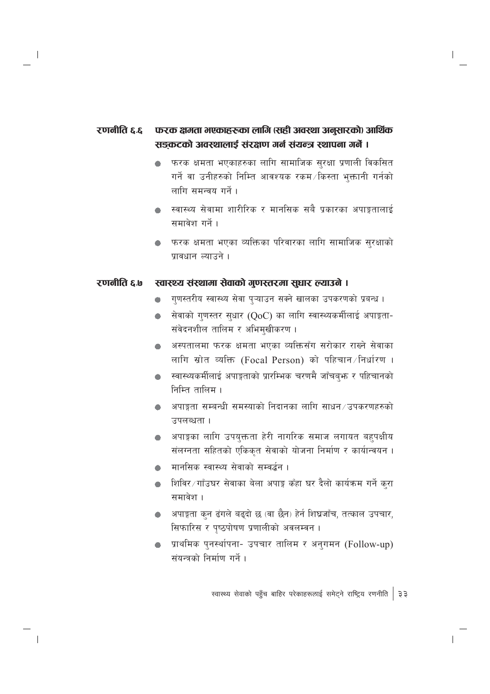## रणनीति ६.६ फरक क्षमता भएकाहरूका लागि (सही अवस्था अनुसारको) आर्थिक सङ्कटको अवस्थालाई संरक्षण गर्न संयन्त्र स्थापना गर्ने ।

 $\overline{\phantom{a}}$ 

 $\overline{\phantom{a}}$ 

- फरक क्षमता भएकाहरुका लागि सामाजिक सुरक्षा प्रणाली विकसित गर्ने वा उनीहरुको निम्ति आवश्यक रकम /किस्ता भक्तानी गर्नको लागि समन्वय गर्ने ।
- स्वास्थ्य सेवामा शारीरिक र मानसिक सबै प्रकारका अपाङ्गतालाई समावेश गर्ने ।
- फरक क्षमता भएका व्यक्तिका परिवारका लागि सामाजिक सुरक्षाको प्रावधान ल्याउने ।

#### रणनीति ६.७ स्वास्थ्य संस्थामा सेवाको गुणस्तरमा सुधार ल्याउने ।

- गुणस्तरीय स्वास्थ्य सेवा पुऱ्याउन सक्ने खालका उपकरणको प्रबन्ध ।
- सेवाको गुणस्तर सुधार (QoC) का लागि स्वास्थ्यकर्मीलाई अपाङ्गता-संवेदनशील तालिम र अभिमुखीकरण ।
- अस्पतालमा फरक क्षमता भएका व्यक्तिसँग सरोकार राख्ने सेवाका लागि स्रोत व्यक्ति (Focal Person) को पहिचान /निर्धारण ।
- स्वास्थ्यकर्मीलाई अपाङ्गताको प्रारम्भिक चरणमै जाँचबभ्रु र पहिचानको निम्ति तालिम ।
- अपाङ्गता सम्बन्धी समस्याको निदानका लागि साधन ⁄ उपकरणहरुको उपलब्धता ।
- अपाङ्गका लागि उपयुक्तता हेरी नागरिक समाज लगायत बहपक्षीय संलग्नता सहितको एकिकत सेवाको योजना निर्माण र कार्यान्वयन ।
- मानसिक स्वास्थ्य सेवाको सम्वर्द्वन ।
- शिविर∕गाँउघर सेवाका बेला अपाङ्ग कँहा घर दैलो कार्यक्रम गर्ने कुरा समावेश ।
- अपाङ्गता कुन ढंगले बढ्दो छ (वा छैन) हेर्न शिघ्नजाँच, तत्काल उपचार, सिफारिस र पृष्ठपोषण प्रणालीको अवलम्वन ।
- प्राथमिक पुनर्स्थापना- उपचार तालिम र अनुगमन (Follow-up) संयन्त्रको निर्माण गर्ने ।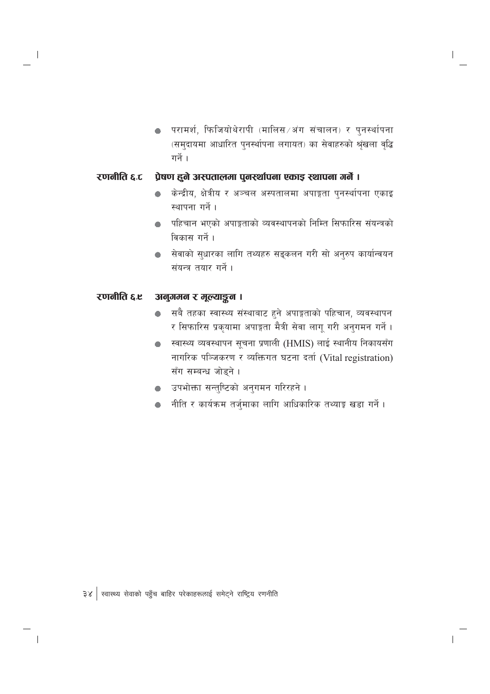परामर्श, फिजियोथेरापी (मालिस ∕ अंग संचालन) र पुनर्स्थापना  $\bullet$ (समुदायमा आधारित पुनर्स्थापना लगायत) का सेवाहरुको श्रृंखला वृद्धि गर्ने ।

#### रणनीति ६.८ प्रेषण हुने अस्पतालमा पुनर्स्थापना एकाइ स्थापना गर्ने ।

- केन्द्रीय, क्षेत्रीय र अञ्चल अस्पतालमा अपाङ्गता पुनर्स्थापना एकाइ स्थापना गर्ने।
- पहिचान भएको अपाङ्गताको व्यवस्थापनको निम्ति सिफारिस संयन्त्रको  $\bullet$ विकास गर्ने।
- सेवाको सुधारका लागि तथ्यहरु सङ्कलन गरी सो अनुरुप कार्यान्वयन संयन्त्र तयार गर्ने।

#### रणनीति ६.९ अनुगमन र मूल्याङ्गन ।

 $\overline{\phantom{a}}$ 

 $\overline{\phantom{a}}$ 

- सबै तहका स्वास्थ्य संस्थाबाट हुने अपाङ्गताको पहिचान, व्यवस्थापन  $\bullet$ र सिफारिस प्रकृयामा अपाङ्गता मैत्री सेवा लागू गरी अनुगमन गर्ने ।
- स्वास्थ्य व्यवस्थापन सूचना प्रणाली (HMIS) लाई स्थानीय निकायसँग  $\bullet$ नागरिक पञ्जिकरण र व्यक्तिगत घटना दर्ता (Vital registration) सँग सम्बन्ध जोड़ने।
- उपभोक्ता सन्तुष्टिको अनुगमन गरिरहने ।
- नीति र कार्यक्रम तर्जुमाका लागि आधिकारिक तथ्याङ्ग खडा गर्ने ।  $\bullet$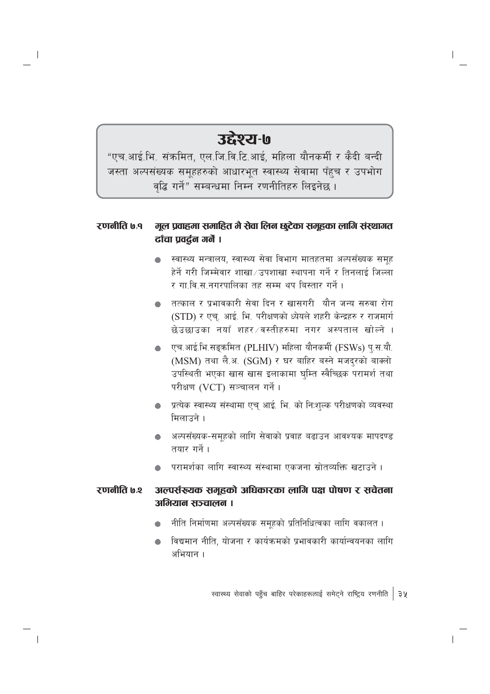## उद्देश्य-७

"एच.आई.भि. संक्रमित, एल.जि.वि.टि.आई, महिला यौनकर्मी र कैदी बन्दी जस्ता अल्पसंख्यक समूहहरुको आधारभूत स्वास्थ्य सेवामा पँहुच र उपभोग वद्धि गर्ने" सम्बन्धमा निम्न रणनीतिहरु लिइनेछ ।

### रणनीति ७.१ मूल प्रवाहमा समाहित भै सेवा लिन छुटेका समूहका लागि संस्थागत टाँचा प्रवर्द्धन गर्ने ।

- स्वास्थ्य मन्त्रालय, स्वास्थ्य सेवा विभाग मातहतमा अल्पसँख्यक समूह हेर्ने गरी जिम्मेवार शाखा /उपशाखा स्थापना गर्ने र तिनलाई जिल्ला र गा वि स नगरपालिका तह सम्म थप बिस्तार गर्ने ।
- तत्काल र प्रभावकारी सेवा दिन र खासगरी यौन जन्य सरुवा रोग  $\bullet$ (STD) र एच. आई. भि. परीक्षणको ध्येयले शहरी केन्द्रहरु र राजमार्ग छेउछाउका नयाँ शहर वस्तीहरुमा नगर अस्पताल खोल्ने ।
- एच.आई.भि.सडक्रमित (PLHIV) महिला यौनकर्मी (FSWs) प.स.यौ. (MSM) तथा लै.अ. (SGM) र घर बाहिर बस्ने मजद्रको बाक्लो उपस्थिती भएका खास खास इलाकामा घम्ति स्वैच्छिक परामर्श तथा परीक्षण (VCT) सञ्चालन गर्ने ।
- प्रत्येक स्वास्थ्य संस्थामा एच् आई. भि. को निःशुल्क परीक्षणको व्यवस्था मिलाउने ।
- अल्पसँख्यक-समूहको लागि सेवाको प्रवाह बढाउन आवश्यक मापदण्ड तयार गर्ने ।
- परामर्शका लागि स्वास्थ्य संस्थामा एकजना स्रोतव्यक्ति खटाउने ।

## रणनीति ७.२ अल्पसँख्यक समहको अधिकारका लागि पक्ष पोषण र सचेतना अभियान सञ्चालन ।

- नीति निर्माणमा अल्पसँख्यक समुहको प्रतिनिधित्वका लागि वकालत ।
- विद्यमान नीति, योजना र कार्यक्रमको प्रभावकारी कार्यान्वयनका लागि अभियान ।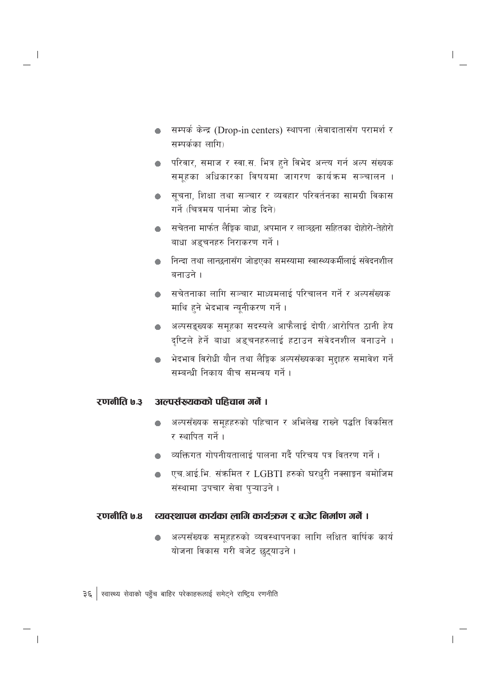- सम्पर्क केन्द्र (Drop-in centers) स्थापना (सेवादातासँग परामर्श र सम्पर्कका लागि)
- परिवार, समाज र स्वा.स. भित्र हुने विभेद अन्त्य गर्न अल्प संख्यक समहका अधिकारका विषयमा जागरण कार्यक्रम सञ्चालन ।
- सचना, शिक्षा तथा सञ्चार र व्यवहार परिवर्तनका सामग्री विकास गर्ने (चित्रमय पार्नमा जोड दिने)
- सचेतना मार्फत लैङ्गिक बाधा, अपमान र लाञ्छना सहितका दोहोरो-तेहोरो बाधा अडुचनहरु निराकरण गर्ने ।
- निन्दा तथा लान्छनासँग जोडएका समस्यामा स्वास्थ्यकर्मीलाई संवेदनशील बनाउने ।
- सचेतनाका लागि सञ्चार माध्यमलाई परिचालन गर्ने र अल्पसँख्यक माथि हुने भेदभाव न्युनीकरण गर्ने।
- अल्पसङ्ख्यक समूहका सदस्यले आफैलाई दोषी ⁄ आरोपित ठानी हेय दुष्टिले हेर्ने बाधा अडुचनहरुलाई हटाउन संवेदनशील बनाउने ।
- भेदभाव विरोधी यौन तथा लैङ्गिक अल्पसँख्यकका मुद्दाहरु समावेश गर्ने सम्बन्धी निकाय बीच समन्वय गर्ने।

#### रणनीति ७.३ अल्पसँख्यकको पहिचान गर्ने ।

 $\overline{\phantom{a}}$ 

 $\overline{\phantom{a}}$ 

- अल्पसँख्यक समुहहरुको पहिचान र अभिलेख राख्ने पद्धति विकसित र स्थापित गर्ने।
- व्यक्तिगत गोपनीयतालाई पालना गर्दै परिचय पत्र वितरण गर्ने ।
- ्एच.आई.भि. संक्रमित र LGBTI हरुको घरधुरी नक्साङ्गन बमोजिम संस्थामा उपचार सेवा प्ऱ्याउने ।

#### रणनीति ७.८ व्यवस्थापन कार्यका लागि कार्यऊम र बजेट निर्माण गर्ने ।

अल्पसँख्यक समूहहरुको व्यवस्थापनका लागि लक्षित वार्षिक कार्य  $\bullet$ योजना विकास गरी बजेट छट्याउने।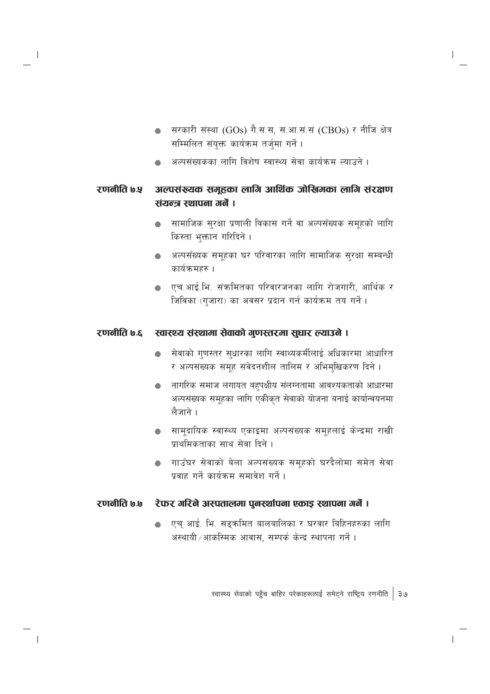- सरकारी संस्था (GOs) गै.स.स, स.आ.सं.सं (CBOs) र नीजि क्षेत्र  $\bullet$ सम्मिलित संयुक्त कार्यक्रम तर्जुमा गर्ने।
- अल्पसंख्यकका लागि विशेष स्वास्थ्य सेवा कार्यक्रम ल्याउने ।

## रणनीति ७.५ अल्पसंख्यक समूहका लागि आर्थिक जोखिमका लागि संरक्षण संयन्त्र स्थापना गर्ने ।

 $\overline{\phantom{a}}$ 

 $\overline{\phantom{a}}$ 

- सामाजिक सरक्षा प्रणाली विकास गर्ने वा अल्पसँख्यक समहको लागि किस्ता भुक्तान गरिदिने ।
- अल्पसँख्यक समूहका घर परिवारका लागि सामाजिक सुरक्षा सम्बन्धी कार्यक्रमहरु ।
- एच.आई.भि. संक्रमितका परिवारजनका लागि रोजगारी. आर्थिक र जिविका (गुजारा) का अवसर प्रदान गर्न कार्यक्रम तय गर्ने।

#### रणनीति ७.६ स्वास्थ्य संस्थामा सेवाको गुणस्तरमा सुधार ल्याउने ।

- सेवाको गणस्तर सधारका लागि स्वाथ्यकर्मीलाई अधिकारमा आधारित र अल्पसंख्यक समूह संवेदनशील तालिम र अभिमुखिकरण दिने ।
- नागरिक समाज लगायत बहपक्षीय संलग्नतामा आवश्यकताको आधारमा अल्पसंख्यक समूहका लागि एकीकृत सेवाको योजना बनाई कार्यान्वयनमा लैजाने ।
- सामूदायिक स्वास्थ्य एकाइमा अल्पसंख्यक समूहलाई केन्द्रमा राखी प्राथमिकताका साथ सेवा दिने ।
- गाउँघर सेवाको बेला अल्पसंख्यक समूहको घरदैलोमा समेत सेवा प्रवाह गर्ने कार्यक्रम समावेश गर्ने।

#### रणनीति ७.७ रेफर गरिने अस्पतालमा पुनर्स्थापना एकाइ स्थापना गर्ने ।

एच् आई. भि. सङ्क्रमित बालबालिका र घरवार बिहिनहरुका लागि  $\bullet$ अस्थायी/आकस्मिक आवास, सम्पर्क केन्द्र स्थापना गर्ने ।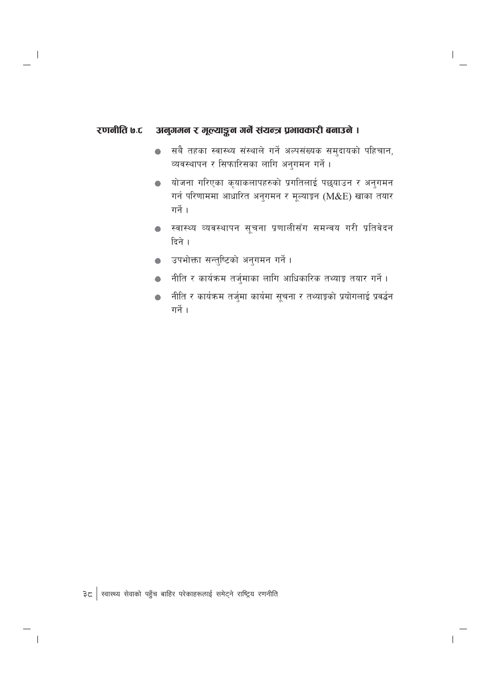#### अनुगमन र मूल्याङ्कन गर्ने संयन्त्र प्रभावकारी बनाउने । रणनीति ७.८

 $\overline{\phantom{a}}$ 

 $\overline{\phantom{a}}$ 

- सबै तहका स्वास्थ्य संस्थाले गर्ने अल्पसंख्यक समुदायको पहिचान, व्यवस्थापन र सिफारिसका लागि अनुगमन गर्ने ।
- योजना गरिएका कृयाकलापहरुको प्रगतिलाई पछयाउन र अनुगमन  $\bullet$ गर्न परिणाममा आधारित अनुगमन र मूल्याङ्कन (M&E) खाका तयार गर्ने ।
- स्वास्थ्य व्यवस्थापन सूचना प्रणालीसँग समन्वय गरी प्रतिवेदन दिने ।
- उपभोक्ता सन्तुष्टिको अनुगमन गर्ने ।  $\bullet$
- नीति र कार्यक्रम तर्जुमाका लागि आधिकारिक तथ्याङ्क तयार गर्ने ।  $\bullet$
- नीति र कार्यक्रम तर्जुमा कार्यमा सूचना र तथ्याङ्को प्रयोगलाई प्रवर्द्धन  $\bullet$ गर्ने ।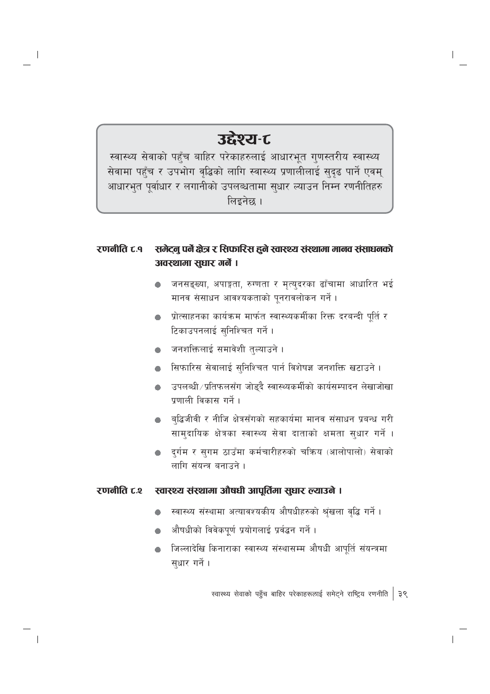# उद्देश्य-ट

स्वास्थ्य सेवाको पहुँच बाहिर परेकाहरुलाई आधारभूत गुणस्तरीय स्वास्थ्य सेवामा पहुँच र उपभोग वृद्धिको लागि स्वास्थ्य प्रणालीलाई सुदृढ पार्ने एवम् आधारभूत पूर्वाधार र लगानीको उपलब्धतामा सुधार ल्याउन निम्न रणनीतिहरु लिइनेछ ।

## रणनीति द.१ समेटन पर्ने क्षेत्र र सिफारिस हने स्वास्थ्य संस्थामा मानव संसाधनको अवस्थामा सुधार गर्ने ।

- जनसङ्ख्या, अपाङ्गता, रुग्णता र मृत्युदरका ढाँचामा आधारित भई मानव संसाधन आवश्यकताको पूनरावलोकन गर्ने।
- प्रोत्साहनका कार्यक्रम मार्फत स्वास्थ्यकर्मीका रिक्त दरबन्दी पूर्ति र टिकाउपनलाई सुनिश्चित गर्ने।
- जनशक्तिलाई समावेशी तुल्याउने ।  $\bullet$
- सिफारिस सेवालाई सुनिश्चित पार्न विशेषज्ञ जनशक्ति खटाउने ।
- उपलब्धी ∕प्रतिफलसँग जोडदै स्वास्थ्यकर्मीको कार्यसम्पादन लेखाजोखा प्रणाली विकास गर्ने ।
- बद्धिजीवी र नीजि क्षेत्रसँगको सहकार्यमा मानव संसाधन प्रबन्ध गरी सामुदायिक क्षेत्रका स्वास्थ्य सेवा दाताको क्षमता सुधार गर्ने ।
- दुर्गम र सुगम ठाउँमा कर्मचारीहरुको चक्रिय (आलोपालो) सेवाको लागि संयन्त्र बनाउने ।

#### रणनीति ८.२ स्वास्थ्य संस्थामा औषधी आपूर्तिमा सुधार ल्याउने ।

- स्वास्थ्य संस्थामा अत्यावश्यकीय औषधीहरुको श्रृंखला वृद्धि गर्ने ।
- औषधीको विवेकपूर्ण प्रयोगलाई प्रर्वद्धन गर्ने ।
- जिल्लादेखि किनाराका स्वास्थ्य संस्थासम्म औषधी आपूर्ति संयन्त्रमा सधार गर्ने।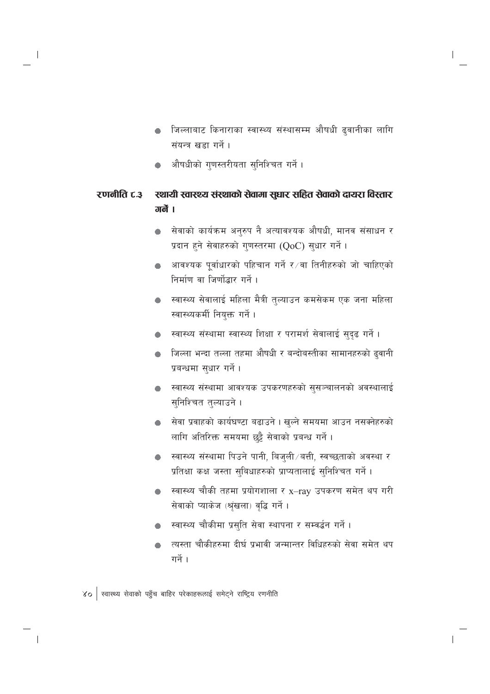- जिल्लाबाट किनाराका स्वास्थ्य संस्थासम्म औषधी ढ्वानीका लागि संयन्त्र खडा गर्ने ।
- औषधीको गुणस्तरीयता सुनिश्चित गर्ने।

 $\overline{\phantom{a}}$ 

 $\overline{\phantom{a}}$ 

## रणनीति द.३ स्थायी स्वास्थ्य संस्थाको सेवामा सधार सहित सेवाको दायरा विस्तार गर्ने ।

- सेवाको कार्यक्रम अनुरुप नै अत्यावश्यक औषधी, मानव संसाधन र प्रदान हुने सेवाहरुको गुणस्तरमा (QoC) सुधार गर्ने ।
- आवश्यक पूर्वाधारको पहिचान गर्ने र∕वा तिनीहरुको जो चाहिएको  $\bullet$ निर्माण वा जिर्णोद्वार गर्ने ।
- स्वास्थ्य सेवालाई महिला मैत्री तुल्याउन कमसेकम एक जना महिला स्वास्थ्यकर्मी नियुक्त गर्ने।
- स्वास्थ्य संस्थामा स्वास्थ्य शिक्षा र परामर्श सेवालाई सुदृढ गर्ने ।
- जिल्ला भन्दा तल्ला तहमा औषधी र बन्दोबस्तीका सामानहरुको ढुवानी प्रबन्धमा सुधार गर्ने।
- स्वास्थ्य संस्थामा आवश्यक उपकरणहरुको सुसञ्चालनको अवस्थालाई सुनिश्चित तुल्याउने ।
- सेवा प्रवाहको कार्यघण्टा बढाउने । खुल्ने समयमा आउन नसक्नेहरुको  $\bullet$ लागि अतिरिक्त समयमा छुट्टै सेवाको प्रबन्ध गर्ने ।
- स्वास्थ्य संस्थामा पिउने पानी, बिजुली ∕ बत्ती, स्वच्छताको अवस्था र  $\bullet$ प्रतिक्षा कक्ष जस्ता सुबिधाहरुको प्राप्यतालाई सुनिश्चित गर्ने।
- स्वास्थ्य चौकी तहमा प्रयोगशाला र x-ray उपकरण समेत थप गरी सेवाको प्याकेज (श्रृंखला) वृद्धि गर्ने ।
- स्वास्थ्य चौकीमा प्रसुति सेवा स्थापना र सम्वर्द्धन गर्ने ।
- त्यस्ता चौकीहरुमा दीर्घ प्रभावी जन्मान्तर विधिहरुको सेवा समेत थप गर्ने ।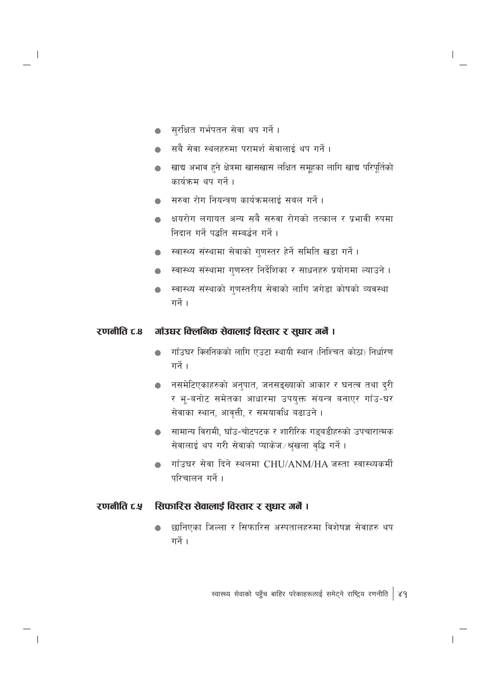सुरक्षित गर्भपतन सेवा थप गर्ने ।  $\bullet$ 

 $\overline{\phantom{a}}$ 

 $\overline{\phantom{a}}$ 

- सबै सेवा स्थलहरुमा परामर्श सेवालाई थप गर्ने ।  $\bullet$
- खाद्य अभाव हुने क्षेत्रमा खासखास लक्षित समूहका लागि खाद्य परिपूर्तिको कार्यक्रम थप गर्ने ।
- सरुवा रोग नियन्त्रण कार्यक्रमलाई सबल गर्ने।
- क्षयरोग लगायत अन्य सबै सरुवा रोगको तत्काल र प्रभावी रुपमा  $\bullet$ निदान गर्ने पद्धति सम्बर्द्धन गर्ने ।
- स्वास्थ्य संस्थामा सेवाको गणस्तर हेर्ने समिति खडा गर्ने।
- स्वास्थ्य संस्थामा गुणस्तर निर्देशिका र साधनहरु प्रयोगमा ल्याउने ।
- स्वास्थ्य संस्थाको गुणस्तरीय सेवाको लागि जगेडा कोषको व्यवस्था गर्ने ।

#### रणनीति ८.८ गाँउघर क्लिनिक सेवालाई विस्तार र सुधार गर्ने ।

- गाँउघर क्लिनिकको लागि एउटा स्थायी स्थान (निश्चित कोठा) निर्धारण गर्ने ।
- नसमेटिएकाहरुको अनुपात, जनसङ्ख्याको आकार र घनत्व तथा दरी  $\bullet$ र भू-बनोट समेतका आधारमा उपयुक्त संयन्त्र बनाएर गाँउ-घर सेवाका स्थान, आवृत्ती, र समयावधि बढाउने ।
- सामान्य विरामी, घाँउ-चोटपटक र शारीरिक गडुबडीहरुको उपचारात्मक सेवालाई थप गरी सेवाको प्याकेज /श्रृंखला वृद्धि गर्ने।
- गाँउघर सेवा दिने स्थलमा CHU/ANM/HA जस्ता स्वास्थ्यकर्मी परिचालन गर्ने ।

#### रणनीति द.प्र सिफारिस सेवालाई विस्तार र सुधार गर्ने।

छानिएका जिल्ला र सिफारिस अस्पतालहरुमा विशेषज्ञ सेवाहरु थप गर्ने ।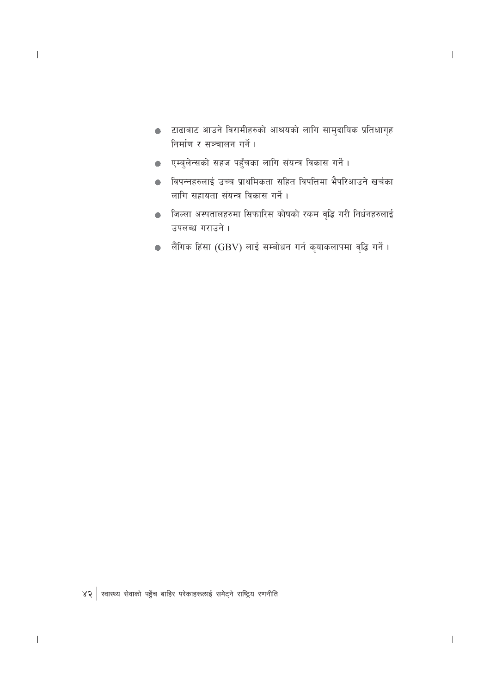- टाढाबाट आउने विरामीहरुको आश्रयको लागि सामुदायिक प्रतिक्षागृह  $\bullet$ निर्माण र सञ्चालन गर्ने ।
- एम्बुलेन्सको सहज पहुँचका लागि संयन्त्र विकास गर्ने ।  $\bullet$

 $\overline{\phantom{a}}$ 

 $\overline{\phantom{a}}$ 

- विपन्नहरुलाई उच्च प्राथमिकता सहित विपत्तिमा भैपरिआउने खर्चका  $\bullet$ लागि सहायता संयन्त्र विकास गर्ने।
- जिल्ला अस्पतालहरुमा सिफारिस कोषको रकम वृद्धि गरी निर्धनहरुलाई  $\bullet$ उपलब्ध गराउने ।
- लैंगिक हिंसा (GBV) लाई सम्बोधन गर्न कृयाकलापमा वृद्धि गर्ने ।  $\bullet$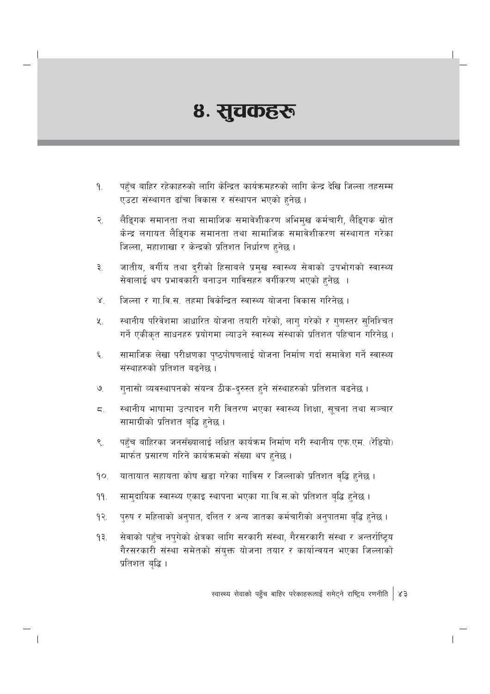# 8. सुचकहरू

- पहुँच बाहिर रहेकाहरुको लागि केन्द्रित कार्यक्रमहरुको लागि केन्द्र देखि जिल्ला तहसम्म  $9<sub>1</sub>$ एउटा संस्थागत ढाँचा विकास र संस्थापन भएको हुनेछ ।
- लैडि्गक समानता तथा सामाजिक समावेशीकरण अभिमुख कर्मचारी, लैडि्गक स्रोत २. केन्द्र लगायत लैडिगक समानता तथा सामाजिक समावेशीकरण संस्थागत गरेका जिल्ला, महाशाखा र केन्द्रको प्रतिशत निर्धारण हुनेछ ।
- जातीय, वर्गीय तथा दरीको हिसाबले प्रमुख स्वास्थ्य सेवाको उपभोगको स्वास्थ्य  $\mathcal{R}$ . सेवालाई थप प्रभावकारी बनाउन गाविसहरु वर्गीकरण भएको हुनेछ ।
- जिल्ला र गा.वि.स. तहमा विकेन्द्रित स्वास्थ्य योजना विकास गरिनेछ ।  $X^{\prime}$
- स्थानीय परिवेशमा आधारित योजना तयारी गरेको, लाग गरेको र गणस्तर सनिश्चित  $\mathbf{y}$ गर्ने एकीकत साधनहरु प्रयोगमा ल्याउने स्वास्थ्य संस्थाको प्रतिशत पहिचान गरिनेछ ।
- सामाजिक लेखा परीक्षणका पष्ठपोषणलाई योजना निर्माण गर्दा समावेश गर्ने स्वास्थ्य ६. संस्थाहरुको प्रतिशत बढनेछ ।
- गुनासो व्यवस्थापनको संयन्त्र ठीक-दुरुस्त हुने संस्थाहरुको प्रतिशत बढनेछ ।  $\mathcal{O}_1$
- स्थानीय भाषामा उत्पादन गरी वितरण भएका स्वास्थ्य शिक्षा, सूचना तथा सञ्चार  $5.$ सामाग्रीको प्रतिशत बृद्धि हुनेछ ।
- पहुँच बाहिरका जनसँख्यालाई लक्षित कार्यक्रम निर्माण गरी स्थानीय एफ.एम. (रेडियो)  $\mathcal{S}$ . मार्फत प्रसारण गरिने कार्यक्रमको सँख्या थप हनेछ।
- यातायात सहायता कोष खडा गरेका गाविस र जिल्लाको प्रतिशत वृद्धि हुनेछ ।  $90.$
- सामुदायिक स्वास्थ्य एकाइ स्थापना भएका गा.वि.स.को प्रतिशत बृद्धि हुनेछ ।  $99.$

 $\overline{\phantom{a}}$ 

- पुरुष र महिलाको अनुपात, दलित र अन्य जातका कर्मचारीको अनुपातमा बृद्धि हुनेछ ।  $92.$
- सेवाको पहुँच नपुगेको क्षेत्रका लागि सरकारी संस्था, गैरसरकारी संस्था र अन्तर्राष्ट्रिय  $93.$ गैरसरकारी संस्था समेतको संयुक्त योजना तयार र कार्यान्वयन भएका जिल्लाको प्रतिशत बद्धि ।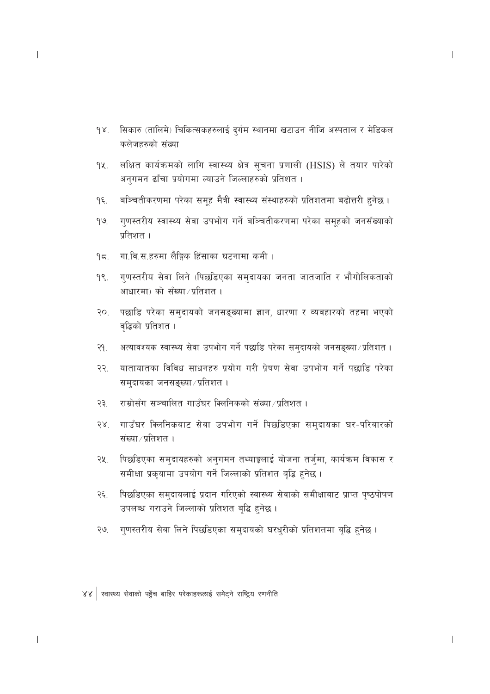- १४. सिकारु (तालिमे) चिकित्सकहरुलाई दुर्गम स्थानमा खटाउन नीजि अस्पताल र मेडिकल कलेजहरुको संख्या
- लक्षित कार्यक्रमको लागि स्वास्थ्य क्षेत्र सूचना प्रणाली (HSIS) ले तयार पारेको 92. अनुगमन ढाँचा प्रयोगमा ल्याउने जिल्लाहरुको प्रतिशत ।
- बञ्चितीकरणमा परेका समूह मैत्री स्वास्थ्य संस्थाहरुको प्रतिशतमा बढोत्तरी हुनेछ ।  $9\xi$ .
- गुणस्तरीय स्वास्थ्य सेवा उपभोग गर्ने बञ्चितीकरणमा परेका समूहको जनसँख्याको  $99$ प्रतिशत ।
- गा.वि.स.हरुमा लैङ्गिक हिंसाका घटनामा कमी ।  $95$

 $\overline{\phantom{a}}$ 

 $\overline{\phantom{a}}$ 

- गुणस्तरीय सेवा लिने (पिछडिएका समुदायका जनता जातजाति र भौगोलिकताको  $98$ आधारमा) को सँख्या ⁄ प्रतिशत ।
- पछाडि परेका समुदायको जनसङ्ख्यामा ज्ञान, धारणा र व्यवहारको तहमा भएको  $\infty$ वृद्धिको प्रतिशत ।
- अत्यावश्यक स्वास्थ्य सेवा उपभोग गर्ने पछाडि परेका समुदायको जनसङ्ख्या/प्रतिशत ।  $79.$
- यातायातका विविध साधनहरु प्रयोग गरी प्रेषण सेवा उपभोग गर्ने पछाडि परेका २२. समुदायका जनसङ्ख्या ∕ प्रतिशत ।
- राम्रोसँग सञ्चालित गाउँघर क्लिनिकको संख्या ∕ प्रतिशत । २३.
- २४. गाउँघर क्लिनिकबाट सेवा उपभोग गर्ने पिछडिएका समुदायका घर-परिवारको संख्या ⁄ प्रतिशत ।
- पिछडिएका समुदायहरुको अनुगमन तथ्याङ्गलाई योजना तर्जुमा, कार्यक्रम विकास र २५ $\cdot$ समीक्षा प्रकृयामा उपयोग गर्ने जिल्लाको प्रतिशत बृद्धि हुनेछ ।
- पिछडिएका समुदायलाई प्रदान गरिएको स्वास्थ्य सेवाको समीक्षाबाट प्राप्त पृष्ठपोषण २६. उपलब्ध गराउने जिल्लाको प्रतिशत बृद्धि हनेछ ।
- गुणस्तरीय सेवा लिने पिछडिएका समुदायको घरधुरीको प्रतिशतमा बृद्धि हुनेछ । ২७.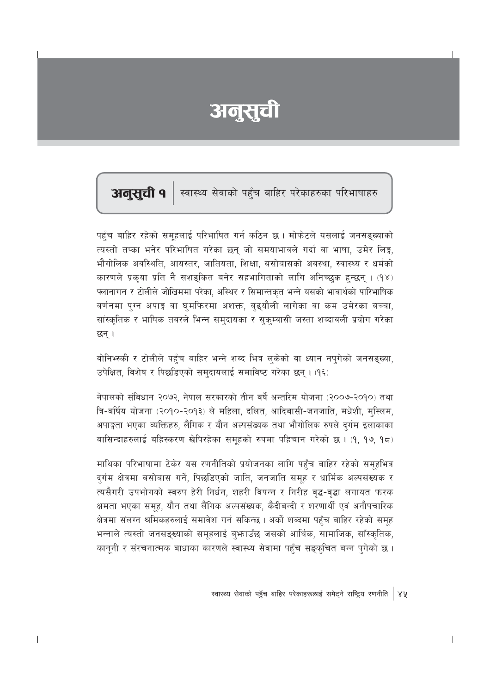# अनुसूची

स्वास्थ्य सेवाको पहुँच बाहिर परेकाहरुका परिभाषाहरु अनसची १

पहुँच बाहिर रहेको समूहलाई परिभाषित गर्न कठिन छ । मोफेटले यसलाई जनसङ्ख्याको त्यस्तो तप्का भनेर परिभाषित गरेका छन् जो समयाभावले गर्दा वा भाषा, उमेर लिङ्ग, भौगोलिक अवस्थिति, आयस्तर, जातियता, शिक्षा, बसोबासको अवस्था, स्वास्थ्य र धर्मको कारणले प्रकया प्रति नै सशड़कित बनेर सहभागिताको लागि अनिच्छक हन्छन् । (१४) फ्लानागन र टोलीले जोखिममा परेका, अस्थिर र सिमान्तकृत भन्ने यसको भावार्थको पारिभाषिक वर्णनमा पुग्न अपाङ्ग वा घुमफिरमा अशक्त, बढुयौली लागेका वा कम उमेरका बच्चा, सांस्कृतिक र भाषिक तवरले भिन्न समुदायका र सुकुम्वासी जस्ता शब्दावली प्रयोग गरेका छन्।

वोनिभ्स्की र टोलीले पहँच बाहिर भन्ने शब्द भित्र लकेको वा ध्यान नपगेको जनसङख्या, उपेक्षित, विशेष र पिछडिएको समुदायलाई समाविष्ट गरेका छन्। (१६)

नेपालको संबिधान २०७२, नेपाल सरकारको तीन वर्षे अन्तरिम योजना (२००७-२०१०) तथा त्रि-बर्षिय योजना (२०१०-२०१३) ले महिला, दलित, आदिबासी-जनजाति, मधेशी, मुस्लिम, अपाइता भएका व्यक्तिहरु, लैंगिक र यौन अल्पसंख्यक तथा भौगोलिक रुपले दर्गम इलाकाका बासिन्दाहरुलाई बहिस्करण खेपिरहेका समहको रुपमा पहिचान गरेको छ। (१, १७, १८)

माथिका परिभाषामा टेकेर यस रणनीतिको प्रयोजनका लागि पहुँच बाहिर रहेको समुहभित्र दुर्गम क्षेत्रमा बसोबास गर्ने, पिछडिएको जाति, जनजाति समूह र धार्मिक अल्पसंख्यक र त्यसैगरी उपभोगको स्वरुप हेरी निर्धन, शहरी विपन्न र निरीह वद्घ-वद्धा लगायत फरक क्षमता भएका समूह, यौन तथा लैंगिक अल्पसंख्यक, कैदीबन्दी र शरणार्थी एवं अनौपचारिक क्षेत्रमा संलग्न श्रमिकहरुलाई समावेश गर्न सकिन्छ । अर्को शब्दमा पहुँच बाहिर रहेको समह भन्नाले त्यस्तो जनसङ्ख्याको समूहलाई बुभ्फाउँछ जसको आर्थिक, सामाजिक, साँस्कृतिक, कानुनी र संरचनात्मक बाधाका कारणले स्वास्थ्य सेवामा पहुँच सङ्कुचित बन्न पुगेको छ।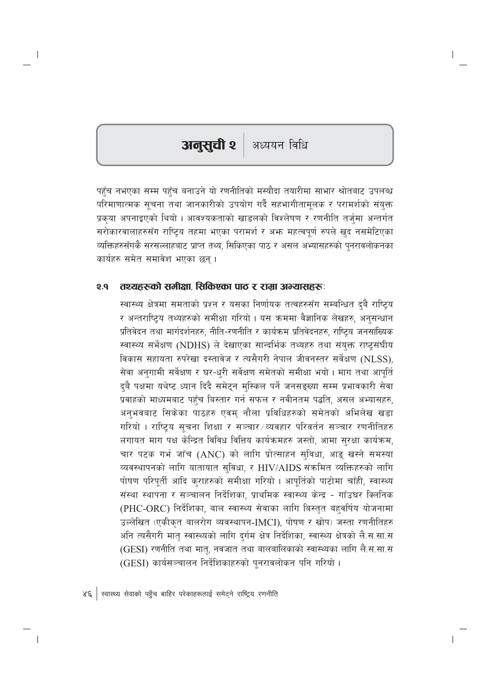अनुसुची २ अध्ययन विधि

पहुँच नभएका सम्म पहुँच बनाउने यो रणनीतिको मस्यौदा तयारीमा साभार श्रोतबाट उपलब्ध परिमाणात्मक सूचना तथा जानकारीको उपयोग गर्दै सहभागीतामूलक र परामर्शको संयुक्त प्रकृया अपनाइएको थियो । आवश्यकताको खाडलको विश्लेषण र रणनीति तर्जुमा अन्तर्गत सरोकारवालाहरुसँग राष्टिय तहमा भएका परामर्श र अफ्त महत्वपर्ण रुपले खद नसमेटिएका व्यक्तिहरुसँगकै सरसल्लाहबाट प्राप्त तथ्य, सिकिएका पाठ र असल अभ्यासहरुको पनरावलोकनका कार्यहरु समेत समावेश भएका छन।

#### तथ्यहरूको समीक्षा, सिकिएका पाठ र रामा अभ्यासहरूः  $9.9$

स्वास्थ्य क्षेत्रमा समताको प्रश्न र यसका निर्णायक तत्वहरुसँग सम्बन्धित दुबै राष्ट्रिय र अन्तराष्ट्रिय तथ्यहरुको समीक्षा गरियो । यस क्रममा वैज्ञानिक लेखहरु, अनुसन्धान प्रतिवेदन तथा मार्गदर्शनहरु, नीति-रणनीति र कार्यक्रम प्रतिवेदनहरु, राष्टिय जनसांख्यिक स्वास्थ्य सर्भेक्षण (NDHS) ले देखाएका सान्दर्भिक तथ्यहरु तथा संयुक्त राष्ट्संघीय विकास सहायता रुपरेखा दस्तावेज र त्यसैगरी नेपाल जीवनस्तर सर्वेक्षण (NLSS). सेवा अनुगामी सर्वेक्षण र घर-धुरी सर्वेक्षण समेतको समीक्षा भयो। माग तथा आपुर्ति दुबै पक्षमा यथेष्ट ध्यान दिंदै समेटन मुस्किल पर्ने जनसङ्ख्या सम्म प्रभावकारी सेवा प्रवाहको माध्यमबाट पहुँच बिस्तार गर्न सफल र नवीनतम पद्धति, असल अभ्यासहरु, अनुभवबाट सिकेका पाठहरु एवम् नौला प्रविधिहरुको समेतको अभिलेख खडा गरियो । राष्ट्रिय सुचना शिक्षा र सञ्चार ⁄व्यवहार परिवर्तन सञ्चार रणनीतिहरु लगायत माग पक्ष केन्द्रित विविध वित्तिय कार्यक्रमहरु जस्तो, आमा सुरक्षा कार्यक्रम, चार पटक गर्भ जाँच (ANC) को लागि प्रोत्साहन सुविधा, आड़ खस्ने समस्या व्यवस्थापनको लागि यातायात सुविधा, र HIV/AIDS संक्रमित व्यक्तिहरुको लागि पोषण परिपूर्ती आदि कुराहरुको समीक्षा गरियो । आपूर्तिको पाटोमा चाँही, स्वास्थ्य संस्था स्थापना र सञ्चालन निर्देशिका, प्राथमिक स्वास्थ्य केन्द्र - गाँउघर क्लिनिक (PHC-ORC) निर्देशिका, बाल स्वास्थ्य सेवाका लागि बिस्तृत बहुवर्षिय योजनामा उल्लेखित (एकीकृत बालरोग व्यवस्थापन-IMCI), पोषण र खोप) जस्ता रणनीतिहरु अनि त्यसैगरी मातृ स्वास्थ्यको लागि दुर्गम क्षेत्र निर्देशिका, स्वास्थ्य क्षेत्रको लै.स.सा.स (GESI) रणनीति तथा मात्, नवजात तथा बालबालिकाको स्वास्थ्यका लागि लै.स.सा.स (GESI) कार्यसञ्चालन निर्देशिकाहरुको पुनरावलोकन पनि गरियो ।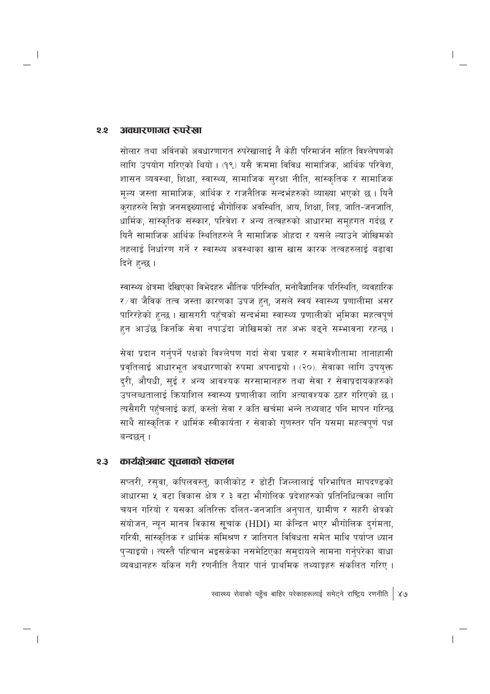#### <u> 9 9</u> अवधारणागत रूपरेखा

सोलार तथा अर्विनको अवधारणागत रुपरेखालाई नै केही परिमार्जन सहित विश्लेषणको लागि उपयोग गरिएको थियो। (१९) यसै क्रममा विविध सामाजिक, आर्थिक परिवेश, शासन व्यवस्था, शिक्षा, स्वास्थ्य, सामाजिक सुरक्षा नीति, सांस्कृतिक र सामाजिक मल्य जस्ता सामाजिक, आर्थिक र राजनैतिक सन्दर्भहरुको व्याख्या भएको छ। यिनै कराहरुले सिङ्गो जनसङ्ख्यालाई भौगोलिक अवस्थिति, आय, शिक्षा, लिङ्ग, जाति-जनजाति, धार्मिक, सांस्कतिक संस्कार, परिवेश र अन्य तत्वहरुको आधारमा समहगत गर्दछ र यिनै सामाजिक आर्थिक स्थितिहरुले नै सामाजिक ओहदा र यसले ल्याउने जोखिमको तहलाई निर्धारण गर्ने र स्वास्थ्य अवस्थाका खास खास कारक तत्वहरुलाई बढ़ावा दिने हन्छ ।

स्वास्थ्य क्षेत्रमा देखिएका विभेदहरु भौतिक परिस्थिति, मनोबैज्ञानिक परिस्थिति, व्यवहारिक र∕वा जैविक तत्व जस्ता कारणका उपज हुनु, जसले स्वयं स्वास्थ्य प्रणालीमा असर पारिरहेको हन्छ । खासगरी पहँचको सन्दर्भमा स्वास्थ्य प्रणालीको भमिका महत्वपर्ण हन आउँछ किनकि सेवा नपाउँदा जोखिमको तह अफ्न बढने सम्भावना रहन्छ ।

सेवा प्रदान गर्नुपर्ने पक्षको विश्लेषण गर्दा सेवा प्रवाह र समावेशीतामा तानाहासी प्रवृतिलाई आधारभूत अवधारणाको रुपमा अपनाइयो । (२०). सेवाका लागि उपयुक्त द्री, औषधी, सुई र अन्य आवश्यक सरसामानहरु तथा सेवा र सेवाप्रदायकहरुको उपलब्धतालाई कियाशिल स्वास्थ्य प्रणालीका लागि अत्यावश्यक ठहर गरिएको छ । त्यसैगरी पहँचलाई कहाँ, कस्तो सेवा र कति खर्चमा भन्ने तथ्यबाट पनि मापन गरिन्छ साथै सांस्कृतिक र धार्मिक स्वीकार्यता र सेवाको गुणस्तर पनि यसमा महत्वपूर्ण पक्ष बन्दछन्।

#### कार्यक्षेत्रबाट सूचनाको संकलन  $9.3$

सप्तरी, रसवा, कपिलवस्त, कालीकोट र डोटी जिल्लालाई परिभाषित मापदण्डको आधारमा ५ वटा विकास क्षेत्र र ३ वटा भौगोलिक प्रदेशहरुको प्रतिनिधित्वका लागि चयन गरियो र यसका अतिरिक्त दलित-जनजाति अनुपात, ग्रामीण र सहरी क्षेत्रको संयोजन, न्यून मानव विकास सूचांक (HDI) मा केन्द्रित भएर भौगोलिक दुर्गमता, गरिबी, सांस्कृतिक र धार्मिक संमिश्रण र जातिगत विविधता समेत माथि पर्याप्त ध्यान प्ऱ्याइयो । त्यस्तै पहिचान भइसकेका नसमेटिएका समुदायले सामना गर्नुपरेका बाधा व्यवधानहरु यकिन गरी रणनीति तैयार पार्न प्राथमिक तथ्याङ्कहरु संकलित गरिए ।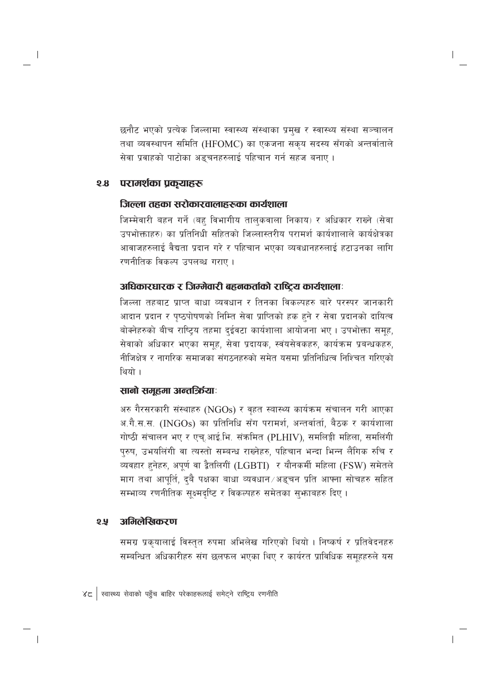छनौट भएको प्रत्येक जिल्लामा स्वास्थ्य संस्थाका प्रमुख र स्वास्थ्य संस्था सञ्चालन तथा व्यवस्थापन समिति (HFOMC) का एकजना सकय सदस्य सँगको अन्तर्वाताले सेवा प्रवाहको पाटोका अड्चनहरुलाई पहिचान गर्न सहज बनाए।

## २.८ परामर्शका प्रकूयाहरू

## जिल्ला तहका सरोकारवालाहरूका कार्यशाला

जिम्मेवारी बहन गर्ने (बह विभागीय तालुकवाला निकाय) र अधिकार राख्ने (सेवा उपभोक्ताहरु) का प्रतिनिधी सहितको जिल्लास्तरीय परामर्श कार्यशालाले कार्यक्षेत्रका आवाजहरुलाई वैद्यता प्रदान गरे र पहिचान भएका व्यवधानहरुलाई हटाउनका लागि रणनीतिक विकल्प उपलब्ध गराए।

## अधिकारधारक र जिम्मेवारी बहुनकर्ताको राष्टिय कार्यशालाः

जिल्ला तहबाट प्राप्त बाधा व्यवधान र तिनका विकल्पहरु बारे परस्पर जानकारी आदान प्रदान र पृष्ठपोषणको निम्ति सेवा प्राप्तिको हक हुने र सेवा प्रदानको दायित्व बोक्नेहरुको बीच राष्ट्रिय तहमा दुईवटा कार्यशाला आयोजना भए। उपभोक्ता समूह, सेवाको अधिकार भएका समूह, सेवा प्रदायक, स्वंयसेवकहरु, कार्यक्रम प्रबन्धकहरु, नीजिक्षेत्र र नागरिक समाजका संगठनहरुको समेत यसमा प्रतिनिधित्व निश्चित गरिएको थियो ।

## सानो समूहमा अन्तर्ज़ियाः

अरु गैरसरकारी संस्थाहरु (NGOs) र वृहत स्वास्थ्य कार्यक्रम संचालन गरी आएका अ.गै.स.स. (INGOs) का प्रतिनिधि सँग परामर्श, अन्तर्वार्ता, बैठक र कार्यशाला गोष्ठी संचालन भए र एच.आई.भि. संक्रमित (PLHIV), समलिङ्गी महिला, समलिंगी परुष, उभयलिंगी वा त्यस्तो सम्बन्ध राख्नेहरु, पहिचान भन्दा भिन्न लैंगिक रुचि र व्यवहार हनेहरु, अपूर्ण वा द्वैतलिगीं (LGBTI) र यौनकर्मी महिला (FSW) समेतले माग तथा आपति, दबै पक्षका बाधा व्यवधान ∕ अडुचन प्रति आफ्ना सोचहरु सहित सम्भाव्य रणनीतिक सुक्ष्मदृष्टि र विकल्पहरु समेतका सुभाबहरु दिए।

#### <u>अभिलेखिकरण</u>  $2.9$

 $\overline{\phantom{a}}$ 

समग्र प्रकुयालाई विस्तृत रुपमा अभिलेख गरिएको थियो । निष्कर्ष र प्रतिवेदनहरु सम्बन्धित अधिकारीहरु संग छलफल भएका थिए र कार्यरत प्राविधिक समहहरुले यस

४८ | स्वास्थ्य सेवाको पहुँच बाहिर परेकाहरूलाई समेट्ने राष्ट्रिय रणनीति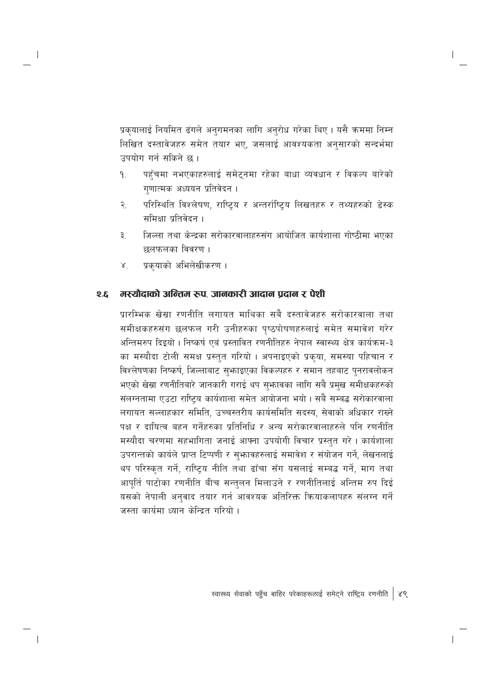प्रकृयालाई नियमित ढंगले अनुगमनका लागि अनुरोध गरेका थिए । यसै क्रममा निम्न लिखित दस्तावेजहरु समेत तयार भए, जसलाई आवश्यकता अनुसारको सन्दर्भमा उपयोग गर्न सकिने छ।

- पहुँचमा नभएकाहरुलाई समेट्नमा रहेका बाधा व्यवधान र विकल्प बारेको  $9.$ गुणात्मक अध्ययन प्रतिवेदन ।
- परिस्थिति विश्लेषण. राष्टिय र अन्तर्राष्टिय लिखतहरु र तथ्यहरुको डेस्क  $\overline{R}$ समिक्षा प्रतिवेदन ।
- जिल्ला तथा केन्द्रका सरोकारवालाहरुसंग आयोजित कार्यशाला गोष्ठीमा भएका  $\mathbf{R}$ छलफलका विवरण।
- प्रकुयाको अभिलेखीकरण ।  $\lambda^{\cdot}$

 $\overline{\phantom{a}}$ 

 $\overline{\phantom{a}}$ 

#### मस्यौदाको अन्तिम रूप, जानकारी आदान पदान र पेशी  $3.9$

प्रारम्भिक खेस्रा रणनीति लगायत माथिका सबै दस्तावेजहरु सरोकारवाला तथा समीक्षकहरुसंग छलफल गरी उनीहरुका पृष्ठपोषणहरुलाई समेत समावेश गरेर अन्तिमरुप दिइयो । निष्कर्ष एबं प्रस्तावित रणनीतिहरु नेपाल स्वास्थ्य क्षेत्र कार्यक्रम-३ का मस्यौदा टोली समक्ष प्रस्तत गरियो । अपनाइएको प्रकया, समस्या पहिचान र विश्लेषणका निष्कर्ष, जिल्लाबाट सुभाइएका विकल्पहरु र समान तहबाट पुनरावलोकन भएको खेस्रा रणनीतिबारे जानकारी गराई थप सुभावका लागि सबै प्रमुख समीक्षकहरुको संलग्नतामा एउटा राष्टिय कार्यशाला समेत आयोजना भयो। सबै सम्बद्ध सरोकारवाला लगायत सल्लाहकार समिति, उच्चस्तरीय कार्यसमिति सदस्य, सेवाको अधिकार राख्ने पक्ष र दायित्व बहन गर्नेहरुका प्रतिनिधि र अन्य सरोकारवालाहरुले पनि रणनीति मस्यौदा चरणमा सहभागिता जनाई आफ्ना उपयोगी विचार प्रस्तत गरे। कार्यशाला उपरान्तको कार्यले प्राप्त टिप्पणी र सुभावहरुलाई समावेश र संयोजन गर्ने, लेखनलाई थप परिस्कत गर्ने. राष्टिय नीति तथा ढाँचा सँग यसलाई सम्बद्ध गर्ने. माग तथा आपति पाटोका रणनीति बीच सन्तुलन मिलाउने र रणनीतिलाई अन्तिम रुप दिई यसको नेपाली अनुवाद तयार गर्न आवश्यक अतिरिक्त क्रियाकलापहरु संलग्न गर्ने जस्ता कार्यमा ध्यान केन्दित गरियो ।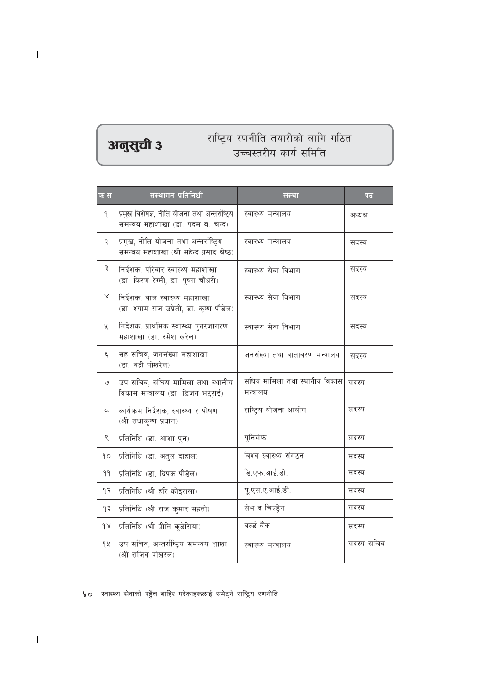## राष्ट्रिय रणनीति तयारीको लागि गठित उच्चस्तरीय कार्य समिति

#### संस्थागत प्रतिनिधी क.सं. संस्था पद प्रमुख विशेषज्ञ, नीति योजना तथा अन्तर्राष्ट्रिय स्वास्थ्य मन्त्रालय  $\mathsf{P}$ अध्यक्ष समन्वय महाशाखा (डा. पदम ब. चन्द) प्रमुख, नीति योजना तथा अन्तर्राष्ट्रिय स्वास्थ्य मन्त्रालय २ सदस्य समन्वय महाशाखा (श्री महेन्द्र प्रसाद श्रेष्ठ) ३ सदस्य निर्देशक, परिवार स्वास्थ्य महाशाखा स्वास्थ्य सेवा विभाग (डा. किरण रेग्मी, डा. पुष्पा चौधरी) स्वास्थ्य सेवा विभाग सदस्य  $\mathsf{X}$ निर्देशक, बाल स्वास्थ्य महाशाखा (डा. श्याम राज उप्रेती, डा. कृष्ण पौडेल) निर्देशक, प्राथमिक स्वास्थ्य पुनरजागरण स्वास्थ्य सेवा विभाग  $\chi$ सदस्य महाशाखा (डा. रमेश खरेल) सह सचिव, जनसंख्या महाशाखा  $\boldsymbol{\xi}$ जनसंख्या तथा वातावरण मन्त्रालय सदस्य (डा. बद्री पोखरेल) संघिय मामिला तथा स्थानीय विकास उप सचिव, संघिय मामिला तथा स्थानीय सदस्य  $\mathsf{G}$ विकास मन्त्रालय (डा. डिजन भट्राई) मन्त्रालय कार्यक्रम निर्देशक, स्वास्थ्य र पोषण राष्ट्रिय योजना आयोग सदस्य  $\overline{\varsigma}$ (श्री राधाकृष्ण प्रधान) युनिसेफ ९ सदस्य प्रतिनिधि (डा. आशा पुन) विश्व स्वास्थ्य संगठन प्रतिनिधि (डा. अतुल दाहाल)  $\circ$ सदस्य  $\eta\gamma$ प्रतिनिधि (डा. दिपक पौडेल) डि.एफ.आई.डी. सदस्य प्रतिनिधि (श्री हरि कोइराला) यू.एस.ए.आई.डी. सदस्य  $\gamma$ सेभ द चिल्ड्रेन ۹₹ प्रतिनिधि (श्री राज कुमार महतो) सदस्य वर्ल्ड बैंक  $\delta \lambda$ प्रतिनिधि (श्री प्रीति कुडेसिया) सदस्य उप सचिव, अन्तर्राष्ट्रिय समन्वय शाखा सदस्य सचिव gy स्वास्थ्य मन्त्रालय (श्री राजिव पोखरेल)

५० स्वास्थ्य सेवाको पहुँच बाहिर परेकाहरूलाई समेट्ने राष्ट्रिय रणनीति

 $\overline{\phantom{a}}$ 

 $\overline{\phantom{a}}$ 

अनुसुची ३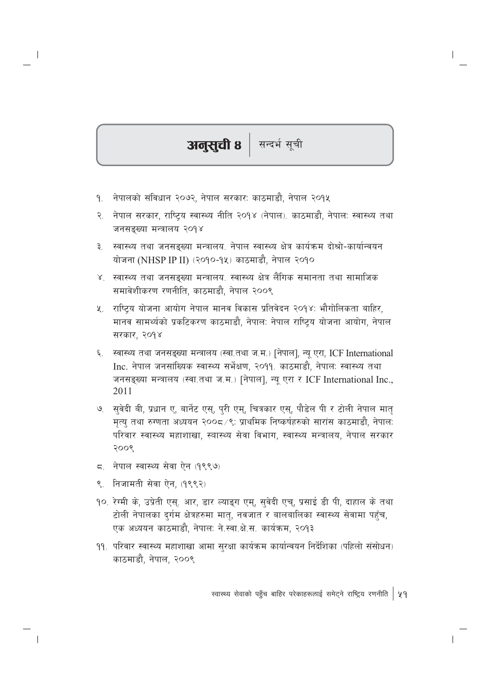# **अलुसुची 8 | सन्दर्भ सूची**

- 
- १. नेपालको संविधान २०७२, नेपाल सरकार: काठमाडौ, नेपाल २०१<mark>५</mark>
- २. नेपाल सरकार, राष्ट्रिय स्वास्थ्य नीति २०१४ (नेपाल). काठमाडौ, नेपाल: स्वास्थ्य तथा जनसङख्या मन्त्रालय २०१४
- ३. स्वास्थ्य तथा जनसङ्ख्या मन्त्रालय. नेपाल स्वास्थ्य क्षेत्र कार्यक्रम दोश्रो-कार्यान्वयन योजना (NHSP IP II) (२०१०-१<mark>५) काठमाडौ, नेपाल २</mark>०१०
- ४. स्वास्थ्य तथा जनसङ्ख्या मन्त्रालय. स्वास्थ्य क्षेत्र लैंगिक समानता तथा सामाजिक समावेशीकरण रणनीति, काठमाडौ, नेपाल २<mark>०</mark>०९
- ५. राष्ट्रिय योजना आयोग नेपाल मानव विकास प्रतिवेदन २०१४: भौगोलिकता बाहिर, मानव सामर्थ्यको प्रकटिकरण काठमाडौ, नेपाल: नेपाल राष्ट्रिय योजना आयोग, नेपाल सरकार, २०१४
- ६. स्वास्थ्य तथा जनसङ्ख्या मन्त्रालय (स्वा.तथा ज.म.) [नेपाल], न्यू एरा, ICF International Inc. नेपाल जनसांख्यिक स्वास्थ्य सर्भेक्षण, २०११. काठमाडौ, नेपाल: स्वास्थ्य तथा जनसङ्ख्या मन्त्रालय (स्वा.तथा ज.म.) [नेपाल], न्यू एरा र ICF International Inc., 2011
- ७. सुवेदी बी, प्रधान ए, बार्नेट एस्, पुरी एम्, चित्रकार एस्, पौडेल पी र टोली नेपाल मातृ मृत्यु तथा रुग्णता अध्ययन २००८⁄९: प्राथमिक निष्कर्षहरुको सारांस काठमाडौ, नेपाल: परिवार स्वास्थ्य महाशाखा, स्वास्थ्य सेवा विभाग, स्वास्थ्य मन्त्रालय, नेपाल सरकार २००९
- द. नेपाल स्वास्थ्य सेवा ऐन (१९९७)
- ९. निजामती सेवा ऐन, (१९९२)
- १०. रेग्मी के, उप्रेती एस्. आर, डार ल्याङ्ग एम्, सुवेदी एच्, प्रसाई डी पी, दाहाल के तथा टोली नेपालका दुर्गम क्षेत्रहरुमा मातृ, नवजात र बालबालिका स्वास्थ्य सेवामा पहुँच, एक अध्ययन काठमाडौ, नेपाल: ने.स्वा.क्षे.स. कार्यक्रम, २०१३
- ११. परिवार स्वास्थ्य महाशाखा आमा सुरक्षा कार्यक्रम कार्यान्वयन निर्देशिका (पहिलो संसोधन) काठमाडौ, नेपाल, २००९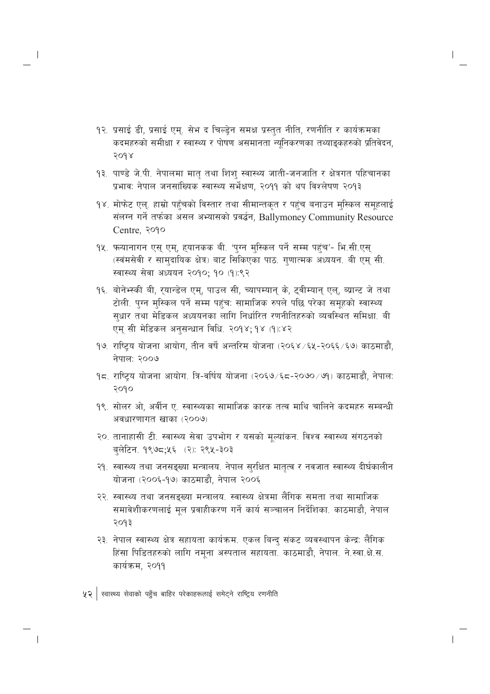१२. प्रसाई डी, प्रसाई एम्. सेभ द चिल्ड्रेन समक्ष प्रस्तुत नीति, रणनीति र कार्यक्रमका कदमहरुको समीक्षा र स्वास्थ्य र पोषण असमानता न्यूनिकरणका तथ्याङ्कहरुको प्रतिवेदन,  $9098$ 

 $\overline{\phantom{a}}$ 

 $\overline{\phantom{a}}$ 

- १३. पाण्डे जे.पी. नेपालमा मातृ तथा शिशु स्वास्थ्य जाती-जनजाति र क्षेत्रगत पहिचानका प्रभावः नेपाल जनसांख्यिक स्वास्थ्य सर्भेक्षण, २०११ को थप विश्लेषण २०१३
- १४. मोफेट एल्. हाम्रो पहुँचको विस्तार तथा सीमान्तकृत र पहुंच बनाउन मुस्किल समूहला<mark>ई</mark> संलग्न गर्ने तर्फका असल अभ्यासको प्रवर्द्धन, Ballymoney Community Resource Centre, २०१०
- १५. फ्ल्यानागन एस् एम्, ह्यानकक बी. 'पुग्न मुस्किल पर्ने सम्म पहुंच'- भि.सी.एस् (स्वंमसेवी र सामुदायिक क्षेत्र) बाट सिकिएका पाठ. गुणात्मक अध्ययन. बी एम् सी. स्वास्थ्य सेवा अध्ययन २<mark>०</mark>१०; १० (१):९२
- १६. बोनेभ्स्की बी, र्यान्डेल एम्, पाउल सी, च्यापम्यान् के, ट्वीम्यान् एल्, ब्य्रान्ट जे तथा टोली. पुग्न मुस्किल पर्ने सम्म पहुंचः सामाजिक रुपले पछि परेका समूहको स्वास्थ्य .<br>सुधार तथा मेडिकल अध्ययनका लागि निर्धारित रणनीतिहरुको व्यवस्थित समिक्षा. बी एम् सी मेडिकल अनुसन्धान विधि. २<mark>०</mark>१४;१४ (१):४२
- १७. राष्ट्रिय योजना आयोग, तीन वर्षे अन्तरिम योजना (२०६४ ∕६<mark>५-२०६६ ∕६७) काठमाडौ</mark>, नेपालः <mark>२</mark>००७
- १८. राष्ट्रिय योजना आयोग. त्रि-वर्षिय योजना (२०६७ ∕६८-२०७० ∕ ७१) काठमाडौ, नेपालः  $9090$
- १९. सोलर ओ, अर्वीन ए. स्वास्थ्यका सामाजिक कारक तत्व माथि चालिने कदमहरु सम्बन्धी अवधारणागत खाका (२००७)
- २०. तानाहासी टी. स्वास्थ्य सेवा उपभोग र यसको मूल्यांकन. विश्व स्वास्थ्य संगठनको बुलेटिन. <mark>१९७८;५६ (२): २९५-३</mark>०३
- २१. स्वास्थ्य तथा जनसङ्ख्या मन्त्रालय. नेपाल सुरक्षित मातृत्व र नवजात स्वास्थ्य दीर्घकालीन योजना (२००६-१७) काठमाडौ, नेपाल २००६
- २२. स्वास्थ्य तथा जनसङ्ख्या मन्त्रालय. स्वास्थ्य क्षेत्रमा लैंगिक समता तथा सामाजिक समावेशीकरणलाई मूल प्रवाहीकरण गर्ने कार्य सञ्चालन निर्देशिका. काठमाडौ, नेपाल  $9093$
- २३. नेपाल स्वास्थ्य क्षेत्र सहायता कार्यक्रम. एकल बिन्दु संकट व्यवस्थापन केन्द्र: लैंगिक हिंसा पिडितहरुको लागि नमूना अस्पताल सहायता. काठमाडौ, नेपाल. ने.स्वा.क्षे.स. कार्यक्रम, २०११
- **५२ |** स्वास्थ्य सेवाको पहुँच बाहिर परेकाहरूलाई समेट्ने राष्ट्रिय रणनीति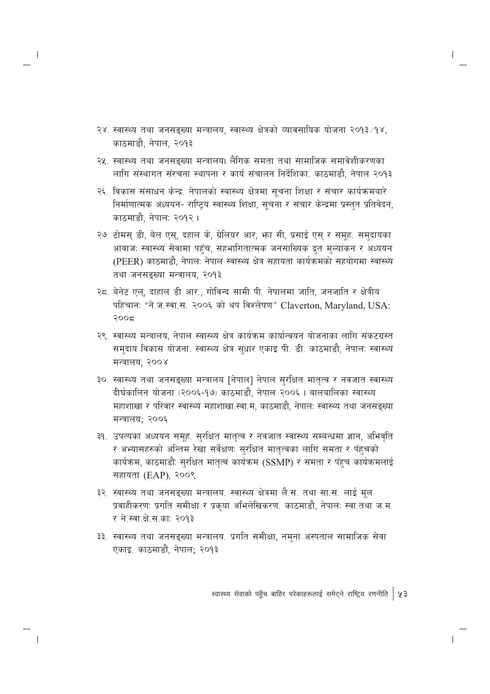२४. स्वास्थ्य तथा जनसङ्ख्या मन्त्रालय, स्वास्थ्य क्षेत्रको व्यावसायिक योजना २०१३/१४, काठमाडौ, नेपाल, २०१३

 $\overline{\phantom{a}}$ 

- २५. स्वास्थ्य तथा जनसङ्ख्या मन्त्रालय। लैंगिक समता तथा सामाजिक समावेशीकरणका लागि संस्थागत संरचना स्थापना र कार्य संचालन निर्देशिका. काठमाडौ, नेपाल २०१३
- २६. विकास संसाधन केन्द्र. नेपालको स्वास्थ्य क्षेत्रमा सूचना शिक्षा र संचार कार्यक्रमबारे निर्माणात्मक अध्ययन- राष्ट्रिय स्वास्थ्य शिक्षा, सूचना र संचार केन्द्रमा प्रस्तुत प्रतिवेदन, काठमाडौ, नेपाल: २०१२ ।
- २७. टोमस् डी, बेल एस्, दहाल के, ग्रेलियर आर, भग सी, प्रसाई एस् र समूह. समुदायका आवाजः स्वास्थ्य सेवामा पहुँच, सहभागितात्मक जनसांख्यिक द्रुत मुल्यांकन र अध्ययन (PEER) काठमाडौ, नेपाल: नेपाल स्वास्थ्य क्षेत्र सहायता कार्यक्रमको सहयोगमा स्वास्थ्य तथा जनसङ्ख्या मन्त्रालय, २०१३.
- २८. बेनेट एल्, दाहाल डी आर., गोविन्द सामी पी. नेपालमा जाति, जनजाति र क्षेत्रीय पहिचान: "ने.ज.स्वा.स. २००६ को थप विश्लेषण" Claverton, Maryland, USA: २००८
- २९. स्वास्थ्य मन्त्रालय, नेपाल स्वास्थ्य क्षेत्र कार्यक्रम कार्यान्वयन योजनाका लागि संकटग्रस्त समुदाय विकास योजना. स्वास्थ्य क्षेत्र सुधार एकाइ पी. डी. काठमाडौ, नेपाल: स्वास्थ्य मन्त्रालय; २००४
- ३०. स्वास्थ्य तथा जनसङ्ख्या मन्त्रालय [नेपाल] नेपाल सुरक्षित मातृत्व र नवजात स्वास्थ्य दीर्घकालिन योजना (२००६-१७) काठमाडौ, नेपाल २००६ । बालबालिका स्वास्थ्य महाशाखा र परिवार स्वास्थ्य महाशाखा स्वा.म, काठमाडौ, नेपाल: स्वास्थ्य तथा जनसङ्ख्या मन्त्रालय: २००६
- ३१. उपत्यका अध्ययन समूह. सुरक्षित मातृत्व र नवजात स्वास्थ्य सम्बन्धमा ज्ञान, अभिवृति र अभ्यासहरुको अन्तिम रेखा सर्वेक्षणः सुरक्षित मातृत्वका लागि समता र पँहचको कार्यक्रम, काठमाडौं: सुरक्षित मातृत्व कार्यक्रम (SSMP) र समता र पँहुच कार्यक्रमलाई सहायता (EAP), २००९
- ३२. स्वास्थ्य तथा जनसङ्ख्या मन्त्रालय. स्वास्थ्य क्षेत्रमा लै.स. तथा सा.स. लाई मूल प्रवाहीकरणः प्रगति समीक्षा र प्रकृया अभिलेखिकरण. काठमाडौ, नेपालः स्वा.तथा ज.म. र ने.स्वा.क्षे.स.काः २०१३
- ३३. स्वास्थ्य तथा जनसङ्ख्या मन्त्रालय. प्रगति समीक्षा, नमुना अस्पताल सामाजिक सेवा एकाइ. काठमाडौं, नेपाल; २०१३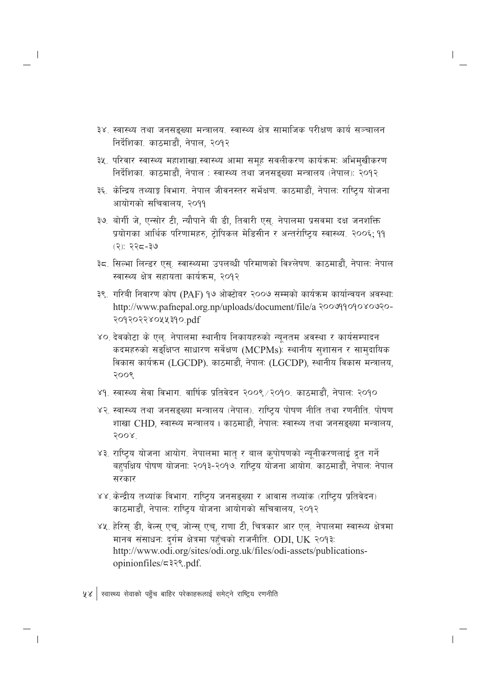३४. स्वास्थ्य तथा जनसङ्ख्या मन्त्रालय. स्वास्थ्य क्षेत्र सामाजिक परीक्षण कार्य सञ्चालन निर्देशिका. काठमाडौं, नेपाल, २<mark>०</mark>१२

 $\overline{\phantom{a}}$ 

 $\overline{\phantom{a}}$ 

- ३५. परिवार स्वास्थ्य महाशाखा.स्वास्थ्य आमा समूह सवलीकरण कार्यक्रमः अभिमुखीकरण निर्देशिका. काठमाडौं, नेपाल : स्वास्थ्य तथा जनसङ्ख्या मन्त्रालय (नेपाल): २<mark>०</mark>१२
- ३६. केन्द्रिय तथ्याङ्ग विभाग. नेपाल जीवनस्तर सर्भेक्षण. काठमाडौं, नेपालः राष्ट्रिय योजना आयोगको सचिवालय, २<mark>०</mark>११
- ३७. बोर्गी जे, एन्सोर टी, न्यौपाने बी डी, तिवारी एस्. नेपालमा प्रसवमा दक्ष जनशक्ति प्रयोगका आर्थिक परिणामहरु, ट्रोपिकल मेडिसीन र अन्तर्राष्ट्रिय स्वास्थ्य. २००६;*९*१  $(3): 225 - 39$
- ३८. सिल्भा लिन्डर एस्. स्वास्थ्यमा उपलब्धी परिमाणको विश्लेषण. काठमाडौं, नेपाल: नेपाल स्वास्थ्य क्षेत्र सहायता कार्यक्रम, <mark>२</mark>०१२
- ३९. गरिबी निवारण कोष (PAF) १७ ओक्टोबर २००७ सम्मको कार्यक्रम कार्यान्वयन अवस्था: http://www.pafnepal.org.np/uploads/document/file/a २००७१०१०४०७२०-२०१२०२२४०५५३१०.pdf
- ४० देवकोटा के एल्. नेपालमा स्थानीय निकायहरुको न्यूनतम अवस्था र कार्यसम्पादन कदमहरुको सङ्क्षिप्त साधारण सर्वेक्षण (MCPMs): स्थानीय सुशासन र सामुदायिक विकास कार्यक्रम (LGCDP). काठमाडौं, नेपालः (LGCDP), स्थानीय विकास मन्त्रालय, 2008
- ४१. स्वास्थ्य सेवा विभाग. वार्षिक प्रतिवेदन २००९ ⁄ २०१०. काठमाडौं, नेपाल: २०१०
- ४२. स्वास्थ्य तथा जनसङ्ख्या मन्त्रालय (नेपाल). राष्ट्रिय पोषण नीति तथा रणनीति. पोषण शाखा CHD, स्वास्थ्य मन्त्रालय । काठमाडौं, नेपालः स्वास्थ्य तथा जनसङ्ख्या मन्त्रालय,  $300R$
- ४३. राष्ट्रिय योजना आयोग. नेपालमा मातृ र बाल कुपोषणको न्यूनीकरणलाई द्रुत गर्ने बहुपक्षिय पोषण योजनाः २०१३-२०१७. राष्ट्रिय योजना आयोग. काठमाडौं, नेपालः नेपाल सरकार
- ४४. केन्द्रीय तथ्यांक विभाग. राष्ट्रिय जनसङ्ख्या र आवास तथ्यांक (राष्ट्रिय प्रतिवेदन) काठमाडौं, नेपालः राष्ट्रिय योजना आयोगको सचिवालय, २<mark>०</mark>१२
- ४५. हेरिस् डी, वेल्स् एच्, जोन्स् एच्, राणा टी, चित्रकार आर एल्. नेपालमा स्वास्थ्य क्षेत्रमा मानव संसाधनः दुर्गम क्षेत्रमा पहुँचको राजनीति.  $\rm{ODI,\,UK}$  २०१३: http://www.odi.org/sites/odi.org.uk/files/odi-assets/publicationsopinionfiles/ $\leq$  $\geq$  $\leq$  $\leq$ ,  $\leq$ *b* $\leq$ *f*.
- **५४ |** स्वास्थ्य सेवाको पहुँच बाहिर परेकाहरूलाई समेट्ने राष्ट्रिय रणनीति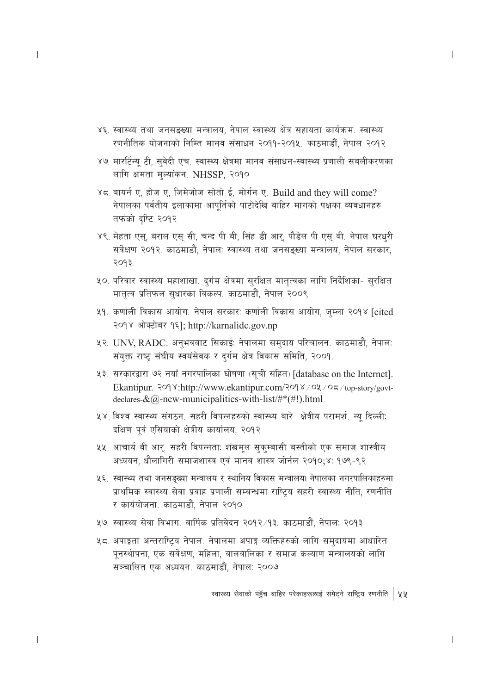४६. स्वास्थ्य तथा जनसङ्ख्या मन्त्रालय, नेपाल स्वास्थ्य क्षेत्र सहायता कार्यक्रम. स्वास्थ्य रणनीतिक योजनाको निम्ति मानव संसाधन २०११-२०१५. काठमाडौं, नेपाल २०१२

 $\overline{\phantom{a}}$ 

 $\overline{\phantom{a}}$ 

- ४७. मार्रार्टन्यू टी, सुवेदी एच. स्वास्थ्य क्षेत्रमा मानव संसाधन-स्वास्थ्य प्रणाली सबलीकरणका लागि क्षमता मुल्यांकन. NHSSP, २०१०
- ४८. बायर्न ए, होज ए, जिमेजोज सोतो ई, मोर्गन ए. Build and they will come? नेपालका पर्वतीय इलाकामा आपर्तिको पाटोदेखि बाहिर मागको पक्षका व्यवधानहरु तर्फको दृष्टि २०१२
- ४९. मेहता एस्, बराल एस् सी, चन्द पी बी, सिंह डी आर्, पौडेल पी एस् बी. नेपाल घरधुरी सर्वेक्षण २०१२. काठमाडौं, नेपाल: स्वास्थ्य तथा जनसङ्ख्या मन्त्रालय, नेपाल सरकार,  $2093$
- ५०. परिवार स्वास्थ्य महाशाखा. दर्गम क्षेत्रमा सुरक्षित मातृत्वका लागि निर्देशिका- सुरक्षित मातृत्व प्रतिफल सुधारका विकल्प. काठमाडौं, नेपाल २००९
- ५१. कर्णाली विकास आयोग. नेपाल सरकार: कर्णाली विकास आयोग, जम्ला २०१४ [cited २०१४ ओक्टोबर १६]; http://karnalidc.gov.np
- ५२. UNV, RADC. अनुभवबाट सिकाई: नेपालमा समुदाय परिचालन. काठमाडौं, नेपाल: संयुक्त राष्ट्र संघीय स्वयंसेवक र दुर्गम क्षेत्र विकास समिति, २००१.
- ५३. सरकारद्वारा ७२ नयाँ नगरपालिका घोषणा (सूची सहित) [database on the Internet]. Ekantipur. २०१४:http://www.ekantipur.com/२०१४/०५/०८/top-story/govt-
- ५४. विश्व स्वास्थ्य संगठन. सहरी विपन्नहरुको स्वास्थ्य बारे क्षेत्रीय परामर्श. न्यू दिल्ली: दक्षिण पर्व एसियाको क्षेत्रीय कार्यालय, २०१२
- ५५. आचार्य बी आर. सहरी विपन्नताः शंखमूल सुकम्बासी बस्तीको एक समाज शास्त्रीय अध्ययन; धौलागिरी समाजशास्त्र एवं मानव शास्त्र जोर्नल २०१०;४: १७९-९२
- ५६. स्वास्थ्य तथा जनसङ्ख्या मन्त्रालय र स्थानिय विकास मन्त्रालया नेपालका नगरपालिकाहरुमा प्राथमिक स्वास्थ्य सेवा प्रवाह प्रणाली सम्बन्धमा राष्टिय सहरी स्वास्थ्य नीति. रणनीति र कार्ययोजना. काठमाडौं, नेपाल २०१०
- ५७. स्वास्थ्य सेवा विभाग. वार्षिक प्रतिवेदन २०१२/१३. काठमाडौं, नेपाल: २०१३
- ५८. अपाङ्गता अन्तराष्ट्रिय नेपाल. नेपालमा अपाङ्ग व्यक्तिहरुको लागि समुदायमा आधारित पुनर्स्थापना, एक सर्वेक्षण, महिला, बालबालिका र समाज कल्याण मन्त्रालयको लागि सञ्चालित एक अध्ययन, काठमाडौं, नेपाल: २००७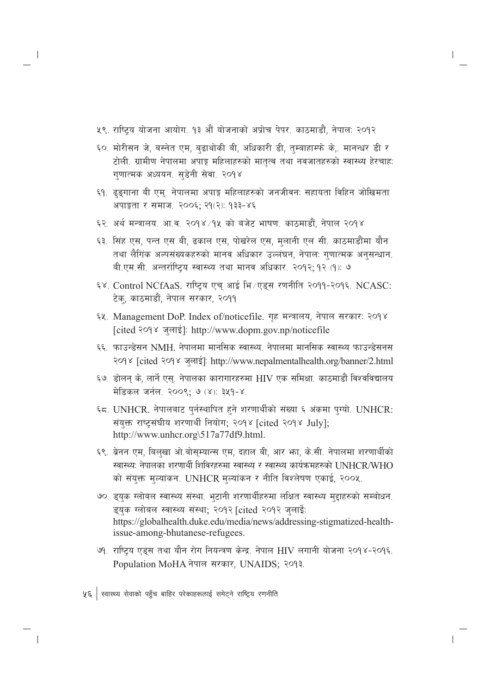५९. राष्ट्रिय योजना आयोग. १३ औं योजनाको अप्रोच पेपर. काठमाडौं, नेपाल: २०१२

 $\overline{\phantom{a}}$ 

 $\overline{\phantom{a}}$ 

- ६०. मोरीसन जे, बस्नेत एम, बढाथोकी बी, अधिकारी डी, तुम्बाहाम्फे के,. मानन्धर डी र टोली. ग्रामीण नेपालमा अपाङ्ग महिलाहरुको मातृत्व तथा नवजातहरुको स्वास्थ्य हेरचाह: गुणात्मक अध्ययन. सुडेनी सेवा. २०१४
- ६१. ढुङ्गाना बी एम्. नेपालमा अपाङ्ग महिलाहरुको जनजीवनः सहायता विहिन जोखिमता अपाङ्गता र समाज. २००६: २१(२): १३३-४६
- ६२. अर्थ मन्त्रालय. आ.व. २०१४/१५ को बजेट भाषण. काठमाडौं, नेपाल २०१४
- ६३. सिंह एस, पन्त एस बी, ढकाल एस, पोखरेल एस, मलानी एल सी. काठमाडौंमा यौन तथा लैगिक अल्पसंख्यकहरुको मानव अधिकार उल्लंघन, नेपाल: गुणात्मक अनुसन्धान. बी.एम.सी. अन्तर्राष्ट्रिय स्वास्थ्य तथा मानव अधिकार. २०१२;१२ (१): ७
- ६४. Control NCfAaS. राष्ट्रिय एच आई भि/एड्स रणनीति २०११-२०१६. NCASC: टेक, काठमाडौं, नेपाल सरकार, २०११
- ६५. Management DoP. Index of/noticefile. गृह मन्त्रालय, नेपाल सरकार: २०१४ [cited २०१४ जलाई]: http://www.dopm.gov.np/noticefile
- ६६. फाउन्डेसन NMH, नेपालमा मानसिक स्वास्थ्य, नेपालमा मानसिक स्वास्थ्य फाउन्डेसनस २०१४ [cited २०१४ जुलाई]: http://www.nepalmentalhealth.org/banner/2.html
- ६७. डोलन के. लार्ने एस. नेपालका कारागारहरुमा HIV एक समिक्षा. काठमाडौं विश्वविद्यालय मेडिकल जर्नल. २००९: ७ (४): ३५१-४.
- ६८. UNHCR. नेपालबाट पुर्नस्थापित हुने शरणार्थीको संख्या ६ अंकमा पुग्यो. UNHCR: संयक्त राष्ट्रसंघीय शरणार्थी नियोग; २०१४ [cited २०१४ July]; http://www.unhcr.org\517a77df9.html.
- ६९. ब्रेनन एम, बिलुखा ओ.बोसुम्यान्स एम, दहाल बी, आर भा, के.सी. नेपालमा शरणार्थीको स्वास्थ्यः नेपालका शरणार्थी शिविरहरुमा स्वास्थ्य र स्वास्थ्य कार्यक्रमहरुको UNHCR/WHO को संयुक्त मुल्यांकन. UNHCR मुल्यांकन र नीति विश्लेषण एकाई, २००५.
- ७०. इयुक ग्लोबल स्वास्थ्य संस्था. भुटानी शरणार्थीहरुमा लक्षित स्वास्थ्य मुद्दाहरुको सम्बोधन. इयक ग्लोबल स्वास्थ्य संस्था: २०१२ [cited २०१२ जुलाई: https://globalhealth.duke.edu/media/news/addressing-stigmatized-healthissue-among-bhutanese-refugees.
- ७१. राष्ट्रिय एड्स तथा यौन रोग नियन्त्रण केन्द्र. नेपाल HIV लगानी योजना २०१४-२०१६. Population MoHA नेपाल सरकार, UNAIDS; २०१३.
- ५६ स्वास्थ्य सेवाको पहुँच बाहिर परेकाहरूलाई समेट्ने राष्ट्रिय रणनीति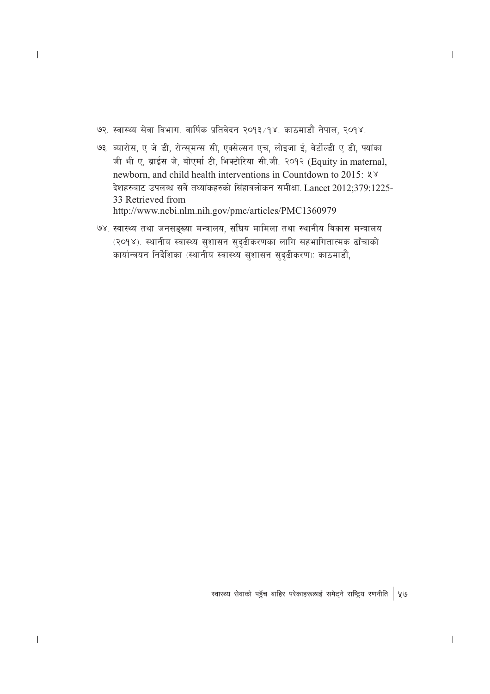७२. स्वास्थ्य सेवा विभाग. वार्षिक प्रतिवेदन २०१३/१४. काठमाडौं नेपाल, २०१४.

 $\overline{\phantom{a}}$ 

 $\overline{\phantom{a}}$ 

- ७३. ब्यारोस, ए जे डी, रोन्समन्स सी, एक्सेल्सन एच, लोइजा ई, बेर्टोल्डी ए डी, फ्यांका जी भी ए, ब्राईस जे, बोएर्मा टी, भिक्टोरिया सी.जी. २०१२ (Equity in maternal, newborn, and child health interventions in Countdown to 2015:  $2^{\gamma}$ देशहरुबाट उपलब्ध सर्वे तथ्यांकहरुको सिंहावलोकन समीक्षा. Lancet 2012:379:1225-33 Retrieved from http://www.ncbi.nlm.nih.gov/pmc/articles/PMC1360979
- ७४. स्वास्थ्य तथा जनसङ्ख्या मन्त्रालय, संघिय मामिला तथा स्थानीय विकास मन्त्रालय (२०१४). स्थानीय स्वास्थ्य सुशासन सुदृढीकरणका लागि सहभागितात्मक ढाँचाको कार्यान्वयन निर्देशिका (स्थानीय स्वास्थ्य सुशासन सुदृढीकरण): काठमाडौं,